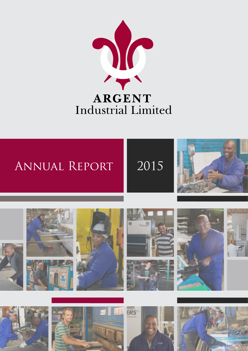

# Annual Report 2015











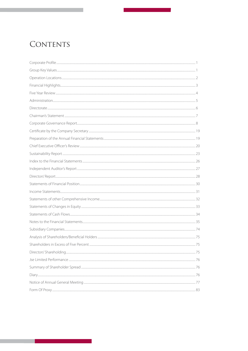## <span id="page-1-0"></span>CONTENTS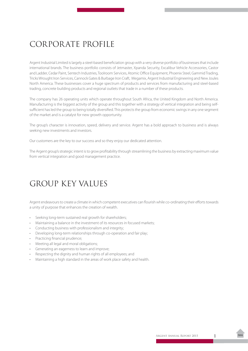## <span id="page-2-0"></span>CORPORATE PROFILE

Argent Industrial Limited is largely a steel-based beneficiation group with a very diverse portfolio of businesses that include international brands. The business portfolio consists of Jetmaster, Xpanda Security, Excalibur Vehicle Accessories, Castor and Ladder, Cedar Paint, Sentech Industries, Toolroom Services, Atomic Office Equipment, Phoenix Steel, Gammid Trading, Tricks Wrought Iron Services, Cannock Gates & Burbage Iron Craft, Megamix, Argent Industrial Engineering and New Joules North America. These businesses cover a huge spectrum of products and services from manufacturing and steel-based trading, concrete building products and regional outlets that trade in a number of these products.

The company has 26 operating units which operate throughout South Africa, the United Kingdom and North America. Manufacturing is the biggest activity of the group and this together with a strategy of vertical integration and being selfsufficient has led the group to being totally diversified. This protects the group from economic swings in any one segment of the market and is a catalyst for new growth opportunity.

The group's character is innovation, speed, delivery and service. Argent has a bold approach to business and is always seeking new investments and investors.

Our customers are the key to our success and so they enjoy our dedicated attention.

The Argent group's strategic intent is to grow profitability through streamlining the business by extracting maximum value from vertical integration and good management practice.

## GROUP KEY VALUES

Argent endeavours to create a climate in which competent executives can flourish while co-ordinating their efforts towards a unity of purpose that enhances the creation of wealth.

- Seeking long-term sustained real growth for shareholders;
- Maintaining a balance in the investment of its resources in focused markets;
- Conducting business with professionalism and integrity;
- Developing long-term relationships through co-operation and fair play;
- Practicing financial prudence;
- Meeting all legal and moral obligations;
- • Generating an eagerness to learn and improve;
- Respecting the dignity and human rights of all employees; and
- Maintaining a high standard in the areas of work place safety and health.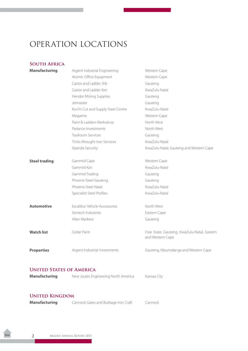## <span id="page-3-0"></span>OPERATION LOCATIONS

## **South Africa**

| <b>Manufacturing</b> | Argent Industrial Engineering      | Western Cape                                                    |
|----------------------|------------------------------------|-----------------------------------------------------------------|
|                      | Atomic Office Equipment            | Western Cape                                                    |
|                      | Castor and Ladder Jhb              | Gauteng                                                         |
|                      | Castor and Ladder Kzn              | KwaZulu-Natal                                                   |
|                      | Hendor Mining Supplies             | Gauteng                                                         |
|                      | Jetmaster                          | Gauteng                                                         |
|                      | Koch's Cut and Supply Steel Centre | KwaZulu-Natal                                                   |
|                      | Megamix                            | Western Cape                                                    |
|                      | Paint & Ladders Klerksdorp         | North West                                                      |
|                      | Parlance Investments               | North West                                                      |
|                      | <b>Toolroom Services</b>           | Gauteng                                                         |
|                      | Tricks Wrought Iron Services       | KwaZulu-Natal                                                   |
|                      | Xpanda Security                    | KwaZulu-Natal, Gauteng and Western Cape                         |
| <b>Steel trading</b> | Gammid Cape                        | Western Cape                                                    |
|                      | Gammid Kzn                         | KwaZulu-Natal                                                   |
|                      | Gammid Trading                     | Gauteng                                                         |
|                      | Phoenix Steel Gauteng              | Gauteng                                                         |
|                      | Phoenix Steel Natal                | KwaZulu-Natal                                                   |
|                      | Specialist Steel Profiles          | KwaZulu-Natal                                                   |
| <b>Automotive</b>    | Excalibur Vehicle Accessories      | North West                                                      |
|                      | Sentech Industries                 | Eastern Cape                                                    |
|                      | Allan Maskew                       | Gauteng                                                         |
| <b>Watch list</b>    | Cedar Paint                        | Free State, Gauteng, KwaZulu-Natal, Eastern<br>and Western Cape |
| <b>Properties</b>    | Argent Industrial Investments      | Gauteng, Mpumalanga and Western Cape                            |
|                      |                                    |                                                                 |

### **UNITED STATES OF AMERICA**

| <b>Manufacturing</b> | New Joules Engineering North America | Kansas City |
|----------------------|--------------------------------------|-------------|
|                      |                                      |             |

## **United Kingdom**

| <b>Manufacturing</b> | Cannock Gates and Burbage Iron Craft | Cannock |
|----------------------|--------------------------------------|---------|
|----------------------|--------------------------------------|---------|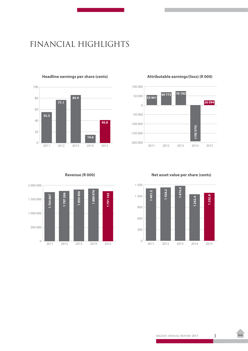## <span id="page-4-0"></span>FINANCIAL HIGHLIGHTS



#### **Headline earnings per share (cents)**



#### **Attributable earnings/(loss) (R 000)**

**Revenue (R 000)**



**Net asset value per share (cents)**

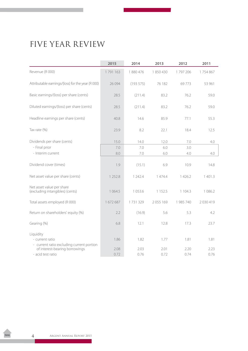## <span id="page-5-0"></span>FIVE YEAR REVIEW

|                                                                             | 2015      | 2014     | 2013        | 2012       | 2011      |
|-----------------------------------------------------------------------------|-----------|----------|-------------|------------|-----------|
| Revenue (R 000)                                                             | 1791163   | 1880476  | 1850430     | 1797206    | 1754867   |
| Attributable earnings/(loss) for the year (R 000)                           | 26 0 94   | (193575) | 76 182      | 69773      | 53 961    |
| Basic earnings/(loss) per share (cents)                                     | 28.5      | (211.4)  | 83.2        | 76.2       | 59.0      |
| Diluted earnings/(loss) per share (cents)                                   | 28.5      | (211.4)  | 83.2        | 76.2       | 59.0      |
| Headline earnings per share (cents)                                         | 40.8      | 14.6     | 85.9        | 77.1       | 55.3      |
| Tax rate (%)                                                                | 23.9      | 8.2      | 22.1        | 18.4       | 12.5      |
| Dividends per share (cents)                                                 | 15.0      | 14.0     | 12.0        | 7.0        | 4.0       |
| - Final prior                                                               | 7.0       | 7.0      | 6.0         | 3.0        |           |
| - Interim current                                                           | 8.0       | 7.0      | 6.0         | 4.0        | 4.0       |
| Dividend cover (times)                                                      | 1.9       | (15.1)   | 6.9         | 10.9       | 14.8      |
| Net asset value per share (cents)                                           | 1 2 5 2.8 | 1 242.4  | 1 474.4     | 1 4 2 6.2  | 1 401.3   |
| Net asset value per share<br>(excluding intangibles) (cents)                | 1 0 6 4.5 | 1 053.6  | 1 1 5 2 . 5 | 1 1 0 4 .3 | 1 0 8 6.2 |
| Total assets employed (R 000)                                               | 1672687   | 1731329  | 2055 169    | 1 985 740  | 2030419   |
| Return on shareholders' equity (%)                                          | 2.2       | (16.9)   | 5.6         | 5.3        | 4.2       |
| Gearing (%)                                                                 | 6.8       | 12.1     | 12.8        | 17.3       | 23.7      |
| Liquidity<br>- current ratio                                                | 1.86      | 1.82     | 1.77        | 1.81       | 1.81      |
| - current ratio excluding current portion<br>of interest-bearing borrowings | 2.08      | 2.03     | 2.01        | 2.20       | 2.23      |
| - acid test ratio                                                           | 0.72      | 0.76     | 0.72        | 0.74       | 0.76      |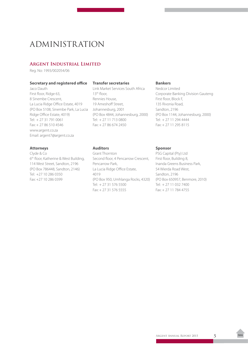## <span id="page-6-0"></span>ADMINISTRATION

### **Argent Industrial Limited**

Reg. No: 1993/002054/06

#### **Secretary and registered office**

Jaco Dauth First floor, Ridge 63, 8 Sinembe Crescent, La Lucia Ridge Office Estate, 4019 (PO Box 5108, Sinembe Park, La Lucia Ridge Office Estate, 4019) Tel: + 27 31 791 0061 Fax: + 27 86 510 4546 www.argent.co.za Email: argent7@argent.co.za

#### **Attorneys**

Clyde & Co 6th floor, Katherine & West Building, 114 West Street, Sandton, 2196 (PO Box 786448, Sandton, 2146) Tel: +27 10 286 0350 Fax: +27 10 286 0399

#### **Transfer secretaries**

Link Market Services South Africa 13th floor, Rennies House, 19 Ameshoff Street, Johannesburg, 2001 (PO Box 4844, Johannesburg, 2000) Tel: + 27 11 713 0800 Fax: + 27 86 674 2450

#### **Bankers**

Nedcor Limited Corporate Banking Division Gauteng First floor, Block F, 135 Rivonia Road, Sandton, 2196 (PO Box 1144, Johannesburg, 2000) Tel: + 27 11 294 4444 Fax: + 27 11 295 8115

#### **Auditors**

Grant Thornton Second floor, 4 Pencarrow Crescent, Pencarrow Park, La Lucia Ridge Office Estate, 4019 (PO Box 950, Umhlanga Rocks, 4320) Tel: + 27 31 576 5500 Fax: + 27 31 576 5555

#### **Sponsor**

PSG Capital (Pty) Ltd First floor, Building 8, Inanda Greens Business Park, 54 Wierda Road West, Sandton, 2196 (PO Box 650957, Benmore, 2010) Tel: + 27 11 032 7400 Fax: + 27 11 784 4755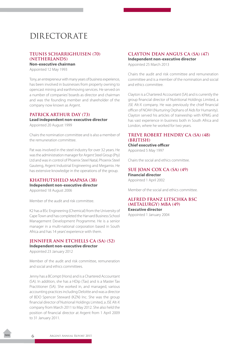## <span id="page-7-0"></span>DIRECTORATE

### **TEUNIS SCHARRIGHUISEN (70) (NETHERLANDS)**

**Non-executive chairman** Appointed 12 May 1993

Tony, an entrepreneur with many years of business experience, has been involved in businesses from property owning to opencast mining and earthmoving services. He served on a number of companies' boards as director and chairman and was the founding member and shareholder of the company now known as Argent.

## **PATRICK ARTHUR DAY (73) Lead independent non-executive director**

Appointed 20 August 1999

Chairs the nomination committee and is also a member of the remuneration committee.

Pat was involved in the steel industry for over 32 years. He was the administration manager for Argent Steel Group (Pty) Ltd and was in control of Phoenix Steel Natal, Phoenix Steel Gauteng, Argent Industrial Engineering and Megamix. He has extensive knowledge in the operations of the group.

#### **KHATHUTSHELO MAPASA (38) Independent non-executive director** Appointed 18 August 2006

Member of the audit and risk committee.

K2 has a BSc Engineering (Chemical) from the University of Cape Town and has completed the Harvard Business School Management Development Programme. He is a senior manager in a multi-national corporation based in South Africa and has 14 years' experience with them.

#### **JENNIFER ANN ETCHELLS CA (SA) (52) Independent non-executive director**

Appointed 23 January 2012

Member of the audit and risk committee, remuneration and social and ethics committees.

Jenny has a BCompt (Hons) and is a Chartered Accountant (SA). In addition, she has a HDip (Tax) and is a Master Tax Practitioner (SA). She worked in, and managed, various accounting practices including Deloitte and was a director of BDO Spencer Steward (KZN) Inc. She was the group financial director of Nutrional Holdings Limited, a JSE Alt-X company from March 2011 to May 2012. She also held the position of financial director at Argent from 1 April 2009 to 31 January 2011.

## **CLAYTON DEAN ANGUS CA (SA) (47)**

**Independent non-executive director** Appointed 25 March 2013

Chairs the audit and risk committee and remuneration committee and is a member of the nomination and social and ethics committee.

Clayton is a Chartered Accountant (SA) and is currently the group financial director of Nutritional Holdings Limited, a JSE Alt-X company. He was previously the chief financial officer of NOAH (Nurturing Orphans of Aids for Humanity). Clayton served his articles of traineeship with KPMG and has vast experience in business both in South Africa and London, where he worked for two years.

#### **TREVE ROBERT HENDRY CA (SA) (48) (BRITISH) Chief executive officer**

Appointed 5 May 1997

Chairs the social and ethics committee.

#### **SUE JOAN COX CA (SA) (49) Financial director**

Appointed 1 April 2002

Member of the social and ethics committee.

#### **ALFRED FRANZ LITSCHKA BSC (METALURGY) MBA (49) Executive director**

Appointed 1 January 2004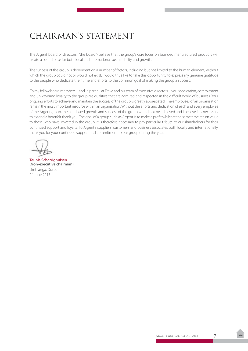## <span id="page-8-0"></span>CHAIRMAN'S STATEMENT

The Argent board of directors ("the board") believe that the group's core focus on branded manufactured products will create a sound base for both local and international sustainability and growth.

The success of the group is dependent on a number of factors, including but not limited to the human element, without which the group could not or would not exist. I would thus like to take this opportunity to express my genuine gratitude to the people who dedicate their time and efforts to the common goal of making the group a success.

 To my fellow board members – and in particular Treve and his team of executive directors – your dedication, commitment and unwavering loyalty to the group are qualities that are admired and respected in the difficult world of business. Your ongoing efforts to achieve and maintain the success of the group is greatly appreciated. The employees of an organisation remain the most important resource within an organisation. Without the efforts and dedication of each and every employee of the Argent group, the continued growth and success of the group would not be achieved and I believe it is necessary to extend a heartfelt thank you. The goal of a group such as Argent is to make a profit whilst at the same time return value to those who have invested in the group. It is therefore necessary to pay particular tribute to our shareholders for their continued support and loyalty. To Argent's suppliers, customers and business associates both locally and internationally, thank you for your continued support and commitment to our group during the year.

**Teunis Scharrighuisen (Non-executive chairman)**  Umhlanga, Durban 24 June 2015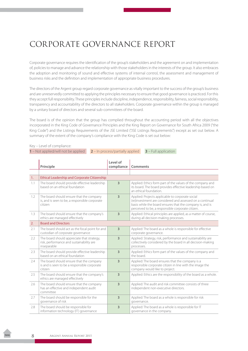## <span id="page-9-0"></span>CORPORATE GOVERNANCE REPORT

Corporate governance requires the identification of the group's stakeholders and the agreement on and implementation of, policies to manage and advance the relationship with those stakeholders in the interests of the group. It also embraces the adoption and monitoring of sound and effective systems of internal control, the assessment and management of business risks and the definition and implementation of appropriate business procedures.

The directors of the Argent group regard corporate governance as vitally important to the success of the group's business and are unreservedly committed to applying the principles necessary to ensure that good governance is practiced. For this they accept full responsibility. These principles include discipline, independence, responsibility, fairness, social responsibility, transparency and accountability of the directors to all stakeholders. Corporate governance within the group is managed by a unitary board of directors and several sub-committees of the board.

The board is of the opinion that the group has complied throughout the accounting period with all the objectives incorporated in the King Code of Governance Principles and the King Report on Governance for South Africa 2009 ("the King Code") and the Listings Requirements of the JSE Limited ("JSE Listings Requirements") except as set out below. A summary of the extent of the company's compliance with the King Code is set out below:

**1** – Not applied/will not be applied **2** – In process/partially applied **3** – Full application

| $T = \text{NOL}$ applied/ Will not be applied<br>$2$ – in process/partially applied<br>$3$ – Full application |                                                                                                       |                        |                                                                                                                                                                                                                                 |  |
|---------------------------------------------------------------------------------------------------------------|-------------------------------------------------------------------------------------------------------|------------------------|---------------------------------------------------------------------------------------------------------------------------------------------------------------------------------------------------------------------------------|--|
|                                                                                                               | Principle                                                                                             | Level of<br>compliance | Comments                                                                                                                                                                                                                        |  |
|                                                                                                               |                                                                                                       |                        |                                                                                                                                                                                                                                 |  |
| 1.                                                                                                            | <b>Ethical Leadership and Corporate Citizenship</b>                                                   |                        |                                                                                                                                                                                                                                 |  |
| 1.1                                                                                                           | The board should provide effective leadership<br>based on an ethical foundation                       | 3                      | Applied: Ethics form part of the values of the company and<br>its board. The board provides effective leadership based on<br>an ethical foundation.                                                                             |  |
| 1.2                                                                                                           | The board should ensure that the company<br>is, and is seen to be, a responsible corporate<br>citizen | 3                      | Applied: Projects applicable to corporate social<br>(re)investment are considered and assessed on a continual<br>basis while the board ensures that the company is, and is<br>perceived to be, a responsible corporate citizen. |  |
| 1.3                                                                                                           | The board should ensure that the company's<br>ethics are managed effectively                          | 3                      | Applied: Ethical principles are applied, as a matter of course,<br>during all decision-making processes.                                                                                                                        |  |
| 2.                                                                                                            | <b>Board and Directors</b>                                                                            |                        |                                                                                                                                                                                                                                 |  |
| 2.1                                                                                                           | The board should act as the focal point for and<br>custodian of corporate governance                  | $\overline{3}$         | Applied: The board as a whole is responsible for effective<br>corporate governance.                                                                                                                                             |  |
| 2.2                                                                                                           | The board should appreciate that strategy,<br>risk, performance and sustainability are<br>inseparable | 3                      | Applied: Strategy, risk, performance and sustainability are<br>collectively considered by the board in all decision-making<br>processes.                                                                                        |  |
| 2.3                                                                                                           | The board should provide effective leadership<br>based on an ethical foundation                       | 3                      | Applied: Ethics form part of the values of the company and<br>the board.                                                                                                                                                        |  |
| 2.4                                                                                                           | The board should ensure that the company<br>is and is seen to be a responsible corporate<br>citizen   | $\overline{3}$         | Applied: The board ensures that the company is a<br>responsible corporate citizen in line with the image the<br>company would like to project.                                                                                  |  |
| 2.5                                                                                                           | The board should ensure that the company's<br>ethics are managed effectively                          | 3                      | Applied: Ethics are the responsibility of the board as a whole.                                                                                                                                                                 |  |
| 2.6                                                                                                           | The board should ensure that the company<br>has an effective and independent audit<br>committee       | 3                      | Applied: The audit and risk committee consists of three<br>independent non-executive directors.                                                                                                                                 |  |
| 2.7                                                                                                           | The board should be responsible for the<br>governance of risk                                         | 3                      | Applied: The board as a whole is responsible for risk<br>governance.                                                                                                                                                            |  |
| 2.8                                                                                                           | The board should be responsible for<br>information technology (IT) governance                         | 3                      | Applied: The board as a whole is responsible for IT<br>governance in the company.                                                                                                                                               |  |

Key – Level of compliance: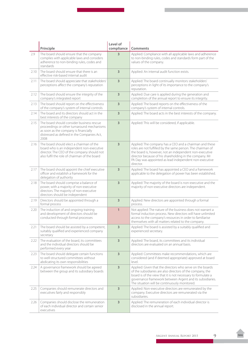|      | Principle                                                                                                                                                                               | Level of<br>compliance  | Comments                                                                                                                                                                                                                                                                                                            |
|------|-----------------------------------------------------------------------------------------------------------------------------------------------------------------------------------------|-------------------------|---------------------------------------------------------------------------------------------------------------------------------------------------------------------------------------------------------------------------------------------------------------------------------------------------------------------|
| 2.9  | The board should ensure that the company<br>complies with applicable laws and considers<br>adherence to non-binding rules, codes and<br>standards                                       | 3                       | Applied: Compliance with all applicable laws and adherence<br>to non-binding rules, codes and standards form part of the<br>values of the company.                                                                                                                                                                  |
| 2.10 | The board should ensure that there is an<br>effective risk-based internal audit                                                                                                         | 3                       | Applied: An internal audit function exists.                                                                                                                                                                                                                                                                         |
| 2.11 | The board should appreciate that stakeholders'<br>perceptions affect the company's reputation                                                                                           | 3                       | Applied: The board continually monitors stakeholders'<br>perceptions in light of its importance to the company's<br>reputation.                                                                                                                                                                                     |
| 2.12 | The board should ensure the integrity of the<br>company's integrated report                                                                                                             | 3                       | Applied: Due care is applied during the generation and<br>completion of the annual report to ensure its integrity.                                                                                                                                                                                                  |
| 2.13 | The board should report on the effectiveness<br>of the company's system of internal controls                                                                                            | 3                       | Applied: The board reports on the effectiveness of the<br>company's system of internal controls.                                                                                                                                                                                                                    |
| 2.14 | The board and its directors should act in the<br>best interests of the company                                                                                                          | 3                       | Applied: The board acts in the best interests of the company.                                                                                                                                                                                                                                                       |
| 2.15 | The board should consider business rescue<br>proceedings or other turnaround mechanisms<br>as soon as the company is financially<br>distressed as defined in the Companies Act,<br>2008 | $\overline{\mathbf{3}}$ | Applied: This will be considered, if applicable.                                                                                                                                                                                                                                                                    |
| 2.16 | The board should elect a chairman of the<br>board who is an independent non-executive<br>director. The CEO of the company should not<br>also fulfil the role of chairman of the board   | 3                       | Applied: The company has a CEO and a chairman and these<br>roles are not fulfilled by the same person. The chairman of<br>the board is, however, not an independent non-executive<br>director because of his shareholding in the company. Mr<br>PA Day was appointed as lead independent non-executive<br>director. |
| 2.17 | The board should appoint the chief executive<br>officer and establish a framework for the<br>delegation of authority                                                                    | 3                       | Applied: The board has appointed a CEO and a framework<br>applicable to the delegation of power has been established.                                                                                                                                                                                               |
| 2.18 | The board should comprise a balance of<br>power, with a majority of non-executive<br>directors. The majority of non-executive<br>directors should be independent                        | 3                       | Applied: The majority of the board is non-executive and the<br>majority of non-executive directors are independent.                                                                                                                                                                                                 |
| 2.19 | Directors should be appointed through a<br>formal process                                                                                                                               | 3                       | Applied: New directors are appointed through a formal<br>process.                                                                                                                                                                                                                                                   |
| 2.20 | The induction of and ongoing training<br>and development of directors should be<br>conducted through formal processes                                                                   | $\mathbf{1}$            | Not applied: The nature of the business does not warrant a<br>formal induction process. New directors will have unlimited<br>access to the company's resources in order to familiarise<br>themselves with all matters related to the company.                                                                       |
| 2.21 | The board should be assisted by a competent,<br>suitably qualified and experienced company<br>secretary                                                                                 | $\overline{3}$          | Applied: The board is assisted by a suitably qualified and<br>experienced secretary.                                                                                                                                                                                                                                |
| 2.22 | The evaluation of the board, its committees<br>and the individual directors should be<br>performed every year                                                                           | 3                       | Applied: The board, its committees and its individual<br>directors are evaluated on an annual basis.                                                                                                                                                                                                                |
| 2.23 | The board should delegate certain functions<br>to well-structured committees without<br>abdicating its own responsibilities                                                             | 3                       | Applied: Committees make recommendations, which are<br>considered (and if deemed appropriate) approved at board<br>level.                                                                                                                                                                                           |
| 2.24 | A governance framework should be agreed<br>between the group and its subsidiary boards                                                                                                  | 3                       | Applied: Given that the directors who serve on the boards<br>of the subsidiaries are also directors of the company, the<br>board is of the view that it is not necessary to formulate a<br>governance framework between Argent and its subsidiaries.<br>The situation will be continuously monitored.               |
| 2.25 | Companies should remunerate directors and<br>executives fairly and responsibly                                                                                                          | 3                       | Applied: Non-executive directors are remunerated by the<br>company. Executive directors are remunerated via the<br>subsidiaries.                                                                                                                                                                                    |
| 2.26 | Companies should disclose the remuneration<br>of each individual director and certain senior<br>executives                                                                              | 3                       | Applied: The remuneration of each individual director is<br>disclosed in the annual report.                                                                                                                                                                                                                         |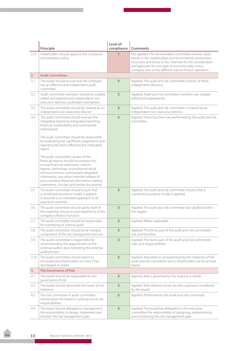|      | Principle                                                                                                                                                                                                                                                                 | Level of<br>compliance  | Comments                                                                                                                                                                                                                                                                                      |
|------|---------------------------------------------------------------------------------------------------------------------------------------------------------------------------------------------------------------------------------------------------------------------------|-------------------------|-----------------------------------------------------------------------------------------------------------------------------------------------------------------------------------------------------------------------------------------------------------------------------------------------|
| 2.27 | Shareholders should approve the company's<br>remuneration policy                                                                                                                                                                                                          | $\mathbf{1}$            | Not applied: The remuneration committee reviews salary<br>trends in the market place and recommends emolument<br>structures and levels to the chairman for his consideration<br>and approval. No one type of structure suites every<br>company due to the different nature of each operation. |
| 3.   | <b>Audit Committees</b>                                                                                                                                                                                                                                                   |                         |                                                                                                                                                                                                                                                                                               |
| 3.1  | The board should ensure that the company<br>has an effective and independent audit<br>committee                                                                                                                                                                           | 3                       | Applied: The audit and risk committee consists of three<br>independent directors.                                                                                                                                                                                                             |
| 3.2  | Audit committee members should be suitably<br>skilled and experienced independent non-<br>executive directors (subsidiary exemption)                                                                                                                                      | 3                       | Applied: Audit and risk committee members are suitably<br>skilled and experienced.                                                                                                                                                                                                            |
| 3.3  | The audit committee should be chaired by an<br>independent non-executive director                                                                                                                                                                                         | 3                       | Applied: The audit and risk committee is chaired by an<br>independent non-executive director.                                                                                                                                                                                                 |
| 3.4  | The audit committee should oversee the<br>integrated reporting (integrated reporting,<br>financial, sustainability and summarised<br>information)<br>The audit committee should be responsible<br>for evaluating the significant judgements and                           | 3                       | Applied: These functions are performed by the audit and risk<br>committee.                                                                                                                                                                                                                    |
|      | reporting decisions affecting the integrated<br>report<br>The audit committee's review of the<br>financial reports should encompass the                                                                                                                                   |                         |                                                                                                                                                                                                                                                                                               |
|      | annual financial statements, interim<br>reports, preliminary or provisional result<br>announcements, summarised integrated<br>information, any other intended release of<br>price-sensitive financial information, trading<br>statements, circulars and similar documents |                         |                                                                                                                                                                                                                                                                                               |
| 3.5  | The audit committee should ensure that<br>a combined assurance model is applied<br>to provide a co-ordinated approach to all<br>assurance activities                                                                                                                      | 3                       | Applied: The audit and risk committee ensures that a<br>combined assurance model is applied.                                                                                                                                                                                                  |
| 3.6  | The audit committee should satisfy itself of<br>the expertise, resources and experience of the<br>company's finance function                                                                                                                                              | 3                       | Applied: The audit and risk committee has satisfied itself in<br>this regard.                                                                                                                                                                                                                 |
| 3.7  | The audit committee should be responsible<br>for overseeing of internal audit                                                                                                                                                                                             | 3                       | Applied: Where applicable.                                                                                                                                                                                                                                                                    |
| 3.8  | The audit committee should be an integral<br>component of the risk management process                                                                                                                                                                                     | 3                       | Applied: This forms part of the audit and risk committee's<br>role and function.                                                                                                                                                                                                              |
| 3.9  | The audit committee is responsible for<br>recommending the appointment of the<br>external auditor and overseeing the external<br>audit process                                                                                                                            | 3                       | Applied: This forms part of the audit and risk committee's<br>roles and responsibilities.                                                                                                                                                                                                     |
| 3.10 | The audit committee should report to<br>the board and shareholders on how it has<br>discharged its duties                                                                                                                                                                 | 3                       | Applied: Reported on at board level by the chairman of the<br>audit and risk committee and to shareholders via the annual<br>report.                                                                                                                                                          |
| 4.   | The Governance of Risk                                                                                                                                                                                                                                                    |                         |                                                                                                                                                                                                                                                                                               |
| 4.1  | The board should be responsible for the<br>governance of risk                                                                                                                                                                                                             | 3                       | Applied: Risk is governed by the board as a whole.                                                                                                                                                                                                                                            |
| 4.2  | The board should determine the levels of risk<br>tolerance                                                                                                                                                                                                                | 3                       | Applied: Risk tolerance levels are discussed and considered<br>by the board.                                                                                                                                                                                                                  |
| 4.3  | The risk committee or audit committee<br>should assist the board in carrying out its risk<br>responsibilities                                                                                                                                                             | 3                       | Applied: Performed by the audit and risk committee.                                                                                                                                                                                                                                           |
| 4.4  | The board should delegate to management<br>the responsibility to design, implement and<br>monitor the risk management plan                                                                                                                                                | $\overline{\mathbf{3}}$ | Applied: The board has delegated to the executive<br>committee the responsibility of designing, implementing<br>and monitoring the risk management plan.                                                                                                                                      |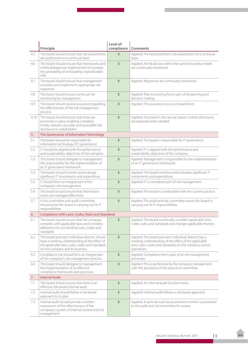|      | Principle                                                                                                                                                                            | Level of<br>compliance  | Comments                                                                                                                                                                                 |
|------|--------------------------------------------------------------------------------------------------------------------------------------------------------------------------------------|-------------------------|------------------------------------------------------------------------------------------------------------------------------------------------------------------------------------------|
| 4.5  | The board should ensure that risk assessments<br>are performed on a continual basis                                                                                                  | 3                       | Applied: The board performs risk assessment on a continual<br>basis.                                                                                                                     |
| 4.6  | The board should ensure that frameworks and<br>methodologies are implemented to increase<br>the probability of anticipating unpredictable<br>risks                                   | 3                       | Applied: All risk factors within the current business model<br>are continually monitored.                                                                                                |
| 4.7  | The board should ensure that management<br>considers and implements appropriate risk<br>responses                                                                                    | 3                       | Applied: Responses are continually monitored.                                                                                                                                            |
| 4.8  | The board should ensure continual risk<br>monitoring by management                                                                                                                   | $\overline{\mathbf{3}}$ | Applied: Risk-monitoring forms part of all planning and<br>decision making.                                                                                                              |
| 4.9  | The board should receive assurance regarding<br>the effectiveness of the risk management<br>process                                                                                  | 3                       | Applied: This assurance occurs at board level.                                                                                                                                           |
| 4.10 | The board should ensure that there are<br>processes in place enabling complete,<br>timely, relevant, accurate and accessible risk<br>disclosure to stakeholders                      | 3                       | Applied: Disclosed in the annual report. Further disclosures<br>are assessed when needed.                                                                                                |
| 5.   | The Governance of Information Technology                                                                                                                                             |                         |                                                                                                                                                                                          |
| 5.1  | The board should be responsible for<br>information technology (IT) governance                                                                                                        | 3                       | Applied: The board is responsible for IT governance.                                                                                                                                     |
| 5.2  | IT should be aligned with the performance<br>and sustainability objectives of the company                                                                                            | 3                       | Applied: IT is aligned with the performance and<br>sustainability objectives of the company.                                                                                             |
| 5.3  | The board should delegate to management<br>the responsibility for the implementation of<br>an IT governance framework                                                                | 3                       | Applied: Management is responsible for the implementation<br>of an IT governance framework.                                                                                              |
| 5.4  | The board should monitor and evaluate<br>significant IT investments and expenditure                                                                                                  | 3                       | Applied: The board monitors and evaluates significant IT<br>investments and expenditure.                                                                                                 |
| 5.5  | IT should form an integral part of the<br>company's risk management                                                                                                                  | 3                       | Applied: IT is considered part of risk management.                                                                                                                                       |
| 5.6  | The board should ensure that information<br>assets are managed effectively                                                                                                           | 3                       | Applied: The board is comfortable with the current practice.                                                                                                                             |
| 5.7  | A risk committee and audit committee<br>should assist the board in carrying out its IT<br>responsibilities                                                                           | 3                       | Applied: The audit and risk committee assists the board in<br>carrying out its IT responsibilities.                                                                                      |
| 6.   | Compliance with Laws, Codes, Rules and Standards                                                                                                                                     |                         |                                                                                                                                                                                          |
| 6.1  | The board should ensure that the company<br>complies with applicable laws and considers<br>adherence to non-binding rules, codes and<br>standards                                    | 3                       | Applied: The board continually considers applicable laws,<br>codes, rules and standards and changes applicable thereto.                                                                  |
| 6.2  | The board and each individual director should<br>have a working understanding of the effect of<br>the applicable laws, rules, codes and standards<br>on the company and its business | $\overline{\mathbf{3}}$ | Applied: The board and each individual director has a<br>working understanding of the effect of the applicable<br>laws, rules, codes and standards on the company and its<br>operations. |
| 6.3  | Compliance risk should form an integral part<br>of the company's risk management process                                                                                             | $\overline{\mathbf{3}}$ | Applied: Compliance forms part of all risk management<br>processes.                                                                                                                      |
| 6.4  | The board should delegate to management<br>the implementation of an effective<br>compliance framework and processes                                                                  | 3                       | Applied: This is performed by the company management<br>with the assistance of the executive committee.                                                                                  |
| 7.   | <b>Internal Audit</b>                                                                                                                                                                |                         |                                                                                                                                                                                          |
| 7.1  | The board should ensure that there is an<br>effective risk-based internal audit                                                                                                      | 3                       | Applied: An internal audit function exists.                                                                                                                                              |
| 7.2  | Internal audit should follow a risk-based<br>approach to its plan                                                                                                                    | 3                       | Applied: Internal audit follows a risk-based approach.                                                                                                                                   |
| 7.3  | Internal audit should provide a written<br>assessment of the effectiveness of the<br>company's system of internal control and risk<br>management                                     | 3                       | Applied: A semi-annual risk assessment monitor is presented<br>to the audit and risk committee for review.                                                                               |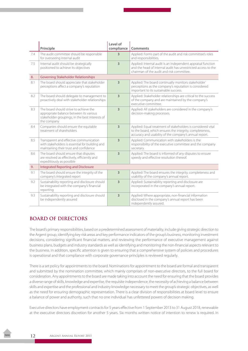|     | Principle                                                                                                                                           | Level of<br>compliance | Comments                                                                                                                                                                           |
|-----|-----------------------------------------------------------------------------------------------------------------------------------------------------|------------------------|------------------------------------------------------------------------------------------------------------------------------------------------------------------------------------|
| 7.4 | The audit committee should be responsible<br>for overseeing internal audit                                                                          | 3                      | Applied: Forms part of the audit and risk committee's roles<br>and responsibilities.                                                                                               |
| 7.5 | Internal audit should be strategically<br>positioned to achieve its objectives                                                                      | $\overline{3}$         | Applied: Internal audit is an independent appraisal function<br>and the head of internal audit has unrestricted access to the<br>chairman of the audit and risk committee.         |
| 8.  | <b>Governing Stakeholder Relationships</b>                                                                                                          |                        |                                                                                                                                                                                    |
| 8.1 | The board should appreciate that stakeholder<br>perceptions affect a company's reputation                                                           | 3                      | Applied: The board continually monitors stakeholder'<br>perceptions as the company's reputation is considered<br>important to its sustainable success.                             |
| 8.2 | The board should delegate to management to<br>proactively deal with stakeholder relationships                                                       | 3                      | Applied: Stakeholder relationships are critical to the success<br>of the company and are maintained by the company's<br>executive committee.                                       |
| 8.3 | The board should strive to achieve the<br>appropriate balance between its various<br>stakeholder groupings, in the best interests of<br>the company | 3                      | Applied: All stakeholders are considered in the company's<br>decision-making processes.                                                                                            |
| 8.4 | Companies should ensure the equitable<br>treatment of shareholders                                                                                  | 3                      | Applied: Equal treatment of stakeholders is considered vital<br>to the board, which ensures the integrity, completeness,<br>accuracy and usability of the company's annual report. |
| 8.5 | Transparent and effective communication<br>with stakeholders is essential for building and<br>maintaining their trust and confidence                | $\overline{3}$         | Applied: Communication with stakeholders is the<br>responsibility of the executive committee and the company<br>secretary.                                                         |
| 8.6 | The board should ensure that disputes<br>are resolved as effectively, efficiently and<br>expeditiously as possible                                  | 3                      | Applied: The board is informed of any disputes to ensure<br>speedy and effective resolution thereof.                                                                               |
| 9.  | <b>Integrated Reporting and Disclosure</b>                                                                                                          |                        |                                                                                                                                                                                    |
| 9.1 | The board should ensure the integrity of the<br>company's integrated report                                                                         | 3                      | Applied: The board ensures the integrity, completeness and<br>usability of the company's annual report.                                                                            |
| 9.2 | Sustainability reporting and disclosure should<br>be integrated with the company's financial<br>reporting                                           | 3                      | Applied: Sustainability reporting and disclosure are<br>incorporated in the company's annual report.                                                                               |
| 9.3 | Sustainability reporting and disclosure should<br>be independently assured                                                                          | 3                      | Applied: Where appropriate, non-financial information<br>disclosed in the company's annual report has been<br>independently assured.                                               |

## **BOARD OF DIRECTORS**

The board's primary responsibilities, based on a predetermined assessment of materiality, include giving strategic direction to the Argent group, identifying key risk areas and key performance indicators of the group's business, monitoring investment decisions, considering significant financial matters, and reviewing the performance of executive management against business plans, budgets and industry standards as well as identifying and monitoring the non-financial aspects relevant to the business. In addition, specific attention is given to ensuring that a comprehensive system of policies and procedures is operational and that compliance with corporate governance principles is reviewed regularly.

There is a set policy for appointments to the board. Nominations for appointment to the board are formal and transparent and submitted by the nomination committee, which mainly comprises of non-executive directors, to the full board for consideration. Any appointments to the board are made taking into account the need for ensuring that the board provides a diverse range of skills, knowledge and expertise, the requisite independence, the necessity of achieving a balance between skills and expertise and the professional and industry knowledge necessary to meet the group's strategic objectives, as well as the need for ensuring demographic representation. There is a clear division of responsibilities at board level to ensure a balance of power and authority, such that no one individual has unfettered powers of decision making.

Executive directors have employment contracts for 5 years effective from 1 September 2013 to 31 August 2018, renewable at the executive directors discretion for another 5 years. Six months written notice of intention to renew is required. In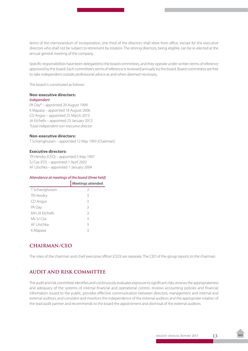terms of the memorandum of incorporation, one third of the directors shall retire from office, except for the executive directors who shall not be subject to retirement by rotation. The retiring directors, being eligible, can be re-elected at the annual general meeting of the company.

Specific responsibilities have been delegated to the board committees, and they operate under written terms of reference approved by the board. Each committee's terms of reference is reviewed annually by the board. Board committees are free to take independent outside professional advice as and when deemed necessary.

The board is constituted as follows:

#### **Non-executive directors:** *Independent*

PA Day\* – appointed 20 August 1999 K Mapasa – appointed 18 August 2006 CD Angus – appointed 25 March 2013 JA Etchells – appointed 23 January 2012 *\*Lead independent non-executive director*

#### **Non-executive directors:**

T Scharrighuisen – appointed 12 May 1993 (Chairman)

#### **Executive directors:**

TR Hendry (CEO) – appointed 5 May 1997 SJ Cox (FD) – appointed 1 April 2002 AF Litschka – appointed 1 January 2004

#### *Attendance at meetings of the board (three held)*

|                  | <b>Meetings attended</b> |
|------------------|--------------------------|
| T Scharrighuisen | 3                        |
| TR Hendry        | 3                        |
| CD Angus         | 3                        |
| PA Day           | 3                        |
| Mrs JA Ftchells  | 3                        |
| Ms SJ Cox        | 3                        |
| AF Litschka      | 3                        |
| K Mapasa         | 3                        |

## **CHAIRMAN/CEO**

The roles of the chairman and chief executive officer (CEO) are separate. The CEO of the group reports to the chairman.

## **AUDIT AND RISK COMMITTEE**

The audit and risk committee identifies and continuously evaluates exposure to significant risks, reviews the appropriateness and adequacy of the systems of internal financial and operational control, reviews accounting policies and financial information issued to the public, provides effective communication between directors, management and internal and external auditors, and considers and monitors the independence of the external auditors and the appropriate rotation of the lead audit partner and recommends to the board the appointment and dismissal of the external auditors.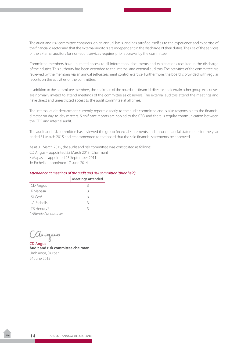The audit and risk committee considers, on an annual basis, and has satisfied itself as to the experience and expertise of the financial director and that the external auditors are independent in the discharge of their duties. The use of the services of the external auditors for non-audit services requires prior approval by the committee.

Committee members have unlimited access to all information, documents and explanations required in the discharge of their duties. This authority has been extended to the internal and external auditors. The activities of the committee are reviewed by the members via an annual self-assessment control exercise. Furthermore, the board is provided with regular reports on the activities of the committee.

In addition to the committee members, the chairman of the board, the financial director and certain other group executives are normally invited to attend meetings of the committee as observers. The external auditors attend the meetings and have direct and unrestricted access to the audit committee at all times.

The internal audit department currently reports directly to the audit committee and is also responsible to the financial director on day-to-day matters. Significant reports are copied to the CEO and there is regular communication between the CEO and internal audit.

The audit and risk committee has reviewed the group financial statements and annual financial statements for the year ended 31 March 2015 and recommended to the board that the said financial statements be approved.

As at 31 March 2015, the audit and risk committee was constituted as follows: CD Angus – appointed 25 March 2013 (Chairman) K Mapasa – appointed 23 September 2011 JA Etchells – appointed 17 June 2014

#### *Attendance at meetings of the audit and risk committee (three held)*

|                        | <b>Meetings attended</b> |
|------------------------|--------------------------|
| CD Angus               | 3                        |
| K Mapasa               | 3                        |
| $SI$ Cox $*$           | 3                        |
| JA Ftchells            | 3                        |
| TR Hendry*             | 3                        |
| * Attended as observer |                          |

angus

**CD Angus Audit and risk committee chairman** Umhlanga, Durban 24 June 2015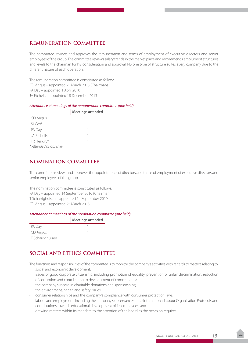## **REMUNERATION COMMITTEE**

The committee reviews and approves the remuneration and terms of employment of executive directors and senior employees of the group. The committee reviews salary trends in the market place and recommends emolument structures and levels to the chairman for his consideration and approval. No one type of structure suites every company due to the different nature of each operation.

The remuneration committee is constituted as follows: CD Angus – appointed 25 March 2013 (Chairman) PA Day – appointed 1 April 2010 JA Etchells – appointed 18 December 2013

#### *Attendance at meetings of the remuneration committee (one held)*

|                        | <b>Meetings attended</b> |
|------------------------|--------------------------|
| CD Angus               |                          |
| $SI$ Cox $*$           |                          |
| PA Day                 |                          |
| JA Ftchells            |                          |
| TR Hendry*             |                          |
| * Attended as observer |                          |

## **NOMINATION COMMITTEE**

The committee reviews and approves the appointments of directors and terms of employment of executive directors and senior employees of the group.

The nomination committee is constituted as follows: PA Day – appointed 14 September 2010 (Chairman) T Scharrighuisen – appointed 14 September 2010 CD Angus – appointed 25 March 2013

#### *Attendance at meetings of the nomination committee (one held)*

|                  | Meetings attended |
|------------------|-------------------|
| PA Day           |                   |
| CD Angus         |                   |
| T Scharrighuisen |                   |

## **SOCIAL AND ETHICS COMMITTEE**

The functions and responsibilities of the committee is to monitor the company's activities with regards to matters relating to:

- • social and economic development;
- • issues of good corporate citizenship, including promotion of equality, prevention of unfair discrimination, reduction of corruption and contribution to development of communities;
- the company's record in charitable donations and sponsorships;
- the environment, health and safety issues:
- consumer relationships and the company's compliance with consumer protection laws;
- • labour and employment, including the company's observance of the International Labour Organisation Protocols and contributions towards educational development of its employees; and
- • drawing matters within its mandate to the attention of the board as the occasion requires.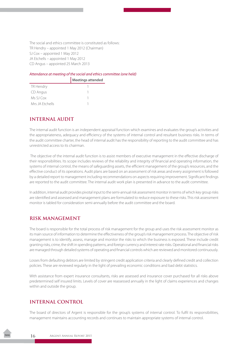The social and ethics committee is constituted as follows: TR Hendry – appointed 1 May 2012 (Chairman) SJ Cox – appointed 1 May 2012 JA Etchells – appointed 1 May 2012 CD Angus – appointed 25 March 2013

#### *Attendance at meeting of the social and ethics committee (one held)*

|                 | Meetings attended |
|-----------------|-------------------|
| TR Hendry       |                   |
| CD Angus        |                   |
| Ms SJ Cox       |                   |
| Mrs JA Ftchells |                   |

### **INTERNAL AUDIT**

The internal audit function is an independent appraisal function which examines and evaluates the group's activities and the appropriateness, adequacy and efficiency of the systems of internal control and resultant business risks. In terms of the audit committee charter, the head of internal audit has the responsibility of reporting to the audit committee and has unrestricted access to its chairman.

 The objective of the internal audit function is to assist members of executive management in the effective discharge of their responsibilities. Its scope includes reviews of the reliability and integrity of financial and operating information, the systems of internal control, the means of safeguarding assets, the efficient management of the group's resources, and the effective conduct of its operations. Audit plans are based on an assessment of risk areas and every assignment is followed by a detailed report to management including recommendations on aspects requiring improvement. Significant findings are reported to the audit committee. The internal audit work plan is presented in advance to the audit committee.

In addition, internal audit provides pivotal input to the semi-annual risk assessment monitor in terms of which key group risks are identified and assessed and management plans are formulated to reduce exposure to these risks. This risk assessment monitor is tabled for consideration semi-annually before the audit committee and the board.

### **RISK MANAGEMENT**

The board is responsible for the total process of risk management for the group and uses the risk assessment monitor as its main source of information to determine the effectiveness of the group's risk management process. The objective of risk management is to identify, assess, manage and monitor the risks to which the business is exposed. These include credit granting risks, crime, the shift in spending patterns, and foreign currency and interest rate risks. Operational and financial risks are managed through detailed systems of operating and financial controls which are reviewed and monitored continuously.

Losses from defaulting debtors are limited by stringent credit application criteria and clearly defined credit and collection policies. These are reviewed regularly in the light of prevailing economic conditions and bad debt statistics.

With assistance from expert insurance consultants, risks are assessed and insurance cover purchased for all risks above predetermined self insured limits. Levels of cover are reassessed annually in the light of claims experiences and changes within and outside the group.

### **INTERNAL CONTROL**

The board of directors of Argent is responsible for the group's systems of internal control. To fulfil its responsibilities, management maintains accounting records and continues to maintain appropriate systems of internal control.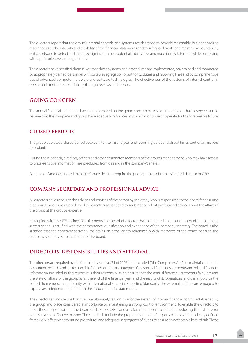The directors report that the group's internal controls and systems are designed to provide reasonable but not absolute assurance as to the integrity and reliability of the financial statements and to safeguard, verify and maintain accountability of its assets and to detect and minimize significant fraud, potential liability, loss and material misstatement while complying with applicable laws and regulations.

The directors have satisfied themselves that these systems and procedures are implemented, maintained and monitored by appropriately trained personnel with suitable segregation of authority, duties and reporting lines and by comprehensive use of advanced computer hardware and software technologies. The effectiveness of the systems of internal control in operation is monitored continually through reviews and reports.

## **GOING CONCERN**

The annual financial statements have been prepared on the going concern basis since the directors have every reason to believe that the company and group have adequate resources in place to continue to operate for the foreseeable future.

## **CLOSED PERIODS**

The group operates a closed period between its interim and year end reporting dates and also at times cautionary notices are extant.

During these periods, directors, officers and other designated members of the group's management who may have access to price-sensitive information, are precluded from dealing in the company's shares.

All directors' and designated managers' share dealings require the prior approval of the designated director or CEO.

## **COMPANY SECRETARY AND PROFESSIONAL ADVICE**

All directors have access to the advice and services of the company secretary, who is responsible to the board for ensuring that board procedures are followed. All directors are entitled to seek independent professional advice about the affairs of the group at the group's expense.

In keeping with the JSE Listings Requirements, the board of directors has conducted an annual review of the company secretary and is satisfied with the competence, qualification and experience of the company secretary. The board is also satisfied that the company secretary maintains an arms-length relationship with members of the board because the company secretary is not a director of the board.

## **DIRECTORS' RESPONSIBILITIES AND APPROVAL**

The directors are required by the Companies Act (No. 71 of 2008), as amended ("the Companies Act"), to maintain adequate accounting records and are responsible for the content and integrity of the annual financial statements and related financial information included in this report. It is their responsibility to ensure that the annual financial statements fairly present the state of affairs of the group as at the end of the financial year and the results of its operations and cash flows for the period then ended, in conformity with International Financial Reporting Standards. The external auditors are engaged to express an independent opinion on the annual financial statements.

The directors acknowledge that they are ultimately responsible for the system of internal financial control established by the group and place considerable importance on maintaining a strong control environment. To enable the directors to meet these responsibilities, the board of directors sets standards for internal control aimed at reducing the risk of error or loss in a cost effective manner. The standards include the proper delegation of responsibilities within a clearly defined framework, effective accounting procedures and adequate segregation of duties to ensure an acceptable level of risk. These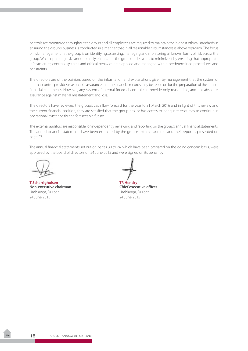controls are monitored throughout the group and all employees are required to maintain the highest ethical standards in ensuring the group's business is conducted in a manner that in all reasonable circumstances is above reproach. The focus of risk management in the group is on identifying, assessing, managing and monitoring all known forms of risk across the group. While operating risk cannot be fully eliminated, the group endeavours to minimize it by ensuring that appropriate infrastructure, controls, systems and ethical behaviour are applied and managed within predetermined procedures and constraints.

The directors are of the opinion, based on the information and explanations given by management that the system of internal control provides reasonable assurance that the financial records may be relied on for the preparation of the annual financial statements. However, any system of internal financial control can provide only reasonable, and not absolute, assurance against material misstatement and loss.

The directors have reviewed the group's cash flow forecast for the year to 31 March 2016 and in light of this review and the current financial position, they are satisfied that the group has, or has access to, adequate resources to continue in operational existence for the foreseeable future.

The external auditors are responsible for independently reviewing and reporting on the group's annual financial statements. The annual financial statements have been examined by the group's external auditors and their report is presented on page 27.

The annual financial statements set out on pages 30 to 74, which have been prepared on the going concern basis, were approved by the board of directors on 24 June 2015 and were signed on its behalf by:

T Scharrighuisen<br>
Non-executive chairman<br>
Non-executive chairman<br>
TR Hendry **Non-executive chairman** Umhlanga, Durban Umhlanga, Durban 24 June 2015 24 June 2015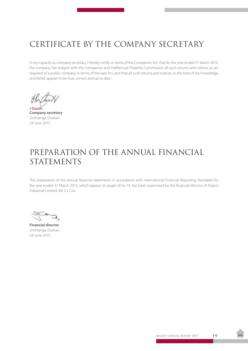## <span id="page-20-0"></span>CERTIFICATE BY THE COMPANY SECRETARY

In my capacity as company secretary, I hereby certify, in terms of the Companies Act, that for the year ended 31 March 2015, the company has lodged with the Companies and Intellectual Property Commission all such returns and notices as are required of a public company in terms of the said Act, and that all such returns and notices, to the best of my knowledge and belief, appear to be true, correct and up to date.

**J Dauth Company secretary** Umhlanga, Durban 24 June 2015

## PREPARATION OF THE ANNUAL FINANCIAL STATEMENTS

The preparation of the annual financial statements in accordance with International Financial Reporting Standards for the year ended 31 March 2015, which appear on pages 30 to 74, has been supervised by the financial director of Argent Industrial Limited, Ms S.J. Cox.

 $\overline{\mathcal{A}}$ 

**Financial director** Umhlanga, Durban 24 June 2015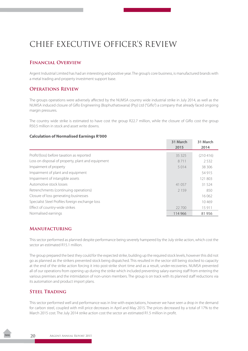## <span id="page-21-0"></span>CHIEF EXECUTIVE OFFICER'S REVIEW

## **Financial Overview**

Argent Industrial Limited has had an interesting and positive year. The group's core business, is manufactured brands with a metal trading and property investment support base.

#### **Operations Review**

The groups operations were adversely affected by the NUMSA country wide industrial strike in July 2014, as well as the NUMSA induced closure of Giflo Engineering (Bophuthatswana) (Pty) Ltd ("Giflo") a company that already faced ongoing margin pressures.

The country wide strike is estimated to have cost the group R22.7 million, while the closure of Giflo cost the group R50.5 million in stock and asset write downs.

#### **Calculation of Normalised Earnings R'000**

|                                                   | 31 March<br>2015 | 31 March<br>2014 |
|---------------------------------------------------|------------------|------------------|
| Profit/(loss) before taxation as reported         | 35 325           | (210416)         |
| Loss on disposal of property, plant and equipment | 8711             | 2.532            |
| Impairment of property                            | 5 0 1 4          | 38 306           |
| Impairment of plant and equipment                 |                  | 54 915           |
| Impairment of intangible assets                   |                  | 121 803          |
| Automotive stock losses                           | 41 057           | 31 524           |
| Retrenchments (continuing operations)             | 2 1 5 9          | 850              |
| Closure of loss generating businesses             |                  | 16 062           |
| Specialist Steel Profiles foreign exchange loss   |                  | 10469            |
| Effect of country-wide strikes                    | 22 700           | 15 911           |
| Normalised earnings                               | 114 966          | 81956            |

#### **Manufacturing**

This sector performed as planned despite performance being severely hampered by the July strike action, which cost the sector an estimated R15.1 million.

The group prepared the best they could for the expected strike, building up the required stock levels, however this did not go as planned as the strikers prevented stock being dispatched. This resulted in the sector still being stocked to capacity at the end of the strike action forcing it into post-strike short time and as a result, under-recoveries. NUMSA prevented all of our operations from opening up during the strike which included preventing salary-earning staff from entering the various premises and the intimidation of non-union members. The group is on track with its planned staff reductions via its automation and product import plans.

### **Steel Trading**

This sector performed well and performance was in line with expectations, however we have seen a drop in the demand for carbon steel, coupled with mill price decreases in April and May 2015. The prices decreased by a total of 17% to the March 2015 cost. The July 2014 strike action cost the sector an estimated R1.5 million in profit.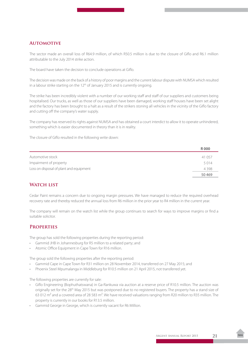## **Automotive**

The sector made an overall loss of R64.9 million, of which R50.5 million is due to the closure of Giflo and R6.1 million attributable to the July 2014 strike action.

The board have taken the decision to conclude operations at Giflo.

The decision was made on the back of a history of poor margins and the current labour dispute with NUMSA which resulted in a labour strike starting on the  $12<sup>th</sup>$  of January 2015 and is currently ongoing.

The strike has been incredibly violent with a number of our working staff and staff of our suppliers and customers being hospitalised. Our trucks, as well as those of our suppliers have been damaged, working staff houses have been set alight and the factory has been brought to a halt as a result of the strikers stoning all vehicles in the vicinity of the Giflo factory and cutting off the company's water supply.

The company has reserved its rights against NUMSA and has obtained a court interdict to allow it to operate unhindered, something which is easier documented in theory than it is in reality.

The closure of Giflo resulted in the following write down:

|                                         | R000    |
|-----------------------------------------|---------|
| Automotive stock                        | 41 057  |
| Impairment of property                  | 5014    |
| Loss on disposal of plant and equipment | 4 3 9 8 |
|                                         | 50469   |

## WATCH LIST

Cedar Paint remains a concern due to ongoing margin pressures. We have managed to reduce the required overhead recovery rate and thereby reduced the annual loss from R6 million in the prior year to R4 million in the current year.

The company will remain on the watch list while the group continues to search for ways to improve margins or find a suitable solicitor.

### **Properties**

The group has sold the following properties during the reporting period:

- Gammid JHB in Johannesburg for R5 million to a related party; and
- Atomic Office Equipment in Cape Town for R16 million.

The group sold the following properties after the reporting period:

- • Gammid Cape in Cape Town for R31 million on 28 November 2014, transferred on 27 May 2015; and
- Phoenix Steel Mpumalanga in Middleburg for R10.5 million on 21 April 2015, not transferred yet.

The following properties are currently for sale:

- • Giflo Engineering (Bophuthatswana) in Ga-Rankuwa via auction at a reserve price of R10.5 million. The auction was originally set for the 28<sup>th</sup> May 2015 but was postponed due to no registered buyers. The property has a stand size of 63 012 m² and a covered area of 28 583 m². We have received valuations ranging from R20 million to R35 million. The property is currently in our books for R13.5 million.
- Gammid George in George, which is currently vacant for R6 Million.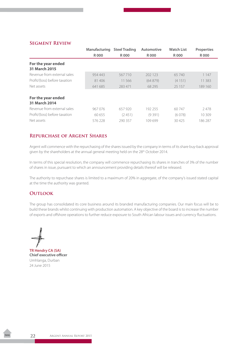#### **Segment Review**

|                                     | <b>Manufacturing</b> | <b>Steel Trading</b> | Automotive | <b>Watch List</b> | <b>Properties</b> |
|-------------------------------------|----------------------|----------------------|------------|-------------------|-------------------|
|                                     | R000                 | R000                 | R 000      | R000              | R 000             |
| For the year ended<br>31 March 2015 |                      |                      |            |                   |                   |
| Revenue from external sales         | 954 443              | 567710               | 202 123    | 65 740            | 1 1 4 7           |
| Profit/(loss) before taxation       | 81 40 6              | 11 566               | (64879)    | (4151)            | 11 383            |
| Net assets                          | 641 685              | 283 471              | 68 2 95    | 25 157            | 189 160           |
| For the year ended<br>31 March 2014 |                      |                      |            |                   |                   |
| Revenue from external sales         | 967076               | 657 920              | 192 255    | 60 747            | 2478              |
| Profit/(loss) before taxation       | 60 655               | (2451)               | (9391)     | (6078)            | 10309             |
| Net assets                          | 576 228              | 290357               | 109699     | 30425             | 186287            |

#### **Repurchase of Argent Shares**

Argent will commence with the repurchasing of the shares issued by the company in terms of its share buy-back approval given by the shareholders at the annual general meeting held on the 28<sup>th</sup> October 2014.

In terms of this special resolution, the company will commence repurchasing its shares in tranches of 3% of the number of shares in issue, pursuant to which an announcement providing details thereof will be released.

The authority to repurchase shares is limited to a maximum of 20% in aggregate, of the company's issued stated capital at the time the authority was granted.

#### **OUTLOOK**

The group has consolidated its core business around its branded manufacturing companies. Our main focus will be to build these brands whilst continuing with production automation. A key objective of the board is to increase the number of exports and offshore operations to further reduce exposure to South African labour issues and currency fluctuations.

**TR Hendry CA (SA)**

**Chief executive officer** Umhlanga, Durban 24 June 2015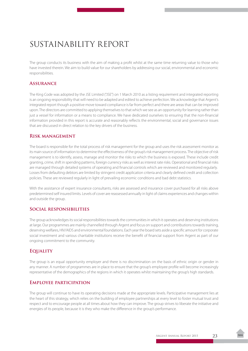## <span id="page-24-0"></span>SUSTAINABILITY REPORT

The group conducts its business with the aim of making a profit whilst at the same time returning value to those who have invested therein. We aim to build value for our shareholders by addressing our social, environmental and economic responsibilities.

### **Assurance**

The King Code was adopted by the JSE Limited ("JSE") on 1 March 2010 as a listing requirement and integrated reporting is an ongoing responsibility that will need to be adapted and edited to achieve perfection. We acknowledge that Argent's integrated report though a positive move toward compliance is far from perfect and there are areas that can be improved upon. The directors are committed to applying themselves to that which we see as an opportunity for learning rather than just a vessel for information or a means to compliance. We have dedicated ourselves to ensuring that the non-financial information provided in this report is accurate and reasonably reflects the environmental, social and governance issues that are discussed in direct relation to the key drivers of the business.

### **Risk management**

The board is responsible for the total process of risk management for the group and uses the risk assessment monitor as its main source of information to determine the effectiveness of the group's risk management process. The objective of risk management is to identify, assess, manage and monitor the risks to which the business is exposed. These include credit granting, crime, shift in spending patterns, foreign currency risks as well as interest rate risks. Operational and financial risks are managed through detailed systems of operating and financial controls which are reviewed and monitored regularly. Losses from defaulting debtors are limited by stringent credit application criteria and clearly defined credit and collection policies. These are reviewed regularly in light of prevailing economic conditions and bad debt statistics.

With the assistance of expert insurance consultants, risks are assessed and insurance cover purchased for all risks above predetermined self insured limits. Levels of cover are reassessed annually in light of claims experiences and changes within and outside the group.

## **Social responsibilities**

The group acknowledges its social responsibilities towards the communities in which it operates and deserving institutions at large. Our programmes are mainly channelled through Argent and focus on support and contributions towards training, deserving welfares, HIV/AIDS and environmental foundations. Each year the board sets aside a specific amount for corporate social investment and various charitable institutions receive the benefit of financial support from Argent as part of our ongoing commitment to the community.

## **Equality**

The group is an equal opportunity employer and there is no discrimination on the basis of ethnic origin or gender in any manner. A number of programmes are in place to ensure that the group's employee profile will become increasingly representative of the demographics of the regions in which it operates whilst maintaining the group's high standards.

### **Employee participation**

The group will continue to have its operating decisions made at the appropriate levels. Participative management lies at the heart of this strategy, which relies on the building of employee partnerships at every level to foster mutual trust and respect and to encourage people at all times about how they can improve. The group strives to liberate the initiative and energies of its people, because it is they who make the difference in the group's performance.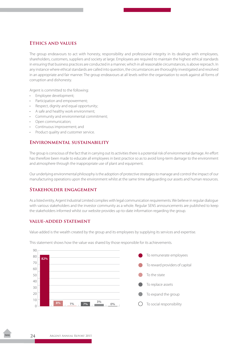### **Ethics and values**

The group endeavours to act with honesty, responsibility and professional integrity in its dealings with employees, shareholders, customers, suppliers and society at large. Employees are required to maintain the highest ethical standards in ensuring that business practices are conducted in a manner, which in all reasonable circumstances, is above reproach. In any instance where ethical standards are called into question, the circumstances are thoroughly investigated and resolved in an appropriate and fair manner. The group endeavours at all levels within the organisation to work against all forms of corruption and dishonesty.

Argent is committed to the following:

- Employee development;
- Participation and empowerment;
- Respect, dignity and equal opportunity;
- A safe and healthy work environment;
- Community and environmental commitment;
- Open communication;
- Continuous improvement; and
- Product quality and customer service.

#### **Environmental sustainability**

The group is conscious of the fact that in carrying out its activities there is a potential risk of environmental damage. An effort has therefore been made to educate all employees in best practice so as to avoid long-term damage to the environment and atmosphere through the inappropriate use of plant and equipment.

Our underlying environmental philosophy is the adoption of protective strategies to manage and control the impact of our manufacturing operations upon the environment whilst at the same time safeguarding our assets and human resources.

#### **Stakeholder engagement**

As a listed entity, Argent Industrial Limited complies with legal communication requirements. We believe in regular dialogue with various stakeholders and the investor community as a whole. Regular SENS announcements are published to keep the stakeholders informed whilst our website provides up-to-date information regarding the group.

#### **value-added statement**

Value-added is the wealth created by the group and its employees by supplying its services and expertise.

This statement shows how the value was shared by those responsible for its achievements.

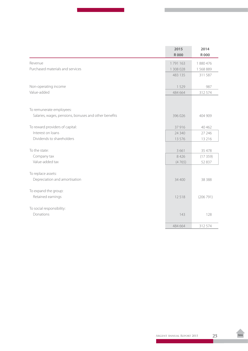|                                                       | 2015        | 2014        |
|-------------------------------------------------------|-------------|-------------|
|                                                       | <b>R000</b> | <b>R000</b> |
| Revenue                                               | 1791163     | 1880476     |
| Purchased materials and services                      | 1 308 028   | 1568889     |
|                                                       | 483 135     | 311587      |
|                                                       |             |             |
| Non-operating income                                  | 1529        | 987         |
| Value-added                                           | 484 664     | 312574      |
|                                                       |             |             |
|                                                       |             |             |
| To remunerate employees:                              |             |             |
| Salaries, wages, pensions, bonuses and other benefits | 396 026     | 404 909     |
|                                                       |             |             |
| To reward providers of capital:                       | 37916       | 40 462      |
| Interest on loans                                     | 24 340      | 27 24 6     |
| Dividends to shareholders                             | 13 5 7 6    | 13 2 16     |
| To the state:                                         | 3 6 6 1     | 35 478      |
| Company tax                                           | 8 4 2 6     | (17359)     |
| Value-added tax                                       | (4765)      | 52 837      |
|                                                       |             |             |
| To replace assets:                                    |             |             |
| Depreciation and amortisation                         | 34 400      | 38 3 8 8    |
|                                                       |             |             |
| To expand the group:                                  |             |             |
| Retained earnings                                     | 12518       | (206791)    |
|                                                       |             |             |
| To social responsibility:                             |             |             |
| Donations                                             | 143         | 128         |
|                                                       |             |             |
|                                                       | 484 664     | 312574      |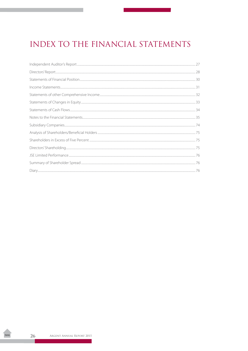## <span id="page-27-0"></span>**INDEX TO THE FINANCIAL STATEMENTS**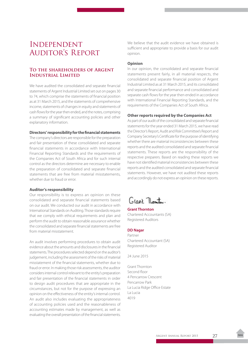## <span id="page-28-0"></span>Independent AUDITOR'S REPORT

### **To the shareholders of Argent Industrial Limited**

We have audited the consolidated and separate financial statements of Argent Industrial Limited set out on pages 30 to 74, which comprise the statements of financial position as at 31 March 2015, and the statements of comprehensive income, statements of changes in equity and statements of cash flows for the year then ended, and the notes, comprising a summary of significant accounting policies and other explanatory information.

#### **Directors' responsibility for the financial statements**

The company's directors are responsible for the preparation and fair presentation of these consolidated and separate financial statements in accordance with International Financial Reporting Standards and the requirements of the Companies Act of South Africa and for such internal control as the directors determine are necessary to enable the preparation of consolidated and separate financial statements that are free from material misstatements, whether due to fraud or error.

#### **Auditor's responsibility**

Our responsibility is to express an opinion on these consolidated and separate financial statements based on our audit. We conducted our audit in accordance with International Standards on Auditing. Those standards require that we comply with ethical requirements and plan and perform the audit to obtain reasonable assurance whether the consolidated and separate financial statements are free from material misstatement.

An audit involves performing procedures to obtain audit evidence about the amounts and disclosures in the financial statements. The procedures selected depend on the auditor's judgement, including the assessment of the risks of material misstatement of the financial statements, whether due to fraud or error. In making those risk assessments, the auditor considers internal control relevant to the entity's preparation and fair presentation of the financial statements in order to design audit procedures that are appropriate in the circumstances, but not for the purpose of expressing an opinion on the effectiveness of the entity's internal control. An audit also includes evaluating the appropriateness of accounting policies used and the reasonableness of accounting estimates made by management, as well as evaluating the overall presentation of the financial statements.

We believe that the audit evidence we have obtained is sufficient and appropriate to provide a basis for our audit opinion.

#### **Opinion**

In our opinion, the consolidated and separate financial statements present fairly, in all material respects, the consolidated and separate financial position of Argent Industrial Limited as at 31 March 2015, and its consolidated and separate financial performance and consolidated and separate cash flows for the year then ended in accordance with International Financial Reporting Standards, and the requirements of the Companies Act of South Africa.

#### **Other reports required by the Companies Act**

As part of our audit of the consolidated and separate financial statements for the year ended 31 March 2015, we have read the Director's Report, Audit and Risk Committee's Report and Company Secretary's Certificate for the purpose of identifying whether there are material inconsistencies between these reports and the audited consolidated and separate financial statements. These reports are the responsibility of the respective preparers. Based on reading these reports we have not identified material inconsistencies between these reports and the audited consolidated and separate financial statements. However, we have not audited these reports and accordingly do not express an opinion on these reports.

Grant Thornton.

**Grant Thornton** Chartered Accountants (SA) Registered Auditors

#### **DD Nagar**

Partner Chartered Accountant (SA) Registered Auditor

24 June 2015

Grant Thornton Second floor 4 Pencarrow Crescent Pencarrow Park La Lucia Ridge Office Estate La Lucia 4019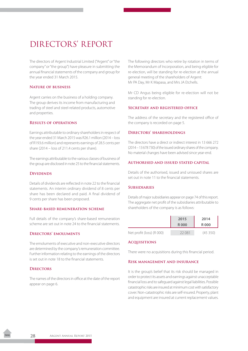## <span id="page-29-0"></span>DIRECTORS' REPORT

The directors of Argent Industrial Limited ("Argent" or "the company" or "the group") have pleasure in submitting the annual financial statements of the company and group for the year ended 31 March 2015.

#### **Nature of business**

Argent carries on the business of a holding company. The group derives its income from manufacturing and trading of steel and steel-related products, automotive and properties.

#### **Results of operations**

Earnings attributable to ordinary shareholders in respect of the year ended 31 March 2015 was R26.1 million (2014 – loss of R193.6 million) and represents earnings of 28.5 cents per share (2014 – loss of 211.4 cents per share).

The earnings attributable to the various classes of business of the group are disclosed in note 25 to the financial statements.

#### **DIVIDENDS**

Details of dividends are reflected in note 22 to the financial statements. An interim ordinary dividend of 8 cents per share has been declared and paid. A final dividend of 9 cents per share has been proposed.

#### **Share-based remuneration scheme**

Full details of the company's share-based remuneration scheme are set out in note 24 to the financial statements.

#### **Directors' emoluments**

The emoluments of executive and non-executive directors are determined by the company's remuneration committee. Further information relating to the earnings of the directors is set out in note 18 to the financial statements.

#### **Directors**

The names of the directors in office at the date of the report appear on page 6.

The following directors who retire by rotation in terms of the Memorandum of Incorporation, and being eligible for re-election, will be standing for re-election at the annual general meeting of the shareholders of Argent: Mr PA Day, Mr K Mapasa, and Mrs JA Etchells.

Mr CD Angus being eligible for re-election will not be standing for re-election.

#### **Secretary and registered office**

The address of the secretary and the registered office of the company is recorded on page 5.

#### **Directors' shareholdings**

The directors have a direct or indirect interest in 13 666 272 (2014 – 13 678 730) of the issued ordinary shares of the company. No material changes have been advised since year-end.

#### **Authorised and issued stated capital**

Details of the authorised, issued and unissued shares are set out in note 11 to the financial statements.

#### **Subsidiaries**

Details of major subsidiaries appear on page 74 of this report. The aggregate net profit of the subsidiaries attributable to shareholders of the company is as follows:

|                           | 2015        | 2014    |
|---------------------------|-------------|---------|
|                           | <b>R000</b> | R000    |
| Net profit (loss) (R 000) | 22 081      | (45350) |

#### **Acquisitions**

There were no acquisitions during this financial period.

#### **Risk management and insurance**

It is the group's belief that its risk should be managed in order to protect its assets and earnings against unacceptable financial loss and to safeguard against legal liabilities. Possible catastrophic risks are insured at minimum cost with satisfactory cover. Non-catastrophic risks are self-insured. Property, plant and equipment are insured at current replacement values.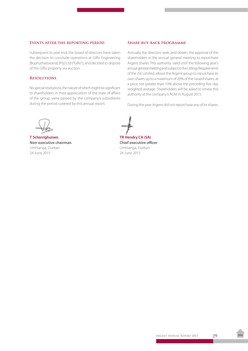#### **Events after the reporting period**

Subsequent to year end, the board of directors have taken the decision to conclude operations at Giflo Engineering (Bophuthatswana) (Pty) Ltd ("Giflo"), and decided to dispose of the Giflo property via auction.

#### **Resolutions**

No special resolutions, the nature of which might be significant to shareholders in their appreciation of the state of affairs of the group, were passed by the company's subsidiaries during the period covered by this annual report.

#### **Share buy-back programme**

Annually the directors seek, and obtain, the approval of the shareholders in the annual general meeting to repurchase Argent shares. This authority, valid until the following year's annual general meeting and subject to the Listings Requirements of the JSE Limited, allows the Argent group to repurchase its own shares up to a maximum of 20% of the issued shares, at a price not greater than 10% above the preceding five-day weighted average. Shareholders will be asked to renew this authority at the company's AGM in August 2015.

During the year Argent did not repurchase any of its shares.

**T Scharrighuisen TR Hendry CA (SA) Non-executive chairman Chief executive officer** Umhlanga, Durban Umhlanga, Durban 24 June 2015 24 June 2015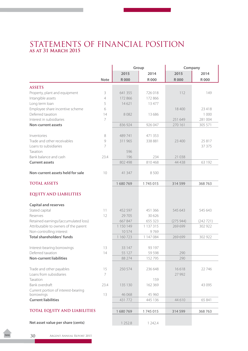## <span id="page-31-0"></span>STATEMENTS OF FINANCIAL POSITION **as at 31 March 2015**

|                                      |                |             | Group       | Company     |             |
|--------------------------------------|----------------|-------------|-------------|-------------|-------------|
|                                      |                | 2015        | 2014        | 2015        | 2014        |
|                                      | <b>Note</b>    | <b>R000</b> | <b>R000</b> | <b>R000</b> | <b>R000</b> |
| <b>ASSETS</b>                        |                |             |             |             |             |
| Property, plant and equipment        | 3              | 641 355     | 726 018     | 112         | 149         |
| Intangible assets                    | $\overline{4}$ | 172 866     | 172 866     |             |             |
| Long term loan                       | 5              | 14621       | 13 477      |             |             |
| Employee share incentive scheme      | 6              |             |             | 18400       | 23418       |
| Deferred taxation                    | 14             | 8082        | 13 686      |             | 1 0 0 0     |
| Interest in subsidiaries             | $\overline{7}$ |             |             | 251 649     | 281 004     |
| <b>Non-current assets</b>            |                | 836 924     | 926 047     | 270 161     | 305 571     |
| Inventories                          | 8              | 489741      | 471 353     |             |             |
| Trade and other receivables          | 9              | 311 965     | 338 881     | 23 400      | 25 817      |
| Loans to subsidiaries                | 7              |             |             |             | 37 375      |
| Taxation                             |                | 596         |             |             |             |
| Bank balance and cash                | 23.4           | 196         | 234         | 21 0 38     |             |
| <b>Current assets</b>                |                | 802 498     | 810 468     | 44 4 38     | 63 192      |
|                                      |                |             |             |             |             |
| Non-current assets held for sale     | 10             | 41 347      | 8500        |             |             |
| <b>TOTAL ASSETS</b>                  |                | 1680769     | 1745015     | 314 599     | 368763      |
| <b>EQUITY AND LIABILITIES</b>        |                |             |             |             |             |
| <b>Capital and reserves</b>          |                |             |             |             |             |
| Stated capital                       | 11             | 452 597     | 451 366     | 545 643     | 545 643     |
| Reserves                             | 12             | 29 705      | 30 626      |             |             |
| Retained earnings/(accumulated loss) |                | 667847      | 655 323     | (275944)    | (242 721)   |
| Attributable to owners of the parent |                | 1 150 149   | 1 137 315   | 269 699     | 302 922     |
| Non-controlling interest             |                | 10574       | 9769        |             |             |
| <b>Total shareholders' funds</b>     |                | 1 160 723   | 1 147 084   | 269 699     | 302 922     |
| Interest-bearing borrowings          | 13             | 33 147      | 93 197      |             |             |
| Deferred taxation                    | 14             | 55 127      | 59 598      | 290         |             |
| <b>Non-current liabilities</b>       |                | 88 274      | 152795      | 290         |             |
|                                      |                |             |             |             |             |
| Trade and other payables             | 15             | 250 574     | 236 648     | 16618       | 22 746      |
| Loans from subsidiaries              | 7              |             |             | 27 992      |             |
| Taxation                             |                |             | 159         |             |             |
| Bank overdraft                       | 23.4           | 135 130     | 162 369     |             | 43 0 95     |
| Current portion of interest-bearing  |                |             |             |             |             |
| borrowings                           | 13             | 46 068      | 45 960      |             |             |
| <b>Current liabilities</b>           |                | 431772      | 445 136     | 44 610      | 65 841      |
| TOTAL EQUITY AND LIABILITIES         |                | 1680769     | 1745015     | 314 599     | 368763      |
|                                      |                |             |             |             |             |
| Net asset value per share (cents)    |                | 1 2 5 2.8   | 1 242.4     |             |             |
|                                      |                |             |             |             |             |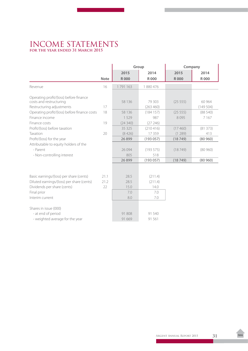## <span id="page-32-0"></span>INCOME STATEMENTS **for the year ended 31 March 2015**

|                                              |             | Group       |             | Company     |          |
|----------------------------------------------|-------------|-------------|-------------|-------------|----------|
|                                              |             | 2015        | 2014        | 2015        | 2014     |
|                                              | <b>Note</b> | <b>R000</b> | <b>R000</b> | <b>R000</b> | R 000    |
| Revenue                                      | 16          | 1791163     | 1880476     |             |          |
| Operating profit/(loss) before finance       |             |             |             |             |          |
| costs and restructuring                      |             | 58 136      | 79 303      | (25 555)    | 60 964   |
| Restructuring adjustments                    | 17          |             | (263 460)   |             | (149504) |
| Operating profit/(loss) before finance costs | 18          | 58 136      | (184157)    | (25 555)    | (88540)  |
| Finance income                               |             | 1529        | 987         | 8095        | 7 1 6 7  |
| Finance costs                                | 19          | (24340)     | (27246)     |             |          |
| Profit/(loss) before taxation                |             | 35 3 25     | (210416)    | (17460)     | (81373)  |
| Taxation                                     | 20          | (8426)      | 17359       | (1289)      | 413      |
| Profit/(loss) for the year                   |             | 26 8 9 9    | (193057)    | (18749)     | (80960)  |
| Attributable to equity holders of the        |             |             |             |             |          |
| - Parent                                     |             | 26 0 94     | (193575)    | (18749)     | (80960)  |
| - Non-controlling interest                   |             | 805         | 518         |             |          |
|                                              |             | 26899       | (193057)    | (18749)     | (80960)  |
|                                              |             |             |             |             |          |
| Basic earnings/(loss) per share (cents)      | 21.1        | 28.5        | (211.4)     |             |          |
| Diluted earnings/(loss) per share (cents)    | 21.2        | 28.5        | (211.4)     |             |          |
| Dividends per share (cents)                  | 22          | 15.0        | 14.0        |             |          |
| Final prior                                  |             | 7.0         | 7.0         |             |          |
| Interim current                              |             | 8.0         | 7.0         |             |          |
|                                              |             |             |             |             |          |
| Shares in issue (000)                        |             |             |             |             |          |
| - at end of period                           |             | 91808       | 91 540      |             |          |
| - weighted average for the year              |             | 91 669      | 91 561      |             |          |
|                                              |             |             |             |             |          |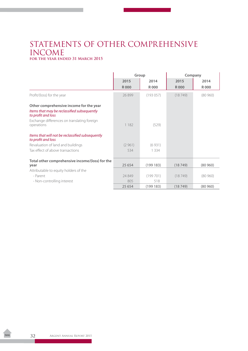## <span id="page-33-0"></span>STATEMENTS OF OTHER COMPREHENSIVE INCOME **for the year ended 31 March 2015**

|                                                                                                              | Group       |             | Company     |         |
|--------------------------------------------------------------------------------------------------------------|-------------|-------------|-------------|---------|
|                                                                                                              | 2015        | 2014        | 2015        | 2014    |
|                                                                                                              | <b>R000</b> | <b>R000</b> | <b>R000</b> | R 000   |
| Profit/(loss) for the year                                                                                   | 26899       | (193057)    | (18749)     | (80960) |
| Other comprehensive income for the year<br>Items that may be reclassified subsequently<br>to profit and loss |             |             |             |         |
| Exchange differences on translating foreign<br>operations                                                    | 1 1 8 2     | (529)       |             |         |
| Items that will not be reclassified subsequently<br>to profit and loss                                       |             |             |             |         |
| Revaluation of land and buildings                                                                            | (2961)      | (6931)      |             |         |
| Tax effect of above transactions                                                                             | 534         | 1 3 3 4     |             |         |
| Total other comprehensive income/(loss) for the<br>year                                                      | 25 6 5 4    | (199183)    | (18749)     | (80960) |
| Attributable to equity holders of the                                                                        |             |             |             |         |
| - Parent                                                                                                     | 24849       | (199701)    | (18749)     | (80960) |
| - Non-controlling interest                                                                                   | 805         | 518         |             |         |
|                                                                                                              | 25 654      | (199183)    | (18749)     | (80960) |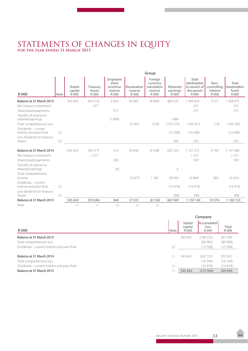## <span id="page-34-0"></span>STATEMENTS OF CHANGES IN EQUITY **for the year ended 31 March 2015**

|                                                   |      | Group                      |                             |                                                    |                                 |                                                        |                               |                                                              |                                          |                                         |
|---------------------------------------------------|------|----------------------------|-----------------------------|----------------------------------------------------|---------------------------------|--------------------------------------------------------|-------------------------------|--------------------------------------------------------------|------------------------------------------|-----------------------------------------|
| <b>R000</b>                                       | Note | Stated<br>capital<br>R 000 | Treasury<br>shares<br>R 000 | Employee<br>share<br>incentive<br>reserve<br>R 000 | Revaluation<br>reserve<br>R 000 | Foreign<br>currency<br>translation<br>reserve<br>R 000 | Retained<br>earnings<br>R 000 | Total<br>attributable<br>to owners of<br>the parent<br>R 000 | Non-<br>controlling<br>interest<br>R 000 | Total<br>shareholders'<br>funds<br>R000 |
| Balance at 31 March 2013                          |      | 545 643                    | (94514)                     | 2034                                               | 45 045                          | (8809)                                                 | 860 225                       | 1 349 624                                                    | 9 2 5 1                                  | 1 358 875                               |
| Net treasury movement                             |      |                            | 237                         |                                                    |                                 |                                                        |                               | 237                                                          |                                          | 237                                     |
| Share-based payments                              |      |                            |                             | 371                                                |                                 |                                                        |                               | 371                                                          |                                          | 371                                     |
| Transfer of reserve to<br>retained earnings       |      |                            |                             | (1889)                                             |                                 |                                                        | 1889                          |                                                              |                                          |                                         |
| Total comprehensive loss                          |      |                            |                             |                                                    | (5597)                          | (529)                                                  | (193575)                      | (199701)                                                     | 518                                      | (199183)                                |
| Dividends - current<br>interim and prior final    | 22   |                            |                             |                                                    |                                 |                                                        | (13508)                       | (13508)                                                      |                                          | (13508)                                 |
| Less dividend on treasury<br>shares               | 22   |                            |                             |                                                    |                                 |                                                        | 292                           | 292                                                          |                                          | 292                                     |
| Balance at 31 March 2014<br>Net treasury movement |      | 545 643                    | (94277)<br>1 2 3 1          | 516                                                | 39 4 48                         | (9338)                                                 | 655 323                       | 1 137 315<br>1 2 3 1                                         | 9769                                     | 1 147 084<br>1 2 3 1                    |
| Share-based payments                              |      |                            |                             | 330                                                |                                 |                                                        |                               | 330                                                          |                                          | 330                                     |
| Transfer of reserve to<br>retained earnings       |      |                            |                             | (6)                                                |                                 |                                                        | 6                             |                                                              |                                          |                                         |
| Total comprehensive<br>income                     |      |                            |                             |                                                    | (2427)                          | 1 1 8 2                                                | 26 0 94                       | 24 8 49                                                      | 805                                      | 25 654                                  |
| Dividends - current<br>interim and prior final    | 22   |                            |                             |                                                    |                                 |                                                        | (14474)                       | (14474)                                                      |                                          | (14474)                                 |
| Less dividend on treasury<br>shares               | 22   |                            |                             |                                                    |                                 |                                                        | 898                           | 898                                                          |                                          | 898                                     |
| Balance at 31 March 2015                          |      | 545 643                    | (93046)                     | 840                                                | 37021                           | (8156)                                                 | 667847                        | 1 150 149                                                    | 10574                                    | 1 160 723                               |
| Note                                              |      | 11                         | 11                          | 12                                                 | 12                              | 12                                                     |                               |                                                              |                                          |                                         |

|                                             | Company |                            |                              |                |
|---------------------------------------------|---------|----------------------------|------------------------------|----------------|
| R 000                                       | Note    | Stated<br>capital<br>R 000 | Accumulated<br>loss<br>R 000 | Total<br>R 000 |
| Balance at 31 March 2013                    |         | 545 643                    | (148 253)                    | 397 390        |
| Total comprehensive loss                    |         |                            | (80960)                      | (80960)        |
| Dividends – current interim and prior final | 22      |                            | (13508)                      | (13508)        |
| Balance at 31 March 2014                    | 11      | 545 643                    | (242 721)                    | 302 922        |
| Total comprehensive loss                    |         |                            | (18749)                      | (18749)        |
| Dividends - current interim and prior final | 22      |                            | (14474)                      | (14474)        |
| Balance at 31 March 2015                    |         | 545 643                    | (275944)                     | 269 699        |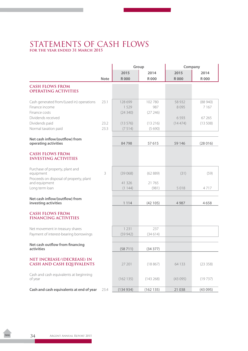## <span id="page-35-0"></span>STATEMENTS OF CASH FLOWS **for the year ended 31 March 2015**

|                                                                                                   |              |                            | Group                     |                         | Company                      |  |  |
|---------------------------------------------------------------------------------------------------|--------------|----------------------------|---------------------------|-------------------------|------------------------------|--|--|
|                                                                                                   |              | 2015                       | 2014                      | 2015                    | 2014                         |  |  |
|                                                                                                   | <b>Note</b>  | <b>R000</b>                | <b>R000</b>               | <b>R000</b>             | <b>R000</b>                  |  |  |
| <b>CASH FLOWS FROM</b><br><b>OPERATING ACTIVITIES</b>                                             |              |                            |                           |                         |                              |  |  |
| Cash generated from/(used in) operations<br>Finance income<br>Finance costs<br>Dividends received | 23.1         | 128 699<br>1529<br>(24340) | 102 780<br>987<br>(27246) | 58 9 32<br>8095<br>6593 | (88940)<br>7 1 6 7<br>67 265 |  |  |
| Dividends paid<br>Normal taxation paid                                                            | 23.2<br>23.3 | (13576)<br>(7514)          | (13216)<br>(5690)         | (14474)                 | (13508)                      |  |  |
| Net cash inflow/(outflow) from<br>operating activities                                            |              | 84798                      | 57 615                    | 59 146                  | (28016)                      |  |  |
| <b>CASH FLOWS FROM</b><br><b>INVESTING ACTIVITIES</b>                                             |              |                            |                           |                         |                              |  |  |
| Purchase of property, plant and<br>equipment<br>Proceeds on disposal of property, plant           | 3            | (39068)                    | (62889)                   | (31)                    | (59)                         |  |  |
| and equipment<br>Long term loan                                                                   |              | 41326<br>(1144)            | 21 765<br>(981)           | 5 0 1 8                 | 4717                         |  |  |
| Net cash inflow/(outflow) from<br>investing activities                                            |              | 1 1 1 4                    | (42105)                   | 4 9 8 7                 | 4658                         |  |  |
| <b>CASH FLOWS FROM</b><br><b>FINANCING ACTIVITIES</b>                                             |              |                            |                           |                         |                              |  |  |
| Net movement in treasury shares<br>Payment of interest-bearing borrowings                         |              | 1 2 3 1<br>(59942)         | 237<br>(34614)            |                         |                              |  |  |
| Net cash outflow from financing<br>activities                                                     |              | (58711)                    | (34377)                   |                         |                              |  |  |
| NET INCREASE/(DECREASE) IN<br><b>CASH AND CASH EQUIVALENTS</b>                                    |              | 27 201                     | (18867)                   | 64 1 3 3                | (23358)                      |  |  |
| Cash and cash equivalents at beginning<br>of year                                                 |              | (162135)                   | (143 268)                 | (43095)                 | (19737)                      |  |  |
| Cash and cash equivalents at end of year                                                          | 23.4         | (134934)                   | (162135)                  | 21 0 38                 | (43095)                      |  |  |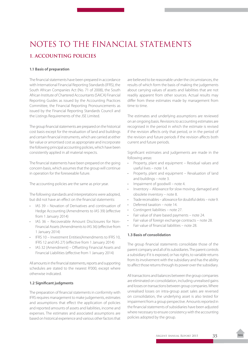# NOTES TO THE FINANCIAL STATEMENTS **1. ACCOUNTING POLICIES**

### **1.1 Basis of preparation**

The financial statements have been prepared in accordance with International Financial Reporting Standards (IFRS), the South African Companies Act (No. 71 of 2008), the South African Institute of Chartered Accountants (SAICA) Financial Reporting Guides as issued by the Accounting Practices Committee, the Financial Reporting Pronouncements as issued by the Financial Reporting Standards Council and the Listings Requirements of the JSE Limited.

The group financial statements are prepared on the historical cost basis except for the revaluation of land and buildings and certain financial instruments, which are carried at either fair value or amortised cost as appropriate and incorporate the following principal accounting policies, which have been consistently applied in all material respects.

The financial statements have been prepared on the going concern basis, which assumes that the group will continue in operation for the foreseeable future.

The accounting policies are the same as prior year.

The following standards and interpretations were adopted, but did not have an effect on the financial statements:

- IAS 39 Novation of Derivatives and continuation of Hedge Accounting (Amendments to IAS 39) (effective from 1 January 2014)
- • IAS 36 Recoverable Amount Disclosures for Non-Financial Assets (Amendments to IAS 36) (effective from 1 January 2014)
- • IFRS 10 Investment Entities(Amendments to IFRS 10, IFRS 12 and IAS 27) (effective from 1 January 2014)
- IAS 32 (Amendment) Offsetting Financial Assets and Financial Liabilities (effective from 1 January 2014)

All amounts in the financial statements, reports and supporting schedules are stated to the nearest R'000, except where otherwise indicated.

### **1.2 Significant judgments**

The preparation of financial statements in conformity with IFRS requires management to make judgements, estimates and assumptions that effect the application of policies and reported amounts of assets and liabilities, income and expenses. The estimates and associated assumptions are based on historical experience and various other factors that

are believed to be reasonable under the circumstances, the results of which form the basis of making the judgements about carrying values of assets and liabilities that are not readily apparent from other sources. Actual results may differ from these estimates made by management from time to time.

The estimates and underlying assumptions are reviewed on an ongoing basis. Revisions to accounting estimates are recognised in the period in which the estimate is revised if the revision affects only that period, or in the period of the revision and future periods if the revision affects both current and future periods.

Significant estimates and judgements are made in the following areas:

- Property, plant and equipment Residual values and useful lives – note 1.4.
- Property, plant and equipment Revaluation of land and buildings – note 3.
- Impairment of goodwill note 4.
- Inventory Allowance for slow moving, damaged and obsolete inventory – note 8.
- Trade receivables allowance for doubtful debts note 9.
- Deferred taxation note 14.
- Contingent liabilities note 27.
- Fair value of share based payments note 24.
- Fair value of foreign exchange contracts note 28.
- Fair value of financial liabilities note 28.

### **1.3 Basis of consolidation**

The group financial statements consolidate those of the parent company and all of its subsidiaries. The parent controls a subsidiary if it is exposed, or has rights, to variable returns from its involvement with the subsidiary and has the ability to affect those returns through its power over the subsidiary.

All transactions and balances between the group companies are eliminated on consolidation, including unrealised gains and losses on transactions between group companies. Where unrealised losses on intra-group asset sales are reversed on consolidation, the underlying asset is also tested for impairment from a group perspective. Amounts reported in the financial statements of subsidiaries have been adjusted where necessary to ensure consistency with the accounting policies adopted by the group.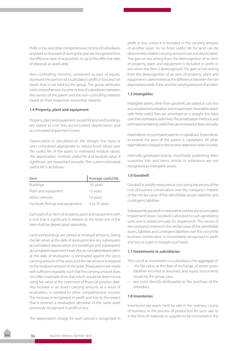Profit or loss and other comprehensive income of subsidiaries acquired or disposed of during the year are recognised from the effective date of acquisition, or up to the effective date of disposal, as applicable.

Non-controlling interests, presented as part of equity, represent the portion of a subsidiary's profit or loss and net assets that is not held by the group. The group attributes total comprehensive income or loss of subsidiaries between the owners of the parent and the non-controlling interests based on their respective ownership interests.

### **1.4 Property, plant and equipment**

Property, plant and equipment, except for land and buildings, are stated at cost less accumulated depreciation and accumulated impairment losses.

Depreciation is calculated on the straight line basis at rates considered appropriate to reduce book values over the useful life of the assets to estimated residual values. The depreciation method, useful life and residual value, if significant, are reassessed annually. The current estimated useful life is as follows:

| Item                              | Average useful life |
|-----------------------------------|---------------------|
| <b>Buildings</b>                  | 50 years            |
| Plant and equipment               | 15 years            |
| Motor vehicles                    | 10 years            |
| Furniture, fittings and equipment | 3 to 10 years       |

Each part of an item of property, plant and equipment with a cost that is significant in relation to the total cost of the item shall be depreciated separately.

Land and buildings are carried at revalued amounts, being the fair values at the date of revaluation less any subsequent accumulated depreciation (on buildings) and subsequent accumulated impairment losses. Any accumulated depreciation at the date of revaluation is eliminated against the gross carrying amount of the asset, and the net amount is restated to the revalued amount of the asset. Revaluations are made with sufficient regularity such that the carrying amount does not differ materially from that which would be determined using fair value at the statement of financial position date. Any increase in an asset's carrying amount, as a result of revaluation, is credited to other comprehensive income. The increase is recognised in profit and loss to the extent that it reverses a revaluation decrease of the same asset previously recognised in profit or loss.

The depreciation charge for each period is recognised in

profit or loss unless it is included in the carrying amount of another asset. As no finite useful life for land can be determined, related carrying amounts are not depreciated. The gain or loss arising from the derecognition of an item of property, plant and equipment is included in profit or loss when the item is derecognised. The gain or loss arising from the derecognition of an item of property, plant and equipment is determined as the difference between the net disposal proceeds, if any, and the carrying amount of an item.

### **1.5 Intangibles**

Intangible assets, other than goodwill, are stated at cost less accumulated amortisation and impairment. Intangible assets with finite useful lives are amortised on a straight line basis over their estimated useful lives. The amortisation methods and estimated remaining useful lives are reviewed at least annually.

Expenditure on purchased patents is capitalised. Expenditure to extend the term of the patent is capitalised. All other expenditure is charged to the income statement when incurred.

Internally generated brands, mastheads, publishing titles, customer lists and items similar in substance are not recognised as intangible assets.

### **1.6 Goodwill**

Goodwill is initially measured at cost, being the excess of the cost of business combination over the company's interest of the net fair value of the identifiable assets, liabilities and contingent liabilities.

Subsequently goodwill is measured at cost less any accumulated impairment losses. Goodwill is allocated to cash-generating units and is tested annually for impairment. The excess of the company's interest in the net fair value of the identifiable assets, liabilities and contingent liabilities over the cost of the business combination is immediately recognised in profit and loss as a gain in bargain purchases.

### **1.7 Investments in subsidiaries**

The cost of an investment in a subsidiary is the aggregate of:

- the fair value, at the date of exchange, of assets given, liabilities incurred or assumed, and equity instruments issued by the group; plus
- • any costs directly attributable to the purchase of the subsidiary.

### **1.8 Inventories**

Inventories are assets held for sale in the ordinary course of business, in the process of production for such sale or in the form of materials or supplies to be consumed in the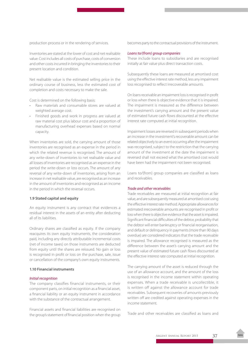production process or in the rendering of services.

Inventories are stated at the lower of cost and net realisable value. Cost includes all costs of purchase, costs of conversion and other costs incurred in bringing the inventories to their present location and condition.

Net realisable value is the estimated selling price in the ordinary course of business, less the estimated cost of completion and costs necessary to make the sale.

Cost is determined on the following basis:

- Raw materials and consumable stores are valued at weighted average cost.
- Finished goods and work in progress are valued at raw material cost plus labour cost and a proportion of manufacturing overhead expenses based on normal capacity.

When inventories are sold, the carrying amount of those inventories are recognised as an expense in the period in which the related revenue is recognised. The amount of any write-down of inventories to net realisable value and all losses of inventories are recognised as an expense in the period the write-down or loss occurs. The amount of any reversal of any write-down of inventories, arising from an increase in net realisable value, are recognised as an increase in the amount of inventories and recognised as an income in the period in which the reversal occurs.

### **1.9 Stated capital and equity**

An equity instrument is any contract that evidences a residual interest in the assets of an entity after deducting all of its liabilities.

Ordinary shares are classified as equity. If the company reacquires its own equity instruments, the consideration paid, including any directly attributable incremental costs (net of income taxes) on those instruments are deducted from equity until the shares are reissued. No gain or loss is recognised in profit or loss on the purchase, sale, issue or cancellation of the company's own equity instruments.

#### **1.10 Financial instruments**

#### *Initial recognition*

The company classifies financial instruments, or their component parts, on initial recognition as a financial asset, a financial liability or an equity instrument in accordance with the substance of the contractual arrangement.

Financial assets and financial liabilities are recognised on the group's statement of financial position when the group becomes party to the contractual provisions of the instrument.

#### *Loans to/(from) group companies*

These include loans to subsidiaries and are recognised initially at fair value plus direct transaction costs.

Subsequently these loans are measured at amortised cost using the effective interest rate method, less any impairment loss recognised to reflect irrecoverable amounts.

On loans receivable an impairment loss is recognised in profit or loss when there is objective evidence that it is impaired. The impairment is measured as the difference between the investment's carrying amount and the present value of estimated future cash flows discounted at the effective interest rate computed at initial recognition.

Impairment losses are reversed in subsequent periods when an increase in the investment's recoverable amount can be related objectively to an event occurring after the impairment was recognised, subject to the restriction that the carrying amount of the investment at the date the impairment is reversed shall not exceed what the amortised cost would have been had the impairment not been recognised.

Loans to/(from) group companies are classified as loans and receivables.

#### *Trade and other receivables*

Trade receivables are measured at initial recognition at fair value, and are subsequently measured at amortised cost using the effective interest rate method. Appropriate allowances for estimated irrecoverable amounts are recognised in profit or loss when there is objective evidence that the asset is impaired. Significant financial difficulties of the debtor, probability that the debtor will enter bankruptcy or financial reorganisation, and default or delinquency in payments (more than 90 days overdue) are considered indicators that the trade receivable is impaired. The allowance recognised is measured as the difference between the asset's carrying amount and the present value of estimated future cash flows discounted at the effective interest rate computed at initial recognition.

The carrying amount of the asset is reduced through the use of an allowance account, and the amount of the loss is recognised in the income statement within operating expenses. When a trade receivable is uncollectible, it is written off against the allowance account for trade receivables. Subsequent recoveries of amounts previously written off are credited against operating expenses in the income statement.

Trade and other receivables are classified as loans and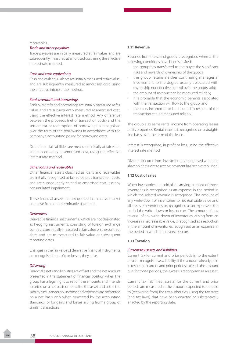#### receivables.

#### *Trade and other payables*

Trade payables are initially measured at fair value, and are subsequently measured at amortised cost, using the effective interest rate method.

### *Cash and cash equivalents*

Cash and cash equivalents are initially measured at fair value, and are subsequently measured at amortised cost, using the effective interest rate method.

#### *Bank overdraft and borrowings*

Bank overdrafts and borrowings are initially measured at fair value, and are subsequently measured at amortised cost, using the effective interest rate method. Any difference between the proceeds (net of transaction costs) and the settlement or redemption of borrowings is recognised over the term of the borrowings in accordance with the company's accounting policy for borrowing costs.

Other financial liabilities are measured initially at fair value and subsequently at amortised cost, using the effective interest rate method.

### *Other loans and receivables*

Other financial assets classified as loans and receivables are initially recognised at fair value plus transaction costs, and are subsequently carried at amortised cost less any accumulated impairment.

These financial assets are not quoted in an active market and have fixed or determinable payments.

#### *Derivatives*

Derivative financial instruments, which are not designated as hedging instruments, consisting of foreign exchange contracts, are initially measured at fair value on the contract date, and are re-measured to fair value at subsequent reporting dates.

Changes in the fair value of derivative financial instruments are recognised in profit or loss as they arise.

#### *Offsetting*

Financial assets and liabilities are off-set and the net amount presented in the statement of financial position when the group has a legal right to set off the amounts and intends to settle on a net basis or to realise the asset and settle the liability simultaneously. Income and expenses are presented on a net basis only when permitted by the accounting standards, or for gains and losses arising from a group of similar transactions.

### **1.11 Revenue**

Revenue from the sale of goods is recognised when all the following conditions have been satisfied:

- • the group has transferred to the buyer the significant risks and rewards of ownership of the goods;
- the group retains neither continuing managerial involvement to the degree usually associated with ownership nor effective control over the goods sold;
- the amount of revenue can be measured reliably;
- it is probable that the economic benefits associated with the transaction will flow to the group; and
- the costs incurred or to be incurred in respect of the transaction can be measured reliably.

The group also earns rental income from operating leases on its properties. Rental income is recognised on a straightline basis over the term of the lease.

Interest is recognised, in profit or loss, using the effective interest rate method.

Dividend income from investments is recognised when the shareholder's right to receive payment has been established.

### **1.12 Cost of sales**

When inventories are sold, the carrying amount of those inventories is recognised as an expense in the period in which the related revenue is recognised. The amount of any write-down of inventories to net realisable value and all losses of inventories are recognised as an expense in the period the write-down or loss occurs. The amount of any reversal of any write-down of inventories, arising from an increase in net realisable value, is recognised as a reduction in the amount of inventories recognised as an expense in the period in which the reversal occurs.

### **1.13 Taxation**

#### *Current tax assets and liabilities*

Current tax for current and prior periods is, to the extent unpaid, recognised as a liability. If the amount already paid in respect of current and prior periods exceeds the amount due for those periods, the excess is recognised as an asset.

Current tax liabilities (assets) for the current and prior periods are measured at the amount expected to be paid to (recovered from) the tax authorities, using the tax rates (and tax laws) that have been enacted or substantively enacted by the reporting date.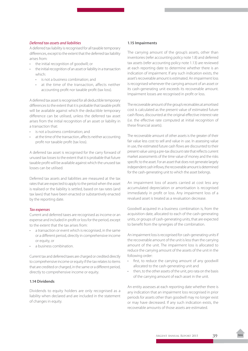### *Deferred tax assets and liabilities*

A deferred tax liability is recognised for all taxable temporary differences, except to the extent that the deferred tax liability arises from:

- the initial recognition of goodwill; or
- the initial recognition of an asset or liability in a transaction which:
	- • is not a business combination; and
	- at the time of the transaction, affects neither accounting profit nor taxable profit (tax loss).

A deferred tax asset is recognised for all deductible temporary differences to the extent that it is probable that taxable profit will be available against which the deductible temporary difference can be utilised, unless the deferred tax asset arises from the initial recognition of an asset or liability in a transaction that:

- is not a business combination; and
- at the time of the transaction, affects neither accounting profit nor taxable profit (tax loss).

A deferred tax asset is recognised for the carry forward of unused tax losses to the extent that it is probable that future taxable profit will be available against which the unused tax losses can be utilised.

Deferred tax assets and liabilities are measured at the tax rates that are expected to apply to the period when the asset is realised or the liability is settled, based on tax rates (and tax laws) that have been enacted or substantively enacted by the reporting date.

### *Tax expenses*

Current and deferred taxes are recognised as income or an expense and included in profit or loss for the period, except to the extent that the tax arises from:

- a transaction or event which is recognised, in the same or a different period, directly in comprehensive income or equity, or
- a business combination.

Current tax and deferred taxes are charged or credited directly to comprehensive income or equity if the tax relates to items that are credited or charged, in the same or a different period, directly to comprehensive income or equity.

### **1.14 Dividends**

Dividends to equity holders are only recognised as a liability when declared and are included in the statement of changes in equity.

### **1.15 Impairments**

The carrying amount of the group's assets, other than inventories (refer accounting policy note 1.8) and deferred tax assets (refer accounting policy note 1.13) are reviewed at each reporting date to determine whether there is an indication of impairment. If any such indication exists, the asset's recoverable amount is estimated. An impairment loss is recognised whenever the carrying amount of an asset or its cash-generating unit exceeds its recoverable amount. Impairment losses are recognised in profit or loss.

The recoverable amount of the group's receivables at amortised cost is calculated as the present value of estimated future cash flows, discounted at the original effective interest rate (i.e. the effective rate computed at initial recognition of these financial assets).

The recoverable amount of other assets is the greater of their fair value less cost to sell and value in use. In assessing value in use, the estimated future cash flows are discounted to their present value using a pre-tax discount rate that reflects current market assessments of the time value of money and the risks specific to the asset. For an asset that does not generate largely independent cash inflows, the recoverable amount is determined for the cash-generating unit to which the asset belongs.

An impairment loss of assets carried at cost less any accumulated depreciation or amortisation is recognised immediately in profit or loss. Any impairment loss of a revalued asset is treated as a revaluation decrease.

Goodwill acquired in a business combination is, from the acquisition date, allocated to each of the cash-generating units, or groups of cash-generating units, that are expected to benefit from the synergies of the combination.

An impairment loss is recognised for cash-generating units if the recoverable amount of the unit is less than the carrying amount of the unit. The impairment loss is allocated to reduce the carrying amount of the assets of the unit in the following order:

- first, to reduce the carrying amount of any goodwill allocated to the cash-generating unit and
- then, to the other assets of the unit, pro rata on the basis of the carrying amount of each asset in the unit.

An entity assesses at each reporting date whether there is any indication that an impairment loss recognised in prior periods for assets other than goodwill may no longer exist or may have decreased. If any such indication exists, the recoverable amounts of those assets are estimated.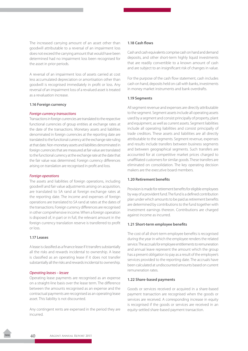The increased carrying amount of an asset other than goodwill attributable to a reversal of an impairment loss does not exceed the carrying amount that would have been determined had no impairment loss been recognised for the asset in prior periods.

A reversal of an impairment loss of assets carried at cost less accumulated depreciation or amortisation other than goodwill is recognised immediately in profit or loss. Any reversal of an impairment loss of a revalued asset is treated as a revaluation increase.

#### **1.16 Foreign currency**

### *Foreign currency transactions*

Transactions in foreign currencies are translated to the respective functional currencies of group entities at exchange rates at the date of the transactions. Monetary assets and liabilities denominated in foreign currencies at the reporting date are translated to the functional currency at the exchange rate ruling at that date. Non-monetary assets and liabilities denominated in foreign currencies that are measured at fair value are translated to the functional currency at the exchange rate at the date that the fair value was determined. Foreign currency differences arising on translation are recognised in profit and loss.

#### *Foreign operations*

The assets and liabilities of foreign operations, including goodwill and fair value adjustments arising on acquisition, are translated to SA rand at foreign exchange rates at the reporting date. The income and expenses of foreign operations are translated to SA rand at rates at the dates of the transactions. Foreign currency differences are recognised in other comprehensive income. When a foreign operation is disposed of, in part or in full, the relevant amount in the foreign currency translation reserve is transferred to profit or loss.

### **1.17 Leases**

A lease is classified as a finance lease if it transfers substantially all the risks and rewards incidental to ownership. A lease is classified as an operating lease if it does not transfer substantially all the risks and rewards incidental to ownership.

#### *Operating leases – lessee*

Operating lease payments are recognised as an expense on a straight-line basis over the lease term. The difference between the amounts recognised as an expense and the contractual payments are recognised as an operating lease asset. This liability is not discounted.

Any contingent rents are expensed in the period they are incurred.

### **1.18 Cash flows**

Cash and cash equivalents comprise cash on hand and demand deposits, and other short-term highly liquid investments that are readily convertible to a known amount of cash and are subject to an insignificant risk of changes in value.

For the purpose of the cash flow statement, cash includes cash on hand, deposits held on call with banks, investments in money market instruments and bank overdrafts.

### **1.19 Segments**

All segment revenue and expenses are directly attributable to the segment. Segment assets include all operating assets used by a segment and consist principally of property, plant and equipment, as well as current assets. Segment liabilities include all operating liabilities and consist principally of trade creditors. These assets and liabilities are all directly attributable to the segments. Segment revenue, expenses and results include transfers between business segments and between geographical segments. Such transfers are accounted for at competitive market prices charged to unaffiliated customers for similar goods. These transfers are eliminated on consolidation. The key operating decision makers are the executive board members.

### **1.20 Retirement benefits**

Provision is made for retirement benefits for eligible employees by way of a provident fund. The fund is a defined contribution plan under which amounts to be paid as retirement benefits are determined by contributions to the fund together with investment earnings thereon. Contributions are charged against income as incurred.

#### **1.21 Short-term employee benefits**

The cost of all short-term employee benefits is recognised during the year in which the employee renders the related service. The accruals for employee entitlements to remuneration and annual leave represent the amount which the group has a present obligation to pay as a result of the employee's services provided to the reporting date. The accruals have been calculated at undiscounted amounts based on current remuneration rates.

### **1.22 Share-based payments**

Goods or services received or acquired in a share-based payment transaction are recognised when the goods or services are received. A corresponding increase in equity is recognised if the goods or services are received in an equity-settled share-based payment transaction.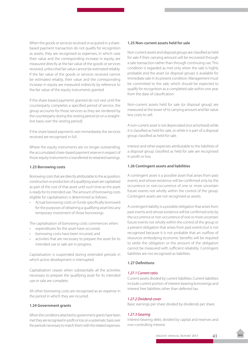When the goods or services received or acquired in a sharebased payment transaction do not qualify for recognition as assets, they are recognised as expenses, in which case their value and the corresponding increase in equity, are measured directly at the fair value of the goods or services received, unless that fair value cannot be estimated reliably. If the fair value of the goods or services received cannot be estimated reliably, their value and the corresponding increase in equity are measured indirectly by reference to the fair value of the equity instruments granted.

If the share-based payments granted do not vest until the counterparty completes a specified period of service, the group accounts for those services as they are rendered by the counterparty during the vesting period (or on a straightline basis over the vesting period).

If the share based payments vest immediately the services received are recognised in full.

Where the equity instruments are no longer outstanding, the accumulated share-based payment reserve in respect of those equity instruments is transferred to retained earnings.

### **1.23 Borrowing costs**

Borrowing costs that are directly attributable to the acquisition, construction or production of a qualifying asset are capitalised as part of the cost of that asset until such time as the asset is ready for its intended use. The amount of borrowing costs eligible for capitalisation is determined as follows:

Actual borrowing costs on funds specifically borrowed for the purposes of obtaining a qualifying asset less any temporary investment of those borrowings.

The capitalisation of borrowing costs commences when:

- • expenditures for the asset have occurred;
- borrowing costs have been incurred, and
- activities that are necessary to prepare the asset for its intended use or sale are in progress.

Capitalisation is suspended during extended periods in which active development is interrupted.

Capitalisation ceases when substantially all the activities necessary to prepare the qualifying asset for its intended use or sale are complete.

All other borrowing costs are recognised as an expense in the period in which they are incurred.

### **1.24 Government grants**

When the conditions attached to government grants have been met they are recognised in profit or loss on a systematic basis over the periods necessary to match them with the related expenses.

### **1.25 Non-current assets held for sale**

Non-current assets and disposal groups are classified as held for sale if their carrying amount will be recovered through a sale transaction rather than through continuing use. This condition is regarded as met only when the sale is highly probable and the asset (or disposal group) is available for immediate sale in its present condition. Management must be committed to the sale, which should be expected to qualify for recognition as a completed sale within one year from the date of classification.

Non-current assets held for sale (or disposal group) are measured at the lower of its carrying amount and fair value less costs to sell.

A non-current asset is not depreciated (nor amortised) while it is classified as held for sale, or while it is part of a disposal group classified as held for sale.

Interest and other expenses attributable to the liabilities of a disposal group classified as held for sale are recognised in profit or loss.

### **1.26 Contingent assets and liabilities**

A contingent asset is a possible asset that arises from past events and whose existence will be confirmed only by the occurrence or non-occurrence of one or more uncertain future events not wholly within the control of the group. Contingent assets are not recognised as assets.

A contingent liability is a possible obligation that arises from past events and whose existence will be confirmed only by the occurrence or non-occurrence of one or more uncertain future events not wholly within the control of the group or a present obligation that arises from past events but is not recognised because it is not probable that an outflow of resources embodying economic benefits will be required to settle the obligation or the amount of the obligation cannot be measured with sufficient reliability. Contingent liabilities are not recognised as liabilities.

### **1.27 Definitions**

### *1.27.1 Current ratio*

Current assets divided by current liabilities. Current liabilities include current portion of interest-bearing borrowings and interest free liabilities other than deferred tax.

### *1.27.2 Dividend cover*

Basic earnings per share divided by dividends per share.

#### *1.27.3 Gearing*

Interest-bearing debt, divided by capital and reserves and non-controlling interest.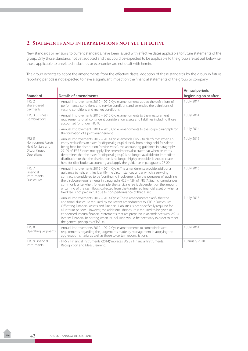### **2. Statements and interpretations not yet effective**

New standards or revisions to current standards, have been issued with effective dates applicable to future statements of the group. Only those standards not yet adopted and that could be expected to be applicable to the group are set out below, i.e. those applicable to unrelated industries or economies are not dealt with herein.

The group expects to adopt the amendments from the effective dates. Adoption of these standards by the group in future reporting periods is not expected to have a significant impact on the financial statements of the group or company.

|                                                                                 |                                                                                                                                                                                                                                                                                                                                                                                                                                                                                                                                                                                                             | <b>Annual periods</b> |
|---------------------------------------------------------------------------------|-------------------------------------------------------------------------------------------------------------------------------------------------------------------------------------------------------------------------------------------------------------------------------------------------------------------------------------------------------------------------------------------------------------------------------------------------------------------------------------------------------------------------------------------------------------------------------------------------------------|-----------------------|
| <b>Standard</b>                                                                 | <b>Details of amendments</b>                                                                                                                                                                                                                                                                                                                                                                                                                                                                                                                                                                                | beginning on or after |
| IFRS <sub>2</sub><br>Share-based<br>payments                                    | • Annual Improvements 2010 - 2012 Cycle: amendments added the definitions of<br>performance conditions and service conditions and amended the definitions of<br>vesting conditions and market conditions.                                                                                                                                                                                                                                                                                                                                                                                                   | 1 July 2014           |
| <b>IFRS 3 Business</b><br>Combinations                                          | • Annual Improvements 2010 - 2012 Cycle: amendments to the measurement<br>requirements for all contingent consideration assets and liabilities including those<br>accounted for under IFRS 9.                                                                                                                                                                                                                                                                                                                                                                                                               | 1 July 2014           |
|                                                                                 | • Annual Improvements 2011 – 2013 Cycle: amendments to the scope paragraph for<br>the formation of a joint arrangement.                                                                                                                                                                                                                                                                                                                                                                                                                                                                                     | 1 July 2014           |
| IFRS 5<br>Non-current Assets<br>Held for Sale and<br>Discontinued<br>Operations | • Annual Improvements 2012 - 2014 Cycle: Amends IFRS 5 to clarify that when an<br>entity reclassifies an asset (or disposal group) directly from being held for sale to<br>being held for distribution (or vice-versa), the accounting guidance in paragraphs<br>27-29 of IFRS 5 does not apply. The amendments also state that when an entity<br>determines that the asset (or disposal group) is no longer available for immediate<br>distribution or that the distribution is no longer highly probable, it should cease<br>held-for-distribution accounting and apply the guidance in paragraphs 27-29. | 1 July 2016           |
| IFRS <sub>7</sub><br>Financial<br>Instruments:<br><b>Disclosures</b>            | • Annual Improvements 2012 - 2014 Cycle: The amendments provide additional<br>quidance to help entities identify the circumstances under which a servicing<br>contract is considered to be 'continuing involvement' for the purposes of applying<br>the disclosure requirements in paragraphs 42E - 42H of IFRS 7. Such circumstances<br>commonly arise when, for example, the servicing fee is dependent on the amount<br>or turning of the cash flows collected from the transferred financial asset or when a<br>fixed fee is not paid in full due to non-performance of that asset.                     | 1 July 2016           |
|                                                                                 | • Annual Improvements 2012 - 2014 Cycle: These amendments clarify that the<br>additional disclosure required by the recent amendments to IFRS 7 Disclosure:<br>Offsetting Financial Assets and Financial Liabilities is not specifically required for<br>all interim periods. However, the additional disclosure is required to be given in<br>condensed interim financial statements that are prepared in accordance with IAS 34<br>Interim Financial Reporting when its inclusion would be necessary in order to meet<br>the general principles of IAS 34.                                                | 1 July 2016           |
| IFRS 8<br>Operating Segments                                                    | • Annual Improvements 2010 - 2012 Cycle: amendments to some disclosure<br>requirements regarding the judgements made by management in applying the<br>aggregation criteria, as well as those to certain reconciliations.                                                                                                                                                                                                                                                                                                                                                                                    | 1 July 2014           |
| <b>IFRS 9 Financial</b><br>Instruments                                          | · IFRS 9'Financial Instruments (2014)' replaces IAS 39'Financial Instruments:<br>Recognition and Measurement'.                                                                                                                                                                                                                                                                                                                                                                                                                                                                                              | 1 January 2018        |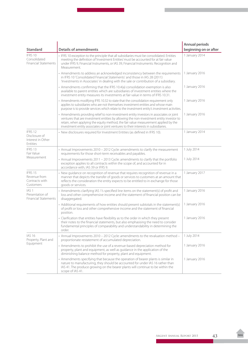| <b>Standard</b>                                                    | <b>Details of amendments</b>                                                                                                                                                                                                                                                                                                                                   | <b>Annual periods</b><br>beginning on or after |
|--------------------------------------------------------------------|----------------------------------------------------------------------------------------------------------------------------------------------------------------------------------------------------------------------------------------------------------------------------------------------------------------------------------------------------------------|------------------------------------------------|
| IFRS 10<br>Consolidated<br><b>Financial Statements</b>             | • IFRS 10 exception to the principle that all subsidiaries must be consolidated. Entities<br>meeting the definition of 'Investment Entities' must be accounted for at fair value<br>under IFRS 9, Financial Instruments, or IAS 39, Financial Instruments: Recognition and<br>Measurement.                                                                     | 1 January 2014                                 |
|                                                                    | • Amendments to address an acknowledged inconsistency between the requirements<br>in IFRS 10 'Consolidated Financial Statements' and those in IAS 28 (2011)<br>'Investments in Associates' in dealing with the sale or contribution of a subsidiary.                                                                                                           | 1 January 2016                                 |
|                                                                    | • Amendments confirming that the IFRS 10.4(a) consolidation exemption is also<br>available to parent entities which are subsidiaries of investment entities where the<br>investment entity measures its investments at fair value in terms of IFRS 10.31.                                                                                                      | 1 January 2016                                 |
|                                                                    | • Amendments modifying IFRS 10.32 to state that the consolidation requirement only<br>applies to subsidiaries who are not themselves investment entities and whose main<br>purpose is to provide services which relate to the investment entity's investment activities.                                                                                       | 1 January 2016                                 |
|                                                                    | • Amendments providing relief to non-investment entity investors in associates or joint<br>ventures that are investment entities by allowing the non-investment entity investor to<br>retain, when applying the equity method, the fair value measurement applied by the<br>investment entity associates or joint ventures to their interests in subsidiaries. | 1 January 2016                                 |
| IFRS 12<br>Disclosure of<br>Interest in Other<br>Entities          | • New disclosures required for Investment Entities (as defined in IFRS 10).                                                                                                                                                                                                                                                                                    | 1 January 2014                                 |
| IFRS 13<br>Fair Value                                              | • Annual Improvements 2010 - 2012 Cycle: amendments to clarify the measurement<br>requirements for those short-term receivables and payables.                                                                                                                                                                                                                  | 1 July 2014                                    |
| Measurement                                                        | • Annual Improvements 2011 - 2013 Cycle: amendments to clarify that the portfolio<br>exception applies to all contracts within the scope of, and accounted for in<br>accordance with, IAS 39 or IFRS 9.                                                                                                                                                        | 1 July 2014                                    |
| IFRS 15<br>Revenue from<br>Contracts with<br>Customers             | • New guidance on recognition of revenue that requires recognition of revenue in a<br>manner that depicts the transfer of goods or services to customers at an amount that<br>reflects the consideration the entity expects to be entitled to in exchange for those<br>goods or services.                                                                      | 1 January 2017                                 |
| IAS <sub>1</sub><br>Presentation of<br><b>Financial Statements</b> | • Amendments clarifying IAS 1's specified line items on the statement(s) of profit and<br>loss and other comprehensive income and the statement of financial position can be<br>disaggregated.                                                                                                                                                                 | 1 January 2016                                 |
|                                                                    | • Additional requirements of how entities should present subtotals in the statement(s)<br>of profit or loss and other comprehensive income and the statement of financial<br>position.                                                                                                                                                                         | 1 January 2016                                 |
|                                                                    | • Clarification that entities have flexibility as to the order in which they present<br>their notes to the financial statements, but also emphasising the need to consider<br>fundamental principles of comparability and understandability in determining the<br>order.                                                                                       | 1 January 2016                                 |
| <b>IAS 16</b><br>Property, Plant and                               | - Annual Improvements 2010 - 2012 Cycle: amendments to the revaluation method -<br>proportionate restatement of accumulated depreciation.                                                                                                                                                                                                                      | 1 July 2014                                    |
| Equipment                                                          | • Amendments to prohibit the use of a revenue-based depreciation method for<br>property, plant and equipment, as well as guidance in the application of the<br>diminishing balance method for property, plant and equipment.                                                                                                                                   | 1 January 2016                                 |
|                                                                    | • Amendments specifying that because the operation of bearer plants is similar in<br>nature to manufacturing, they should be accounted for under IAS 16 rather than<br>IAS 41. The produce growing on the bearer plants will continue to be within the<br>scope of IAS 41.                                                                                     | 1 January 2016                                 |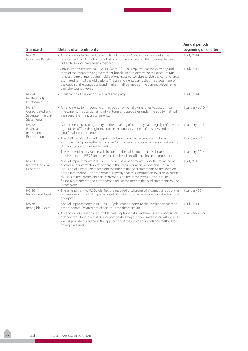|                                                                           |                                                                                                                                                                                                                                                                                                                                                                                                                                                                                                                                              | <b>Annual periods</b> |
|---------------------------------------------------------------------------|----------------------------------------------------------------------------------------------------------------------------------------------------------------------------------------------------------------------------------------------------------------------------------------------------------------------------------------------------------------------------------------------------------------------------------------------------------------------------------------------------------------------------------------------|-----------------------|
| <b>Standard</b>                                                           | <b>Details of amendments</b>                                                                                                                                                                                                                                                                                                                                                                                                                                                                                                                 | beginning on or after |
| <b>IAS 19</b><br><b>Employee Benefits</b>                                 | • Amendments to Defined Benefit Plans: Employee Contributions whereby the<br>requirements in IAS 19 for contributions from employees or third parties that are<br>linked to service have been amended.                                                                                                                                                                                                                                                                                                                                       | 1 July 2014           |
|                                                                           | • Annual Improvements 2012-2014 Cycle: IAS 19.83 requires that the currency and<br>term of the corporate or government bonds used to determine the discount rate<br>for post-employment benefit obligations must be consistent with the currency and<br>estimated term of the obligations. The amendments clarify that the assessment of<br>the depth of the corporate bond market shall be made at the currency-level rather<br>than the country-level.                                                                                     | 1 July 2016           |
| <b>IAS 24</b><br><b>Related Party</b><br><b>Disclosures</b>               | • Clarification of the definition of a related party.                                                                                                                                                                                                                                                                                                                                                                                                                                                                                        | 1 July 2014           |
| IAS <sub>27</sub><br>Consolidated and<br>Separate Financial<br>Statements | • Amendments to introducing a third option which allows entities to account for<br>investments in subsidiaries, joint ventures and associates under the equity method in<br>their separate financial statements.                                                                                                                                                                                                                                                                                                                             | 1 January 2016        |
| <b>IAS 32</b><br>Financial<br>Instruments                                 | • Amendments providing clarity on the meaning of "currently has a legally enforceable<br>right of set-off" i.e. the right must be in the ordinary course of business and must<br>exist for all counterparties.                                                                                                                                                                                                                                                                                                                               | 1 January 2014        |
| Presentation                                                              | • The IASB has also clarified the principle behind net settlement and included an<br>example of a "gross settlement system" with characteristics which would satisfy the<br>IAS 32 criterion for net settlement.                                                                                                                                                                                                                                                                                                                             | 1 January 2014        |
|                                                                           | • These amendments were made in conjunction with additional disclosure<br>requirements of IFRS 7 on the effect of rights of set-off and similar arrangements.                                                                                                                                                                                                                                                                                                                                                                                | 1 January 2014        |
| <b>IAS 34</b><br>Interim Financial<br>Reporting                           | • Annual Improvements 2012-2014 Cycle: The amendments clarify the meaning of<br>disclosure of information elsewhere in the interim financial report and require the<br>inclusion of a cross-reference from the interim financial statements to the location<br>of this information. The amendments specify that this information must be available<br>to users of the interim financial statements on the same terms as the interim<br>financial statements and at the same time, or the interim financial statements will be<br>incomplete. | 1 July 2016           |
| IAS 36<br><b>Impairment Assets</b>                                        | • The amendment to IAS 36 clarifies the required disclosures of information about the<br>recoverable amount of impaired assets if that amount is based on fair value less costs<br>of disposal.                                                                                                                                                                                                                                                                                                                                              | 1 January 2014        |
| <b>IAS 38</b><br>Intangible Assets                                        | • Annual Improvements 2010 - 2012 Cycle: Amendments to the revaluation method -<br>proportionate restatement of accumulated depreciation.                                                                                                                                                                                                                                                                                                                                                                                                    | 1 July 2014           |
|                                                                           | • Amendments present a rebuttable presumption that a revenue-based amortisation<br>method for intangible assets is inappropriate except in two limited circumstances, as<br>well as provide guidance in the application of the diminishing balance method for<br>intangible assets.                                                                                                                                                                                                                                                          | 1 January 2016        |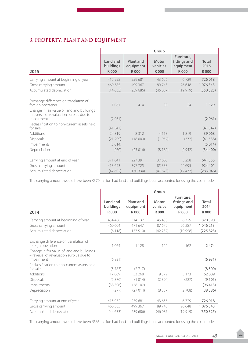# **3. PROPERTY, PLANT AND EQUIPMENT**

|                                                                                                                                                                    | Group                                |                                              |                                         |                                                        |                                     |
|--------------------------------------------------------------------------------------------------------------------------------------------------------------------|--------------------------------------|----------------------------------------------|-----------------------------------------|--------------------------------------------------------|-------------------------------------|
| 2015                                                                                                                                                               | Land and<br>buildings<br><b>R000</b> | <b>Plant and</b><br>equipment<br><b>R000</b> | <b>Motor</b><br>vehicles<br><b>R000</b> | Furniture,<br>fittings and<br>equipment<br><b>R000</b> | <b>Total</b><br>2015<br><b>R000</b> |
| Carrying amount at beginning of year                                                                                                                               | 415 952                              | 259 681                                      | 43 656                                  | 6729                                                   | 726 018                             |
| Gross carrying amount                                                                                                                                              | 460 585                              | 499 367                                      | 89743                                   | 26 648                                                 | 1 076 343                           |
| Accumulated depreciation                                                                                                                                           | (44633)                              | (239686)                                     | (46087)                                 | (19919)                                                | (350325)                            |
| Exchange difference on translation of<br>foreign operation<br>Change in fair value of land and buildings<br>- reversal of revaluation surplus due to<br>impairment | 1 0 6 1<br>(2961)                    | 414                                          | 30                                      | 24                                                     | 1529<br>(2961)                      |
| Reclassification to non-current assets held<br>for sale                                                                                                            | (41347)                              |                                              |                                         |                                                        | (41347)                             |
| Additions                                                                                                                                                          | 24819                                | 8312                                         | 4 1 1 8                                 | 1819                                                   | 39 0 68                             |
| <b>Disposals</b>                                                                                                                                                   | (21 209)                             | (18000)                                      | (1957)                                  | (372)                                                  | (41538)                             |
| Impairments                                                                                                                                                        | (5014)                               |                                              |                                         |                                                        | (5014)                              |
| Depreciation                                                                                                                                                       | (260)                                | (23016)                                      | (8182)                                  | (2942)                                                 | (34 400)                            |
| Carrying amount at end of year                                                                                                                                     | 371 041                              | 227 391                                      | 37 665                                  | 5 2 5 8                                                | 641 355                             |
| Gross carrying amount                                                                                                                                              | 418 643                              | 397 725                                      | 85 338                                  | 22 695                                                 | 924 401                             |
| Accumulated depreciation                                                                                                                                           | (47602)                              | (170334)                                     | (47673)                                 | (17437)                                                | (283046)                            |

The carrying amount would have been R370 million had land and buildings been accounted for using the cost model.

|                                                                                                                                                      | Group                          |                                              |                                         |                                                        |                                     |
|------------------------------------------------------------------------------------------------------------------------------------------------------|--------------------------------|----------------------------------------------|-----------------------------------------|--------------------------------------------------------|-------------------------------------|
| 2014                                                                                                                                                 | Land and<br>buildings<br>R 000 | <b>Plant and</b><br>equipment<br><b>R000</b> | <b>Motor</b><br>vehicles<br><b>R000</b> | Furniture,<br>fittings and<br>equipment<br><b>R000</b> | <b>Total</b><br>2014<br><b>R000</b> |
| Carrying amount at beginning of year                                                                                                                 | 454 486                        | 314 137                                      | 45 438                                  | 6329                                                   | 820 390                             |
| Gross carrying amount                                                                                                                                | 460 604                        | 471 647                                      | 87675                                   | 26 287                                                 | 1 046 213                           |
| Accumulated depreciation                                                                                                                             | (6118)                         | (157510)                                     | (42 237)                                | (19958)                                                | (225823)                            |
| Exchange difference on translation of<br>foreign operation<br>Change in fair value of land and buildings<br>- reversal of revaluation surplus due to | 1 0 6 4                        | 1 1 2 8                                      | 120                                     | 162                                                    | 2474                                |
| impairment                                                                                                                                           | (6931)                         |                                              |                                         |                                                        | (6931)                              |
| Reclassification to non-current assets held<br>for sale<br>Additions                                                                                 | (5783)<br>17069                | (2717)<br>33 268                             | 9379                                    | 3 1 7 3                                                | (8500)<br>62889                     |
| Disposals                                                                                                                                            | (5370)                         | (1014)                                       | (2894)                                  | (227)                                                  | (9505)                              |
| Impairments                                                                                                                                          | (38306)                        | (58107)                                      |                                         |                                                        | (96413)                             |
| Depreciation                                                                                                                                         | (277)                          | (27014)                                      | (8387)                                  | (2708)                                                 | (38386)                             |
| Carrying amount at end of year                                                                                                                       | 415 952                        | 259 681                                      | 43656                                   | 6729                                                   | 726018                              |
| Gross carrying amount                                                                                                                                | 460 585                        | 499 367                                      | 89743                                   | 26 648                                                 | 1 076 343                           |
| Accumulated depreciation                                                                                                                             | (44633)                        | (239686)                                     | (46087)                                 | (19919)                                                | (350325)                            |

The carrying amount would have been R363 million had land and buildings been accounted for using the cost model.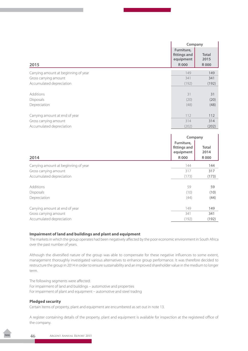|                                      |                                                        | Company                             |
|--------------------------------------|--------------------------------------------------------|-------------------------------------|
| 2015                                 | Furniture,<br>fittings and<br>equipment<br><b>R000</b> | <b>Total</b><br>2015<br><b>R000</b> |
|                                      |                                                        |                                     |
| Carrying amount at beginning of year | 149                                                    | 149                                 |
| Gross carrying amount                | 341                                                    | 341                                 |
| Accumulated depreciation             | (192)                                                  | (192)                               |
|                                      |                                                        |                                     |
| Additions                            | 31                                                     | 31                                  |
| <b>Disposals</b>                     | (20)                                                   | (20)                                |
| Depreciation                         | (48)                                                   | (48)                                |
|                                      |                                                        |                                     |
| Carrying amount at end of year       | 112                                                    | 112                                 |
| Gross carrying amount                | 314                                                    | 314                                 |
| Accumulated depreciation             | (202)                                                  | (202)                               |

|                                      | Company                                          |                              |
|--------------------------------------|--------------------------------------------------|------------------------------|
| 2014                                 | Furniture,<br>fittings and<br>equipment<br>R 000 | Total<br>2014<br><b>R000</b> |
| Carrying amount at beginning of year | 144                                              | 144                          |
| Gross carrying amount                | 317                                              | 317                          |
| Accumulated depreciation             | (173)                                            | (173)                        |
| Additions                            | 59                                               | 59                           |
| Disposals                            | (10)                                             | (10)                         |
| Depreciation                         | (44)                                             | (44)                         |
| Carrying amount at end of year       | 149                                              | 149                          |
| Gross carrying amount                | 341                                              | 341                          |
| Accumulated depreciation             | (192)                                            | (192)                        |

### **Impairment of land and buildings and plant and equipment**

The markets in which the group operates had been negatively affected by the poor economic environment in South Africa over the past number of years.

Although the diversified nature of the group was able to compensate for these negative influences to some extent, management thoroughly investigated various alternatives to enhance group performance. It was therefore decided to restructure the group in 2014 in order to ensure sustainability and an improved shareholder value in the medium to longer term.

The following segments were affected: For impairment of land and buildings – automotive and properties For impairment of plant and equipment – automotive and steel trading

### **Pledged security**

Certain items of property, plant and equipment are encumbered as set out in note 13.

A register containing details of the property, plant and equipment is available for inspection at the registered office of the company.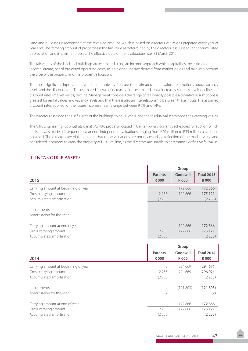Land and buildings is recognised at the revalued amount, which is based on directors valuations prepared every year at year end. The carrying amount of properties is the fair value as determined by the directors less subsequent accumulated depreciation and impairment losses. The effective date of the revaluations was 31 March 2015.

The fair values of the land and buildings are estimated using an income approach which capitalises the estimated rental income stream, net of projected operating costs, using a discount rate derived from market yields and take into account the type of the property and the property's location.

The most significant inputs, all of which are unobservable, are the estimated rental value, assumptions about vacancy levels and the discount rate. The estimated fair value increases if the estimated rental increases, vacancy levels decline or if discount rates (market yields) decline. Management considers the range of reasonably possible alternative assumptions is greatest for rental values and vacancy levels and that there is also an interrelationship between these inputs. The assumed discount rates applied for the future income streams range between 9.6% and 14%.

The directors assessed the useful lives of the buildings to be 50 years, and the residual values exceed their carrying values.

The Giflo Engineering (Bophuthatswana) (Pty) Ltd property located in Ga-Rankuwa is currently scheduled for auction, which decision was made subsequent to year end. Independent valuations ranging from R20 million to R35 million have been obtained. The directors are of the opinion that these valuations are not necessarily a reflection of the market value and considered it prudent to carry the property at R13.5 million, as the directors are unable to determine a definitive fair value.

### **4. Intangible Assets**

|                                      |                | Group       |                   |
|--------------------------------------|----------------|-------------|-------------------|
|                                      | <b>Patents</b> | Goodwill    | <b>Total 2015</b> |
| 2015                                 | <b>R000</b>    | <b>R000</b> | <b>R000</b>       |
| Carrying amount at beginning of year |                | 172 866     | 172 866           |
| Gross carrying amount                | 2 2 5 5        | 172 866     | 175 121           |
| Accumulated amortisation             | (2255)         |             | (2255)            |
| Impairments                          |                |             |                   |
| Amortisation for the year            |                |             |                   |
| Carrying amount at end of year       |                | 172 866     | 172 866           |
| Gross carrying amount                | 2 2 5 5        | 172 866     | 175 121           |
| Accumulated amortisation             | (2255)         |             | (2255)            |
|                                      |                |             |                   |
|                                      |                | Group       |                   |
|                                      | <b>Patents</b> | Goodwill    | <b>Total 2014</b> |
| 2014                                 | <b>R000</b>    | <b>R000</b> | <b>R000</b>       |
| Carrying amount at beginning of year | 2              | 294 669     | 294 671           |
| Gross carrying amount                | 2 2 5 5        | 294 669     | 296 924           |
| Accumulated amortisation             | (2253)         |             | (2253)            |
| Impairments                          |                | (121803)    | (121803)          |
| Amortisation for the year            | (2)            |             | (2)               |
|                                      |                |             |                   |
| Carrying amount at end of year       |                | 172 866     | 172866            |
| Gross carrying amount                | 2 2 5 5        | 172 866     | 175 121           |
| Accumulated amortisation             | (2255)         |             | (2255)            |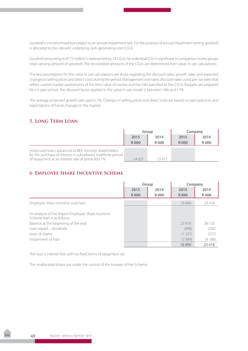Goodwill is not amortised but subject to an annual impairment test. For the purpose of annual impairment testing goodwill is allocated to the relevant underlying cash-generating unit (CGU).

Goodwill amounting to R173 million is represented by 14 CGUs. No individual CGU is significant in comparison to the groups total carrying amount of goodwill. The recoverable amounts of the CGUs are determined from value in use calculations.

The key assumptions for the value in use calculations are those regarding the discount rates, growth rates and expected changes to selling prices and direct costs during the period. Management estimates discount rates using pre-tax rates that reflect current market assessments of the time value of money and the risks specified to the CGUs. Budgets are prepared for a 5 year period. The discount factor applied in the value in use model is between 14% and 17%.

The average projected growth rate used is 7%. Changes in selling prices and direct costs are based on past practices and expectations of future changes in the market.

## **5. Long Term Loan**

|                                                                                                                                                                               | Group       |       | Company |             |
|-------------------------------------------------------------------------------------------------------------------------------------------------------------------------------|-------------|-------|---------|-------------|
|                                                                                                                                                                               | 2015        | 2014  | 2015    | 2014        |
|                                                                                                                                                                               | <b>R000</b> | R 000 | R000    | <b>R000</b> |
| Unsecured loans advanced to BEE minority shareholders<br>for the purchase of interest in subsidiaries. Indefinite period<br>of repayment at an interest rate of prime less 1% | 14 621      | 13477 |         |             |

# **6. Employee Share Incentive Scheme**

|                                                                                                                                                                                              | Group       |       | Company                            |                                    |
|----------------------------------------------------------------------------------------------------------------------------------------------------------------------------------------------|-------------|-------|------------------------------------|------------------------------------|
|                                                                                                                                                                                              | 2015        | 2014  | 2015                               | 2014                               |
|                                                                                                                                                                                              | <b>R000</b> | R 000 | <b>R000</b>                        | R 000                              |
| Employee share incentive trust loan                                                                                                                                                          |             |       | 18 400                             | 23418                              |
| An analysis of the Argent Employee Share Incentive<br>Scheme Joan is as follows:<br>Balance at the beginning of the year<br>Loan repaid - dividends<br>Issue of shares<br>Impairment of loan |             |       | 23418<br>(898)<br>(1231)<br>(2889) | 28 135<br>(292)<br>(237)<br>(4188) |
|                                                                                                                                                                                              |             |       | 18 400                             | 23 4 18                            |

The loan is interest free with no fixed terms of repayment set.

The unallocated shares are under the control of the trustees of the Scheme.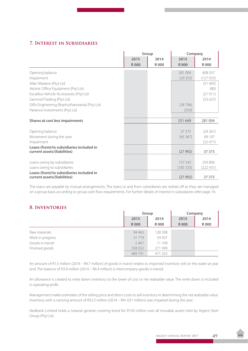## **7. Interest in Subsidiaries**

| 408 037<br>(127033)<br>(51405) |
|--------------------------------|
|                                |
|                                |
|                                |
|                                |
|                                |
| (80)                           |
| (21911)                        |
| (53637)                        |
|                                |
|                                |
|                                |
| 281 004                        |
|                                |
| (29261)                        |
| 89 107                         |
| (22471)                        |
|                                |
| 37 37 5                        |
|                                |
| 259806                         |
| (222431)                       |
| 37 375                         |
|                                |

The loans are payable by mutual arrangements. The loans to and from subsidiaries are netted off as they are managed on a group basis according to group cash flow requirements. For further details of interest in subsidiaries refer page 74.

### **8. Inventories**

|                  | Group       |             | Company     |             |
|------------------|-------------|-------------|-------------|-------------|
|                  | 2015        | 2014        | 2015        | 2014        |
|                  | <b>R000</b> | <b>R000</b> | <b>R000</b> | <b>R000</b> |
| Raw materials    | 94 4 63     | 128 308     |             |             |
| Work in progress | 31779       | 59 937      |             |             |
| Goods in transit | 5 4 6 7     | 11 109      |             |             |
| Finished goods   | 358 032     | 271999      |             |             |
|                  | 489741      | 471 353     |             |             |

An amount of R1.5 million (2014 – R4.7 million) of goods in transit relates to imported inventory still on the water at year end. The balance of R3.9 million (2014 – R6.4 million) is intercompany goods in transit.

An allowance is created to write down inventory to the lower of cost or net realisable value. The write down is included in operating profit.

Management makes estimates of the selling price and direct costs to sell inventory in determining the net realisable value. Inventory with a carrying amount of R53.3 million (2014 – R41.031 million) was impaired during the year.

Nedbank Limited holds a notarial general covering bond for R150 million over all movable assets held by Argent Steel Group (Pty) Ltd.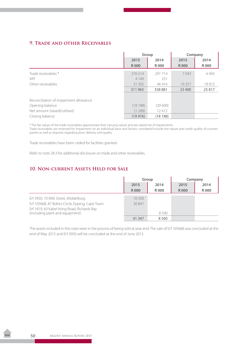### **9. Trade and other Receivables**

|                                        | Group       |         | Company     |        |
|----------------------------------------|-------------|---------|-------------|--------|
|                                        | 2015        | 2014    | 2015        | 2014   |
|                                        | <b>R000</b> | R 000   | <b>R000</b> | R 000  |
| Trade receivables *                    | 276514      | 291 714 | 7 0 4 3     | 6945   |
| VAT                                    | 4 1 4 9     | 251     |             |        |
| Other receivables                      | 31 302      | 46 916  | 16 3 5 7    | 18872  |
|                                        | 311 965     | 338881  | 23 400      | 25 817 |
|                                        |             |         |             |        |
| Reconciliation of impairment allowance |             |         |             |        |
| Opening balance                        | (18188)     | (30600) |             |        |
| Net amount (raised)/utilised           | (1288)      | 12412   |             |        |
| Closing balance                        | (19476)     | (18188) |             |        |

\* The fair values of the trade receivables approximate their carrying values and are stated net of impairments. Trade receivables are reviewed for impairment on an individual basis and factors considered include the nature and credit quality of counterparties as well as disputes regarding price, delivery and quality.

Trade receivables have been ceded for facilities granted.

Refer to note 28.3 for additional disclosure on trade and other receivables.

### **10. Non-current Assets Held for Sale**

|                                                 | Group       |       | Company     |             |
|-------------------------------------------------|-------------|-------|-------------|-------------|
|                                                 | 2015        | 2014  | 2015        | 2014        |
|                                                 | <b>R000</b> | R 000 | <b>R000</b> | <b>R000</b> |
| Erf 3950, 10 Milli Street, Middelburg           | 10 500      |       |             |             |
| Erf 105668, 87 Bofors Circle, Epping, Cape Town | 30847       |       |             |             |
| Erf 1819, 63 Kabel Kring Road, Richards Bay     |             |       |             |             |
| (including plant and equipment)                 |             | 8.500 |             |             |
|                                                 | 41 347      | 8500  |             |             |

The assets included in this note were in the process of being sold at year end. The sale of Erf 105668 was concluded at the end of May 2015 and Erf 3950 will be concluded at the end of June 2015.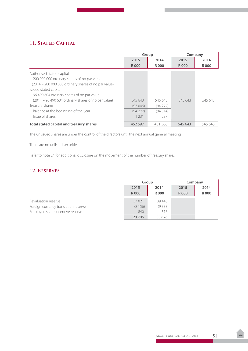# **11. Stated Capital**

|                                                                                                                                       | Group       |         | Company     |         |
|---------------------------------------------------------------------------------------------------------------------------------------|-------------|---------|-------------|---------|
|                                                                                                                                       | 2015        | 2014    | 2015        | 2014    |
|                                                                                                                                       | <b>R000</b> | R 000   | <b>R000</b> | R 000   |
| Authorised stated capital<br>200 000 000 ordinary shares of no par value<br>$(2014 - 2000000000000)$ ordinary shares of no par value) |             |         |             |         |
| Issued stated capital<br>96 490 604 ordinary shares of no par value                                                                   |             |         |             |         |
| (2014 – 96 490 604 ordinary shares of no par value)                                                                                   | 545 643     | 545 643 | 545 643     | 545 643 |
| Treasury shares                                                                                                                       | (93046)     | (94277) |             |         |
| Balance at the beginning of the year                                                                                                  | (94277)     | (94514) |             |         |
| Issue of shares                                                                                                                       | 1 2 3 1     | 237     |             |         |
| Total stated capital and treasury shares                                                                                              | 452 597     | 451 366 | 545 643     | 545 643 |

The unissued shares are under the control of the directors until the next annual general meeting.

There are no unlisted securities.

Refer to note 24 for additional disclosure on the movement of the number of treasury shares.

# **12. Reserves**

|                                      | Group       |         | Company     |             |
|--------------------------------------|-------------|---------|-------------|-------------|
|                                      | 2015        | 2014    | 2015        | 2014        |
|                                      | <b>R000</b> | R 000   | <b>R000</b> | <b>R000</b> |
| Revaluation reserve                  | 37021       | 39 448  |             |             |
| Foreign currency translation reserve | (8156)      | (9338)  |             |             |
| Employee share incentive reserve     | 840         | 516     |             |             |
|                                      | 29 705      | 30 6 26 |             |             |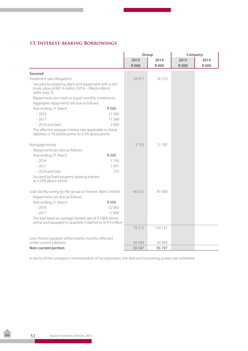# **13. Interest-bearing Borrowings**

|                                                                                                                             |         | Group       |             | Company     |             |
|-----------------------------------------------------------------------------------------------------------------------------|---------|-------------|-------------|-------------|-------------|
|                                                                                                                             |         | 2015        | 2014        | 2015        | 2014        |
|                                                                                                                             |         | <b>R000</b> | <b>R000</b> | <b>R000</b> | <b>R000</b> |
| <b>Secured</b>                                                                                                              |         |             |             |             |             |
| Instalment sale obligations                                                                                                 |         | 28 927      | 36 310      |             |             |
| Secured by property, plant and equipment with a net<br>book value of R47.4 million (2014 – R46.8 million)<br>(refer note 3) |         |             |             |             |             |
| Repayments are made in equal monthly instalments.                                                                           |         |             |             |             |             |
| Aggregate repayments are due as follows:                                                                                    |         |             |             |             |             |
| Year ending 31 March                                                                                                        | R 000   |             |             |             |             |
| $-2016$                                                                                                                     | 17 26 6 |             |             |             |             |
| $-2017$                                                                                                                     | 11 348  |             |             |             |             |
| -2018 and later                                                                                                             | 2869    |             |             |             |             |
| The effective average interest rate applicable to these<br>liabilities is 1% below prime to 0.3% above prime.               |         |             |             |             |             |
| Mortgage bonds                                                                                                              |         | 3753        | 21 787      |             |             |
| Repayments are due as follows:                                                                                              |         |             |             |             |             |
| Year ending 31 March                                                                                                        | R 000   |             |             |             |             |
| $-2016$                                                                                                                     | 1 740   |             |             |             |             |
| $-2017$                                                                                                                     | 1641    |             |             |             |             |
| - 2018 and later                                                                                                            | 759     |             |             |             |             |
| Secured by fixed property bearing interest<br>at 0.25% above prime.                                                         |         |             |             |             |             |
| Loan facility owing by the group to Investec Bank Limited                                                                   |         | 46 5 35     | 81 060      |             |             |
| Repayments are due as follows:                                                                                              |         |             |             |             |             |
| Year ending 31 March                                                                                                        | R 000   |             |             |             |             |
| $-2016$                                                                                                                     | 32 063  |             |             |             |             |
| $-2017$                                                                                                                     | 17400   |             |             |             |             |
| The loan bears an average interest rate of 0.108% above<br>prime and repayable in quarterly instalments of R 9 million      |         |             |             |             |             |
|                                                                                                                             |         | 79 215      | 139 157     |             |             |
| Less: Portion payable within twelve months reflected                                                                        |         |             |             |             |             |
| under current liabilities                                                                                                   |         | 46 068      | 45 960      |             |             |
| <b>Non-current portion</b>                                                                                                  |         | 33 147      | 93 197      |             |             |

In terms of the company's memorandum of incorporation, the directors' borrowing powers are unlimited.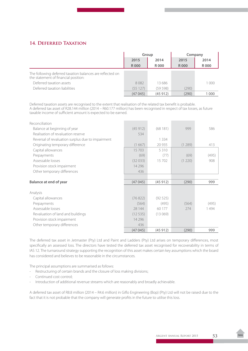# **14. Deferred Taxation**

|                                                                                                   | Group       |         | Company     |             |  |  |  |  |  |  |  |      |
|---------------------------------------------------------------------------------------------------|-------------|---------|-------------|-------------|--|--|--|--|--|--|--|------|
|                                                                                                   | 2015        | 2014    | 2015        |             |  |  |  |  |  |  |  | 2014 |
|                                                                                                   | <b>R000</b> | R 000   | <b>R000</b> | <b>R000</b> |  |  |  |  |  |  |  |      |
| The following deferred taxation balances are reflected on<br>the statement of financial position: |             |         |             |             |  |  |  |  |  |  |  |      |
| Deferred taxation assets                                                                          | 8082        | 13 686  |             | 1 000       |  |  |  |  |  |  |  |      |
| Deferred taxation liabilities                                                                     | (55127)     | (59598) | (290)       |             |  |  |  |  |  |  |  |      |
|                                                                                                   | (47045)     | (45912) | (290)       | 1 000       |  |  |  |  |  |  |  |      |

Deferred taxation assets are recognised to the extent that realisation of the related tax benefit is probable. A deferred tax asset of R28.144 million (2014 – R60.177 million) has been recognised in respect of tax losses, as future taxable income of sufficient amount is expected to be earned.

| Reconciliation                                    |          |         |         |       |
|---------------------------------------------------|----------|---------|---------|-------|
| Balance at beginning of year                      | (45912)  | (68181) | 999     | 586   |
| Realisation of revaluation reserve                | 534      |         |         |       |
| Reversal of revaluation surplus due to impairment |          | 1 3 3 4 |         |       |
| Originating temporary difference                  | (1667)   | 20 9 35 | (1289)  | 413   |
| Capital allowances                                | 15703    | 5310    |         |       |
| Prepayments                                       | (69)     | (77)    | (69)    | (495) |
| Assessable losses                                 | (32033)  | 15702   | (1 220) | 908   |
| Provision stock impairment                        | 14 2 9 6 |         |         |       |
| Other temporary differences                       | 436      |         |         |       |
|                                                   |          |         |         |       |
| <b>Balance at end of year</b>                     | (47045)  | (45912) | (290)   | 999   |
| Analysis                                          |          |         |         |       |
| Capital allowances                                | (76822)  | (92525) |         |       |
| Prepayments                                       | (564)    | (495)   | (564)   | (495) |
| Assessable losses                                 | 28 144   | 60 177  | 274     | 1494  |
| Revaluation of land and buildings                 | (12535)  | (13069) |         |       |
| Provision stock impairment                        | 14 2 9 6 |         |         |       |
| Other temporary differences                       | 436      |         |         |       |
|                                                   | (47045)  | (45912) | (290)   | 999   |

The deferred tax asset in Jetmaster (Pty) Ltd and Paint and Ladders (Pty) Ltd arises on temporary differences, most specifically an assessed loss. The directors have tested the deferred tax asset recognised for recoverability in terms of IAS 12. The turnaround strategy supporting the recognition of this asset makes certain key assumptions which the board has considered and believes to be reasonable in the circumstances.

The principal assumptions are summarised as follows:

- Restructuring of certain brands and the closure of loss making divisions;
- Continued cost control;
- Introduction of additional revenue streams which are reasonably and broadly achievable.

A deferred tax asset of R8.8 million (2014 – R4.6 million) in Giflo Engineering (Bop) (Pty) Ltd will not be raised due to the fact that it is not probable that the company will generate profits in the future to utilise this loss.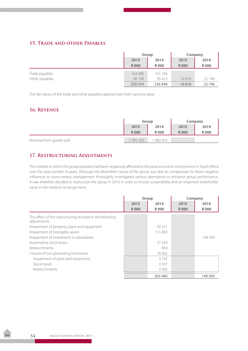### **15. Trade and other Payables**

|                | Group   |         | Company |             |
|----------------|---------|---------|---------|-------------|
|                | 2015    | 2014    | 2015    | 2014        |
|                | R 000   | R 000   | R000    | <b>R000</b> |
| Trade payables | 164 380 | 141 236 |         |             |
| Other payables | 86 194  | 95 412  | 16618   | 22746       |
|                | 250 574 | 236 648 | 16618   | 22746       |

The fair values of the trade and other payables approximate their carrying value.

### **16. Revenue**

|                          | Group       |        | Company     |       |
|--------------------------|-------------|--------|-------------|-------|
|                          | 2015        | 2014   | 2015        | 2014  |
|                          | <b>R000</b> | R 000  | <b>R000</b> | R 000 |
| Revenue from goods sold. | 791 163     | 880476 |             |       |

### **17. Restructuring Adjustments**

The markets in which the group operates had been negatively affected by the poor economic environment in South Africa over the past number of years. Although the diversified nature of the group was able to compensate for these negative influences to some extent, management thoroughly investigated various alternatives to enhance group performance. It was therefore decided to restructure the group in 2014 in order to ensure sustainability and an improved shareholder value in the medium to longer term.

|                                                                           | Group       |         | Company     |         |
|---------------------------------------------------------------------------|-------------|---------|-------------|---------|
|                                                                           | 2015        | 2014    | 2015        | 2014    |
|                                                                           | <b>R000</b> | R000    | <b>R000</b> | R 000   |
| The effect of the restructuring resulted in the following<br>adjustments: |             |         |             |         |
| Impairment of property, plant and equipment                               |             | 93 221  |             |         |
| Impairment of intangible assets                                           |             | 121 803 |             |         |
| Impairment of investment in subsidiaries                                  |             |         |             | 149 504 |
| Automotive stock losses                                                   |             | 31 524  |             |         |
| Retrenchments                                                             |             | 850     |             |         |
| Closure of loss generating businesses                                     |             | 16 062  |             |         |
| Impairment of plant and equipment                                         |             | 3 1 9 2 |             |         |
| Stock losses                                                              |             | 9507    |             |         |
| Retrenchments                                                             |             | 3 3 6 3 |             |         |
|                                                                           |             | 263 460 |             | 149 504 |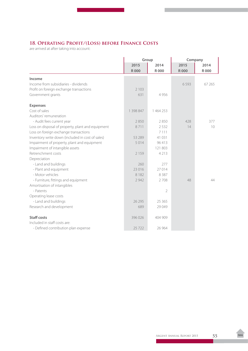# **18. Operating Profit/(Loss) before Finance Costs**

are arrived at after taking into account:

|                                                   | Group       |             | Company     |             |
|---------------------------------------------------|-------------|-------------|-------------|-------------|
|                                                   | 2015        | 2014        | 2015        | 2014        |
|                                                   | <b>R000</b> | <b>R000</b> | <b>R000</b> | <b>R000</b> |
| Income                                            |             |             |             |             |
| Income from subsidiaries - dividends              |             |             | 6593        | 67 265      |
| Profit on foreign exchange transactions           | 2 1 0 3     |             |             |             |
| Government grants                                 | 631         | 4956        |             |             |
| <b>Expenses</b>                                   |             |             |             |             |
| Cost of sales                                     | 1 398 847   | 1 464 253   |             |             |
| Auditors' remuneration                            |             |             |             |             |
| - Audit fees current year                         | 2850        | 2850        | 428         | 377         |
| Loss on disposal of property, plant and equipment | 8711        | 2 5 3 2     | 14          | 10          |
| Loss on foreign exchange transactions             |             | 7 1 1 1     |             |             |
| Inventory write down (included in cost of sales)  | 53 289      | 41 031      |             |             |
| Impairment of property, plant and equipment       | 5014        | 96413       |             |             |
| Impairment of intangible assets                   |             | 121 803     |             |             |
| Retrenchment costs                                | 2 1 5 9     | 4 2 1 3     |             |             |
| Depreciation                                      |             |             |             |             |
| - Land and buildings                              | 260         | 277         |             |             |
| - Plant and equipment                             | 23 016      | 27014       |             |             |
| - Motor vehicles                                  | 8 1 8 2     | 8 3 8 7     |             |             |
| - Furniture, fittings and equipment               | 2942        | 2708        | 48          | 44          |
| Amortisation of intangibles                       |             |             |             |             |
| - Patents                                         |             | 2           |             |             |
| Operating lease costs                             |             |             |             |             |
| - Land and buildings                              | 26 29 5     | 25 3 65     |             |             |
| Research and development                          | 689         | 29 049      |             |             |
| <b>Staff costs</b>                                | 396 026     | 404 909     |             |             |
| Included in staff costs are:                      |             |             |             |             |
| - Defined contribution plan expense               | 25722       | 26 964      |             |             |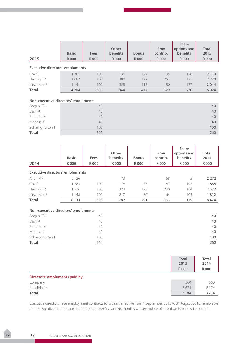|                                        | <b>Basic</b> | Fees  | Other<br>benefits | <b>Bonus</b> | Prov<br>contrib. | <b>Share</b><br>options and<br>benefits | <b>Total</b><br>2015 |
|----------------------------------------|--------------|-------|-------------------|--------------|------------------|-----------------------------------------|----------------------|
| 2015                                   | <b>R000</b>  | R 000 | <b>R000</b>       | R 000        | <b>R000</b>      | R 000                                   | <b>R000</b>          |
| <b>Executive directors' emoluments</b> |              |       |                   |              |                  |                                         |                      |
| Cox SJ                                 | 1 3 8 1      | 100   | 136               | 122          | 195              | 176                                     | 2 1 1 0              |
| Hendry TR                              | 1682         | 100   | 380               | 177          | 254              | 177                                     | 2770                 |
| Litschka AF                            | 1 1 4 1      | 100   | 328               | 118          | 180              | 177                                     | 2044                 |
| <b>Total</b>                           | 4 2 0 4      | 300   | 844               | 417          | 629              | 530                                     | 6924                 |
| Non-executive directors' emoluments    |              |       |                   |              |                  |                                         |                      |
| Angus CD                               |              | 40    |                   |              |                  |                                         | 40                   |
| Day PA                                 |              | 40    |                   |              |                  |                                         | 40                   |
| Etchells JA                            |              | 40    |                   |              |                  |                                         | 40                   |
| Mapasa K                               |              | 40    |                   |              |                  |                                         | 40                   |
| Scharrighuisen T                       |              | 100   |                   |              |                  |                                         | 100                  |

**Total** 260 260

|                                        | <b>Basic</b> | Fees  | Other<br>benefits | <b>Bonus</b> | Prov<br>contrib. | <b>Share</b><br>options and<br>benefits | <b>Total</b><br>2014 |
|----------------------------------------|--------------|-------|-------------------|--------------|------------------|-----------------------------------------|----------------------|
| 2014                                   | R 000        | R 000 | <b>R000</b>       | R 000        | <b>R000</b>      | <b>R000</b>                             | <b>R000</b>          |
| <b>Executive directors' emoluments</b> |              |       |                   |              |                  |                                         |                      |
| Allen MP                               | 2 1 2 6      |       | 73                |              | 68               | 5                                       | 2 2 7 2              |
| Cox SJ                                 | 1 2 8 3      | 100   | 118               | 83           | 181              | 103                                     | 1868                 |
| Hendry TR                              | 1576         | 100   | 374               | 128          | 240              | 104                                     | 2522                 |
| Litschka AF                            | 1 1 4 8      | 100   | 217               | 80           | 164              | 103                                     | 1812                 |
| <b>Total</b>                           | 6 1 3 3      | 300   | 782               | 291          | 653              | 315                                     | 8474                 |
| Non-executive directors' emoluments    |              |       |                   |              |                  |                                         |                      |
| Angus CD                               |              | 40    |                   |              |                  |                                         | 40                   |
| Day PA                                 |              | 40    |                   |              |                  |                                         | 40                   |
| Etchells JA                            |              | 40    |                   |              |                  |                                         | 40                   |
| Mapasa K                               |              | 40    |                   |              |                  |                                         | 40                   |
| Scharrighuisen T                       |              | 100   |                   |              |                  |                                         | 100                  |
| <b>Total</b>                           |              | 260   |                   |              |                  |                                         | 260                  |

|                                | <b>Total</b><br>2015<br><b>R000</b> | <b>Total</b><br>2014<br><b>R000</b> |
|--------------------------------|-------------------------------------|-------------------------------------|
| Directors' emoluments paid by: |                                     |                                     |
| Company                        | 560                                 | 560                                 |
| Subsidiaries                   | 6624                                | 8 1 7 4                             |
| <b>Total</b>                   | 7 1 8 4                             | 8734                                |

Executive directors have employment contracts for 5 years effective from 1 September 2013 to 31 August 2018, renewable at the executive directors discretion for another 5 years. Six months written notice of intention to renew is required.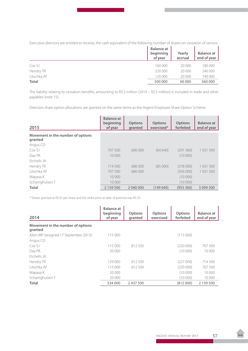Executive directors are entitled to receive, the cash equivalent of the following number of shares on cessation of service:

|              | <b>Balance at</b><br>beginning<br>of year | Yearly<br>accrual | <b>Balance at</b><br>end of year |
|--------------|-------------------------------------------|-------------------|----------------------------------|
| Cox SJ       | 160 000                                   | 20 000            | 180 000                          |
| Hendry TR    | 220 000                                   | 20 000            | 240 000                          |
| Litschka AF  | 120 000                                   | 20 000            | 140 000                          |
| <b>Total</b> | 500 000                                   | 60 000            | 560 000                          |

The liability relating to cessation benefits, amounting to R3.3 million (2014 – R2.5 million) is included in trade and other payables (note 15).

Directors share option allocations are granted on the same terms as the Argent Employee Share Option Scheme

| 2015                                         | <b>Balance</b> at<br>beginning<br>of year | <b>Options</b><br>granted | <b>Options</b><br>exercised* | <b>Options</b><br>forfeited | <b>Balance at</b><br>end of year |
|----------------------------------------------|-------------------------------------------|---------------------------|------------------------------|-----------------------------|----------------------------------|
| Movement in the number of options<br>granted |                                           |                           |                              |                             |                                  |
| Angus CD                                     |                                           |                           |                              |                             |                                  |
| Cox SI                                       | 707 500                                   | 680 000                   | (64640)                      | (291360)                    | 1 0 3 1 5 0 0                    |
| Day PA                                       | 10 000                                    |                           |                              | (10000)                     |                                  |
| <b>Ftchells JA</b>                           |                                           |                           |                              |                             |                                  |
| Hendry TR                                    | 714 500                                   | 680,000                   | (85000)                      | (278000)                    | 1 0 3 1 5 0 0                    |
| Litschka AF                                  | 707 500                                   | 680,000                   |                              | (356000)                    | 1031500                          |
| Mapasa K                                     | 10 000                                    |                           |                              | (10000)                     |                                  |
| Scharrighuisen T                             | 10 000                                    |                           |                              | (10000)                     |                                  |
| <b>Total</b>                                 | 2 159 500                                 | 2 040 000                 | (149640)                     | (955 360)                   | 3 094 500                        |

\* Shares granted at R5.55 per share and the strike price at date of exercise was R5.70.

| 2014                                         | <b>Balance</b> at<br>beginning<br>of year | <b>Options</b><br>granted | <b>Options</b><br>exercised | <b>Options</b><br>forfeited | <b>Balance at</b><br>end of year |
|----------------------------------------------|-------------------------------------------|---------------------------|-----------------------------|-----------------------------|----------------------------------|
| Movement in the number of options<br>granted |                                           |                           |                             |                             |                                  |
| Allen MP (resigned 17 September 2013)        | 115 000                                   |                           |                             | (115000)                    |                                  |
| Angus CD                                     |                                           |                           |                             |                             |                                  |
| Cox SJ                                       | 115 000                                   | 812 500                   |                             | (220000)                    | 707 500                          |
| Day PA                                       | 20 000                                    |                           |                             | (10000)                     | 10 000                           |
| Ftchells JA                                  |                                           |                           |                             |                             |                                  |
| Hendry TR                                    | 129 000                                   | 812 500                   |                             | (227000)                    | 714 500                          |
| Litschka AF                                  | 115 000                                   | 812 500                   |                             | (220000)                    | 707 500                          |
| Mapasa K                                     | 20,000                                    |                           |                             | (10000)                     | 10 000                           |
| Scharrighuisen T                             | 20 000                                    |                           |                             | (10000)                     | 10 000                           |
| Total                                        | 534 000                                   | 2 437 500                 |                             | (812000)                    | 2 159 500                        |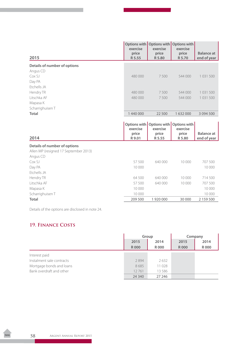| 2015                                  | exercise<br>price<br>R 5.55 | Options with Options with<br>exercise<br>price<br>R 5.80 | Options with<br>exercise<br>price<br>R 5.70 | <b>Balance at</b><br>end of year |
|---------------------------------------|-----------------------------|----------------------------------------------------------|---------------------------------------------|----------------------------------|
| Details of number of options          |                             |                                                          |                                             |                                  |
| Angus CD                              |                             |                                                          |                                             |                                  |
| Cox SJ                                | 480 000                     | 7500                                                     | 544 000                                     | 1031500                          |
| Day PA                                |                             |                                                          |                                             |                                  |
| Etchells JA                           |                             |                                                          |                                             |                                  |
| Hendry TR                             | 480 000                     | 7500                                                     | 544 000                                     | 1 0 3 1 5 0 0                    |
| Litschka AF                           | 480 000                     | 7500                                                     | 544 000                                     | 1031500                          |
| Mapasa K                              |                             |                                                          |                                             |                                  |
| Scharrighuisen T                      |                             |                                                          |                                             |                                  |
| <b>Total</b>                          | 1 440 000                   | 22 500                                                   | 1632000                                     | 3 094 500                        |
| 2014                                  | exercise<br>price<br>R 9.01 | Options with Options with<br>exercise<br>price<br>R 5.55 | Options with<br>exercise<br>price<br>R 5.80 | <b>Balance at</b><br>end of year |
| Details of number of options          |                             |                                                          |                                             |                                  |
| Allen MP (resigned 17 September 2013) |                             |                                                          |                                             |                                  |
| Angus CD                              |                             |                                                          |                                             |                                  |
| CoxS                                  | 57 500                      | 640 000                                                  | 10 000                                      | 707 500                          |
| Day PA                                | 10 000                      |                                                          |                                             | 10 000                           |
| Etchells JA                           |                             |                                                          |                                             |                                  |
| Hendry TR                             | 64 500                      | 640 000                                                  | 10 000                                      | 714 500                          |
| Litschka AF                           | 57 500                      | 640 000                                                  | 10 000                                      | 707 500                          |
| Mapasa K                              | 10 000                      |                                                          |                                             | 10 000                           |
| Scharrighuisen T                      | 10 000                      |                                                          |                                             | 10 000                           |
| <b>Total</b>                          | 209 500                     | 1920000                                                  | 30 000                                      | 2 159 500                        |

Details of the options are disclosed in note 24.

# **19. Finance Costs**

|                           | Group       |          | Company     |             |
|---------------------------|-------------|----------|-------------|-------------|
|                           | 2015        | 2014     | 2015        | 2014        |
|                           | <b>R000</b> | R 000    | <b>R000</b> | <b>R000</b> |
| Interest paid             |             |          |             |             |
| Instalment sale contracts | 2894        | 2632     |             |             |
| Mortgage bonds and loans  | 8685        | 11028    |             |             |
| Bank overdraft and other  | 12761       | 13 5 8 6 |             |             |
|                           | 24 3 40     | 27 24 6  |             |             |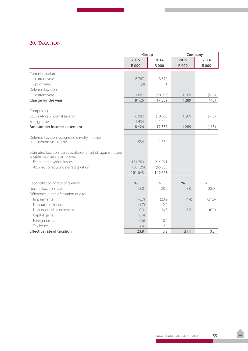# 20. TAXATION

|                                                                                                  | Group       |             | Company       |               |
|--------------------------------------------------------------------------------------------------|-------------|-------------|---------------|---------------|
|                                                                                                  | 2015        | 2014        | 2015          | 2014          |
|                                                                                                  | <b>R000</b> | <b>R000</b> | <b>R000</b>   | <b>R000</b>   |
| Current taxation                                                                                 |             |             |               |               |
| - current year                                                                                   | 6767        | 3 5 7 7     |               |               |
| - prior years                                                                                    | (8)         | (1)         |               |               |
| Deferred taxation                                                                                |             |             |               |               |
| - current year                                                                                   | 1667        | (20935)     | 1 2 8 9       | (413)         |
| Charge for the year                                                                              | 8426        | (17359)     | 1 2 8 9       | (413)         |
| Comprising:                                                                                      |             |             |               |               |
| South African normal taxation                                                                    | 6992        | (18603)     | 1 2 8 9       | (413)         |
| Foreign taxes                                                                                    | 1434        | 1 2 4 4     |               |               |
| Amount per income statement                                                                      | 8426        | (17359)     | 1 2 8 9       | (413)         |
|                                                                                                  |             |             |               |               |
| Deferred taxation recognised directly in other                                                   |             |             |               |               |
| comprehensive income                                                                             | 534         | 1 3 3 4     |               |               |
| Estimated taxation losses available for set off against future<br>taxable income are as follows: |             |             |               |               |
| <b>Estimated taxation losses</b>                                                                 | 131769      | 214 921     |               |               |
| Applied to reduce deferred taxation                                                              | (30126)     | (65258)     |               |               |
|                                                                                                  | 101 643     | 149 663     |               |               |
|                                                                                                  |             |             |               |               |
| Reconciliation of rate of taxation                                                               | $\%$        | $\%$        | $\frac{0}{0}$ | $\frac{1}{2}$ |
| Normal taxation rate                                                                             | 28.0        | 28.0        | 28.0          | 28.0          |
| Difference in rate of taxation due to:                                                           |             |             |               |               |
| Impairments                                                                                      | (6.7)       | (23.9)      | (4.4)         | (27.6)        |
| Non-taxable income                                                                               | (1.7)       | 2.2         |               |               |
| Non-deductible expenses                                                                          | 0.9         | (0.3)       | 3.5           | (0.1)         |
| Capital gains                                                                                    | (0.4)       |             |               |               |
| Foreign taxes                                                                                    | (0.6)       | 0.2         |               |               |
| Tax losses                                                                                       | 4.4         | 2.0         |               |               |
| <b>Effective rate of taxation</b>                                                                | 23.9        | 8.2         | 27.1          | 0.3           |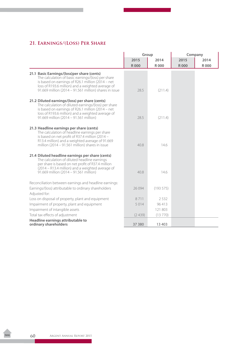# **21. Earnings/(Loss) Per Share**

|                                                                                                                                                                                                                                                                       | Group       |             |             | Company     |
|-----------------------------------------------------------------------------------------------------------------------------------------------------------------------------------------------------------------------------------------------------------------------|-------------|-------------|-------------|-------------|
|                                                                                                                                                                                                                                                                       | 2015        | 2014        | 2015        | 2014        |
|                                                                                                                                                                                                                                                                       | <b>R000</b> | <b>R000</b> | <b>R000</b> | <b>R000</b> |
| 21.1 Basic Earnings/(loss)per share (cents)<br>The calculation of basic earnings/(loss) per share<br>is based on earnings of R26.1 million (2014 - net<br>loss of R193.6 million) and a weighted average of<br>91.669 million (2014 - 91.561 million) shares in issue | 28.5        | (211.4)     |             |             |
| 21.2 Diluted earnings/(loss) per share (cents)<br>The calculation of diluted earnings/(loss) per share<br>is based on earnings of R26.1 million (2014 - net<br>loss of R193.6 million) and a weighted average of<br>91.669 million (2014 - 91.561 million)            | 28.5        | (211.4)     |             |             |
| 21.3 Headline earnings per share (cents)<br>The calculation of headline earnings per share<br>is based on net profit of R37.4 million (2014 -<br>R13.4 million) and a weighted average of 91.669<br>million (2014 - 91.561 million) shares in issue                   | 40.8        | 14.6        |             |             |
| 21.4 Diluted headline earnings per share (cents)<br>The calculation of diluted headline earnings<br>per share is based on net profit of R37.4 million<br>(2014 – R13.4 million) and a weighted average of<br>91.669 million (2014 - 91.561 million)                   | 40.8        | 14.6        |             |             |
| Reconciliation between earnings and headline earnings:<br>Earnings/(loss) attributable to ordinary shareholders<br>Adjusted for:                                                                                                                                      | 26 0 94     | (193575)    |             |             |
| Loss on disposal of property, plant and equipment                                                                                                                                                                                                                     | 8711        | 2532        |             |             |
| Impairment of property, plant and equipment                                                                                                                                                                                                                           | 5014        | 96 413      |             |             |
| Impairment of intangible assets                                                                                                                                                                                                                                       |             | 121 803     |             |             |
| Total tax effects of adjustment                                                                                                                                                                                                                                       | (2439)      | (13770)     |             |             |
| Headline earnings attributable to<br>ordinary shareholders                                                                                                                                                                                                            | 37 380      | 13 4 03     |             |             |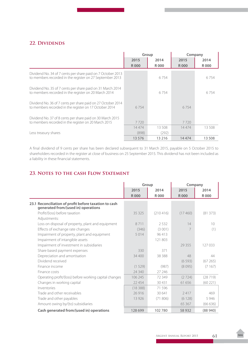# 22. DIVIDENDS

|                                                                                                                         | Group         |               | Company       |              |
|-------------------------------------------------------------------------------------------------------------------------|---------------|---------------|---------------|--------------|
|                                                                                                                         | 2015<br>R 000 | 2014<br>R 000 | 2015<br>R 000 | 2014<br>R000 |
|                                                                                                                         |               |               |               |              |
| Dividend No. 34 of 7 cents per share paid on 7 October 2013<br>to members recorded in the register on 27 September 2013 |               | 6754          |               | 6754         |
| Dividend No. 35 of 7 cents per share paid on 31 March 2014<br>to members recorded in the register on 20 March 2014      |               | 6754          |               | 6754         |
| Dividend No. 36 of 7 cents per share paid on 27 October 2014<br>to members recorded in the register on 17 October 2014  | 6 7 5 4       |               | 6754          |              |
| Dividend No. 37 of 8 cents per share paid on 30 March 2015<br>to members recorded in the register on 20 March 2015      | 7720          |               | 7720          |              |
|                                                                                                                         | 14474         | 13 508        | 14474         | 13 508       |
| Less treasury shares                                                                                                    | (898)         | (292)         |               |              |
|                                                                                                                         | 13 5 7 6      | 13 2 16       | 14474         | 13 508       |

A final dividend of 9 cents per share has been declared subsequent to 31 March 2015, payable on 5 October 2015 to shareholders recorded in the register at close of business on 25 September 2015. This dividend has not been included as a liability in these financial statements.

# **23. Notes to the cash Flow Statement**

|                                                                                              | Group       |             | Company     |             |
|----------------------------------------------------------------------------------------------|-------------|-------------|-------------|-------------|
|                                                                                              | 2015        | 2014        | 2015        | 2014        |
|                                                                                              | <b>R000</b> | <b>R000</b> | <b>R000</b> | <b>R000</b> |
| 23.1 Reconciliation of profit before taxation to cash<br>generated from/(used in) operations |             |             |             |             |
| Profit/(loss) before taxation                                                                | 35 325      | (210416)    | (17460)     | (81373)     |
| Adjustments:                                                                                 |             |             |             |             |
| Loss on disposal of property, plant and equipment                                            | 8711        | 2532        | 14          | 10          |
| Effects of exchange rate changes                                                             | (346)       | (3001)      |             | (1)         |
| Impairment of property, plant and equipment                                                  | 5014        | 96413       |             |             |
| Impairment of intangible assets                                                              |             | 121 803     |             |             |
| Impairment of investment in subsidiaries                                                     |             |             | 29 3 5 5    | 127 033     |
| Share based payment expenses                                                                 | 330         | 371         |             |             |
| Depreciation and amortisation                                                                | 34 400      | 38 3 8 8    | 48          | 44          |
| Dividend received                                                                            |             |             | (6593)      | (67265)     |
| Finance income                                                                               | (1529)      | (987)       | (8095)      | (7167)      |
| Finance costs                                                                                | 24 340      | 27 24 6     |             |             |
| Operating profit/(loss) before working capital changes                                       | 106 245     | 72 349      | (2724)      | (28719)     |
| Changes in working capital                                                                   | 22 4 5 4    | 30431       | 61 656      | (60 221)    |
| Inventories                                                                                  | (18388)     | 71 596      |             |             |
| Trade and other receivables                                                                  | 26916       | 30 641      | 2417        | 469         |
| Trade and other payables                                                                     | 13 9 26     | (71806)     | (6128)      | 5946        |
| Amount owing by/(to) subsidiaries                                                            |             |             | 65 3 67     | (66636)     |
| Cash generated from/(used in) operations                                                     | 128 699     | 102780      | 58 9 32     | (88940)     |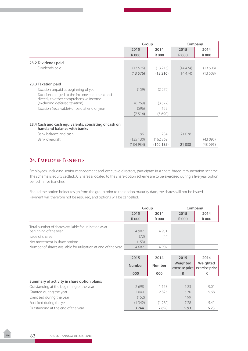|                                                                                        | Group       |          | Company     |             |
|----------------------------------------------------------------------------------------|-------------|----------|-------------|-------------|
|                                                                                        | 2015        | 2014     | 2015        | 2014        |
|                                                                                        | <b>R000</b> | R 000    | <b>R000</b> | <b>R000</b> |
| 23.2 Dividends paid                                                                    |             |          |             |             |
| Dividends paid                                                                         | (13576)     | (13216)  | (14474)     | (13508)     |
|                                                                                        | (13576)     | (13216)  | (14474)     | (13508)     |
|                                                                                        |             |          |             |             |
| 23.3 Taxation paid                                                                     |             |          |             |             |
| Taxation unpaid at beginning of year                                                   | (159)       | (2 272)  |             |             |
| Taxation charged to the income statement and<br>directly to other comprehensive income |             |          |             |             |
| (excluding deferred taxation)                                                          | (6759)      | (3577)   |             |             |
| Taxation (receivable)/unpaid at end of year                                            | (596)       | 159      |             |             |
|                                                                                        | (7514)      | (5690)   |             |             |
|                                                                                        |             |          |             |             |
| 23.4 Cash and cash equivalents, consisting of cash on<br>hand and balance with banks   |             |          |             |             |
| Bank balance and cash                                                                  | 196         | 234      | 21 0 38     |             |
| Bank overdraft                                                                         | (135 130)   | (162369) |             | (43095)     |
|                                                                                        | (134934)    | (162135) | 21 0 38     | (43095)     |

# **24. Employee Benefits**

Employees, including senior management and executive directors, participate in a share-based remuneration scheme. The scheme is equity settled. All shares allocated to the share option scheme are to be exercised during a five year option period in five tranches.

Should the option holder resign from the group prior to the option maturity date, the shares will not be issued. Payment will therefore not be required, and options will be cancelled.

|                                                                                 | Group       |         | Company     |             |
|---------------------------------------------------------------------------------|-------------|---------|-------------|-------------|
|                                                                                 | 2015        | 2014    | 2015        | 2014        |
|                                                                                 | <b>R000</b> | R 000   | <b>R000</b> | <b>R000</b> |
| Total number of shares available for utilisation as at<br>beginning of the year | 4 9 0 7     | 4 9 5 1 |             |             |
| Issue of shares                                                                 | (72)        | (44)    |             |             |
| Net movement in share options                                                   | (153)       |         |             |             |
| Number of shares available for utilisation at end of the year                   | 4682        | 4 9 0 7 |             |             |

|                                            | 2015          | 2014          | 2015                       | 2014                       |
|--------------------------------------------|---------------|---------------|----------------------------|----------------------------|
|                                            | <b>Number</b> | <b>Number</b> | Weighted<br>exercise price | Weighted<br>exercise price |
|                                            | 000           | 000           | R                          | R                          |
| Summary of activity in share option plans: |               |               |                            |                            |
| Outstanding at the beginning of the year   | 2698          | 1 1 5 3       | 6.23                       | 9.01                       |
| Granted during the year                    | 2040          | 2825          | 5.70                       | 5.68                       |
| Exercised during the year                  | (152)         |               | 4.99                       |                            |
| Forfeited during the year                  | (1342)        | (1 280)       | 7.28                       | 5.41                       |
| Outstanding at the end of the year         | 3 2 4 4       | 2698          | 5.93                       | 6.23                       |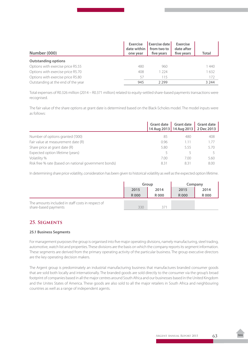| Number (000)                       | <b>Exercise</b><br>date within<br>one year | <b>Exercise date I</b><br>from two to<br>five years | <b>Exercise</b><br>date after<br>five years | Total   |
|------------------------------------|--------------------------------------------|-----------------------------------------------------|---------------------------------------------|---------|
| <b>Outstanding options</b>         |                                            |                                                     |                                             |         |
| Options with exercise price R5.55  | 480                                        | 960                                                 |                                             | 1440    |
| Options with exercise price R5.70  | 408                                        | 224                                                 |                                             | 1632    |
| Options with exercise price R5.80  | 57                                         | 115                                                 |                                             | 172     |
| Outstanding at the end of the year | 945                                        | 2299                                                |                                             | 3 2 4 4 |

Total expenses of R0.326 million (2014 – R0.371 million) related to equity-settled share-based payments transactions were recognised.

The fair value of the share options at grant date is determined based on the Black-Scholes model. The model inputs were as follows:

|                                                       |      | Grant date Grant date<br>14 Aug 2013   14 Aug 2013   2 Dec 2013 | <b>Grant date</b> |
|-------------------------------------------------------|------|-----------------------------------------------------------------|-------------------|
| Number of options granted ('000)                      | 85   | 480                                                             | 408               |
| Fair value at measurement date (R)                    | 0.96 | 1.11                                                            | 1.77              |
| Share price at grant date (R)                         | 5.80 | 555                                                             | 5.70              |
| Expected option lifetime (years)                      | 5    |                                                                 |                   |
| Volatility %                                          | 7.00 | 7.00                                                            | 5.60              |
| Risk free % rate (based on national government bonds) | 8.31 | 8.31                                                            | 8.00              |

In determining share price volatility, consideration has been given to historical volatility as well as the expected option lifetime.

|                                                                           | Group        |       | Company     |       |
|---------------------------------------------------------------------------|--------------|-------|-------------|-------|
|                                                                           | 2014<br>2015 |       | 2015        | 2014  |
|                                                                           | <b>R000</b>  | R 000 | <b>R000</b> | R 000 |
| The amounts included in staff costs in respect of<br>share-based payments | 330          |       |             |       |

### **25. Segments**

### **25.1 Business Segments**

For management purposes the group is organised into five major operating divisions, namely manufacturing, steel trading, automotive, watch list and properties. These divisions are the basis on which the company reports its segment information. These segments are derived from the primary operating activity of the particular business. The group executive directors are the key operating decision makers.

The Argent group is predominately an industrial manufacturing business that manufactures branded consumer goods that are sold both locally and internationally. The branded goods are sold directly to the consumer via the group's broad footprint of companies based in all the major centres around South Africa and our businesses based in the United Kingdom and the Unites States of America. These goods are also sold to all the major retailers in South Africa and neighbouring countries as well as a range of independent agents.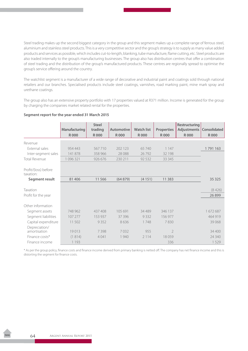Steel trading makes up the second biggest category in the group and this segment makes up a complete range of ferrous steel, aluminium and stainless steel products. This is a very competitive sector and the group's strategy is to supply as many value added products and services as possible, which includes cut-to-length, blanking, tube manufacture, flame cutting, etc. Steel products are also traded internally to the group's manufacturing businesses. The group also has distribution centres that offer a combination of steel trading and the distribution of the group's manufactured products. These centres are regionally spread to optimise the group's service offering around the country.

The watchlist segment is a manufacturer of a wide range of decorative and industrial paint and coatings sold through national retailers and our branches. Specialised products include steel coatings, varnishes, road marking paint, mine mark spray and urethane coatings.

The group also has an extensive property portfolio with 17 properties valued at R371 million. Income is generated for the group by charging the companies market related rental for the properties.

|                                   | Manufacturing | <b>Steel</b><br>trading | Automotive  | <b>Watch list</b> | <b>Properties</b> | <b>Restructuring</b><br>Adjustments   Consolidated |             |
|-----------------------------------|---------------|-------------------------|-------------|-------------------|-------------------|----------------------------------------------------|-------------|
|                                   | <b>R000</b>   | <b>R000</b>             | <b>R000</b> | <b>R000</b>       | <b>R000</b>       | <b>R000</b>                                        | <b>R000</b> |
| Revenue                           |               |                         |             |                   |                   |                                                    |             |
| External sales                    | 954 443       | 567710                  | 202 123     | 65 740            | 1 1 4 7           |                                                    | 1791163     |
| Inter-segment sales               | 141 878       | 358 966                 | 28 0 88     | 26792             | 32 198            |                                                    |             |
| <b>Total Revenue</b>              | 1 096 321     | 926 676                 | 230 211     | 92 5 32           | 33 3 45           |                                                    |             |
|                                   |               |                         |             |                   |                   |                                                    |             |
| Profit/(loss) before<br>taxation: |               |                         |             |                   |                   |                                                    |             |
| Segment result                    | 81 40 6       | 11566                   | (64879)     | (4151)            | 11 3 8 3          |                                                    | 35 3 25     |
|                                   |               |                         |             |                   |                   |                                                    |             |
| Taxation                          |               |                         |             |                   |                   |                                                    | (8426)      |
| Profit for the year               |               |                         |             |                   |                   |                                                    | 26899       |
|                                   |               |                         |             |                   |                   |                                                    |             |
| Other information                 |               |                         |             |                   |                   |                                                    |             |
| Segment assets                    | 748 962       | 437 408                 | 105 691     | 34 4 89           | 346 137           |                                                    | 1672687     |
| Segment liabilities               | 107 277       | 153 937                 | 37 396      | 9332              | 156 977           |                                                    | 464 919     |
| Capital expenditure               | 11 502        | 9352                    | 8636        | 1748              | 7830              |                                                    | 39 0 68     |
| Depreciation/                     |               |                         |             |                   |                   |                                                    |             |
| amortisation                      | 19013         | 7398                    | 7032        | 955               | $\overline{2}$    |                                                    | 34 400      |
| Finance costs*                    | (1814)        | 4 0 4 1                 | 1 940       | 2 1 1 4           | 18059             |                                                    | 24 340      |
| Finance income                    | 1 1 9 3       |                         |             |                   | 336               |                                                    | 1529        |

### **Segment report for the year ended 31 March 2015**

\* As per the group policy, finance costs and finance income derived from primary banking is netted off. The company has net finance income and this is distorting the segment for finance costs.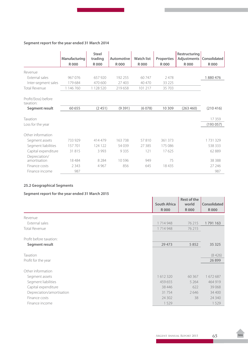### **Segment report for the year ended 31 March 2014**

|                                   |               | Steel       |             |             |                   | <b>Restructuring</b>              |             |
|-----------------------------------|---------------|-------------|-------------|-------------|-------------------|-----------------------------------|-------------|
|                                   | Manufacturing | trading     | Automotive  | Watch list  | <b>Properties</b> | <b>Adjustments   Consolidated</b> |             |
|                                   | <b>R000</b>   | <b>R000</b> | <b>R000</b> | <b>R000</b> | <b>R000</b>       | <b>R000</b>                       | <b>R000</b> |
| Revenue                           |               |             |             |             |                   |                                   |             |
| External sales                    | 967 076       | 657 920     | 192 255     | 60747       | 2478              |                                   | 1880476     |
| Inter-segment sales               | 179 684       | 470 600     | 27 403      | 40 470      | 33 2 2 5          |                                   |             |
| <b>Total Revenue</b>              | 1 146 760     | 1 128 520   | 219 658     | 101 217     | 35 703            |                                   |             |
| Profit/(loss) before<br>taxation: |               |             |             |             |                   |                                   |             |
| Segment result                    | 60 655        | (2451)      | (9391)      | (6078)      | 10 309            | (263 460)                         | (210416)    |
|                                   |               |             |             |             |                   |                                   |             |
| Taxation                          |               |             |             |             |                   |                                   | 17359       |
| Loss for the year                 |               |             |             |             |                   |                                   | (193057)    |
| Other information                 |               |             |             |             |                   |                                   |             |
| Segment assets                    | 733 929       | 414479      | 163738      | 57810       | 361 373           |                                   | 1731329     |
| Segment liabilities               | 157 701       | 124 122     | 54 039      | 27 3 8 5    | 175 086           |                                   | 538 333     |
| Capital expenditure               | 31815         | 3 9 9 3     | 9335        | 121         | 17625             |                                   | 62889       |
| Depreciation/                     |               |             |             |             |                   |                                   |             |
| amortisation                      | 18484         | 8 2 8 4     | 10596       | 949         | 75                |                                   | 38 3 8 8    |
| Finance costs                     | 2 3 4 3       | 4 9 6 7     | 856         | 645         | 18435             |                                   | 27 24 6     |
| Finance income                    | 987           |             |             |             |                   |                                   | 987         |

### **25.2 Geographical Segments**

### **Segment report for the year ended 31 March 2015**

|                           | <b>South Africa</b> | <b>Rest of the</b><br>world | Consolidated |
|---------------------------|---------------------|-----------------------------|--------------|
|                           | <b>R000</b>         | <b>R000</b>                 | <b>R000</b>  |
| Revenue                   |                     |                             |              |
| External sales            | 1714948             | 76 215                      | 1791163      |
| <b>Total Revenue</b>      | 1714948             | 76 215                      |              |
|                           |                     |                             |              |
| Profit before taxation:   |                     |                             |              |
| Segment result            | 29 4 73             | 5852                        | 35 325       |
|                           |                     |                             |              |
| Taxation                  |                     |                             | (8426)       |
| Profit for the year       |                     |                             | 26 8 99      |
| Other information         |                     |                             |              |
| Segment assets            | 1612320             | 60 367                      | 1672687      |
| Segment liabilities       | 459 655             | 5 2 6 4                     | 464 919      |
| Capital expenditure       | 38 4 4 6            | 622                         | 39 0 68      |
| Depreciation/amortisation | 31 7 5 4            | 2646                        | 34 400       |
| Finance costs             | 24 302              | 38                          | 24 340       |
| Finance income            | 1529                |                             | 1529         |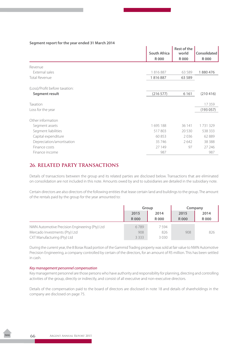### **Segment report for the year ended 31 March 2014**

|                                | <b>South Africa</b> | Rest of the<br>world | Consolidated |
|--------------------------------|---------------------|----------------------|--------------|
|                                | <b>R000</b>         | <b>R000</b>          | <b>R000</b>  |
| Revenue                        |                     |                      |              |
| External sales                 | 1816887             | 63 5 89              | 1880476      |
| <b>Total Revenue</b>           | 1816887             | 63 5 89              |              |
| (Loss)/Profit before taxation: |                     |                      |              |
| Segment result                 | (216 577)           | 6 1 6 1              | (210416)     |
| Taxation                       |                     |                      | 17359        |
| Loss for the year              |                     |                      | (193057)     |
| Other information              |                     |                      |              |
| Segment assets                 | 1695188             | 36 141               | 1731329      |
| Segment liabilities            | 517803              | 20 5 30              | 538 333      |
| Capital expenditure            | 60853               | 2036                 | 62889        |
| Depreciation/amortisation      | 35 746              | 2642                 | 38 3 8 8     |
| Finance costs                  | 27 149              | 97                   | 27 24 6      |
| Finance income                 | 987                 |                      | 987          |

## **26. RELATED PARTY TRANSACTIONS**

Details of transactions between the group and its related parties are disclosed below. Transactions that are eliminated on consolidation are not included in this note. Amounts owed by and to subsidiaries are detailed in the subsidiary note.

Certain directors are also directors of the following entities that lease certain land and buildings to the group. The amount of the rentals paid by the group for the year amounted to:

|                                                | Group        |       | Company     |       |
|------------------------------------------------|--------------|-------|-------------|-------|
|                                                | 2015<br>2014 | 2015  |             | 2014  |
|                                                | <b>R000</b>  | R 000 | <b>R000</b> | R 000 |
| NWN Automotive Precision Engineering (Pty) Ltd | 6789         | 7594  |             |       |
| Mercado Investments (Pty) Ltd                  | 908          | 826   | 908         | 826   |
| CXT Manufacturing (Pty) Ltd                    | 3 3 3 3      | 3030  |             |       |

During the current year, the 8 Borax Road portion of the Gammid Trading property was sold at fair value to NWN Automotive Precision Engineering, a company controlled by certain of the directors, for an amount of R5 million. This has been settled in cash.

### *Key management personnel compensation*

Key management personnel are those persons who have authority and responsibility for planning, directing and controlling activities of the group, directly or indirectly, and consist of all executive and non-executive directors.

Details of the compensation paid to the board of directors are disclosed in note 18 and details of shareholdings in the company are disclosed on page 75.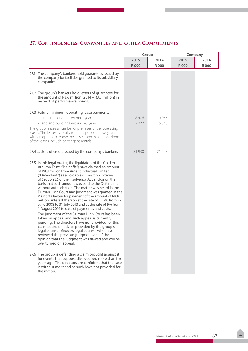# **27. Contingencies, Guarantees and other Commitments**

|                                                                                                                                                                                                                                                                                                                                                                                                                                                                                                                                                                                                                                                                                                                                                                                                                                                                                                                                                                                                                                                         |                     | Group          | Company             |                     |  |
|---------------------------------------------------------------------------------------------------------------------------------------------------------------------------------------------------------------------------------------------------------------------------------------------------------------------------------------------------------------------------------------------------------------------------------------------------------------------------------------------------------------------------------------------------------------------------------------------------------------------------------------------------------------------------------------------------------------------------------------------------------------------------------------------------------------------------------------------------------------------------------------------------------------------------------------------------------------------------------------------------------------------------------------------------------|---------------------|----------------|---------------------|---------------------|--|
|                                                                                                                                                                                                                                                                                                                                                                                                                                                                                                                                                                                                                                                                                                                                                                                                                                                                                                                                                                                                                                                         | 2015<br><b>R000</b> | 2014<br>R 000  | 2015<br><b>R000</b> | 2014<br><b>R000</b> |  |
| 27.1 The company's bankers hold guarantees issued by<br>the company for facilities granted to its subsidiary<br>companies.                                                                                                                                                                                                                                                                                                                                                                                                                                                                                                                                                                                                                                                                                                                                                                                                                                                                                                                              |                     |                |                     |                     |  |
| 27.2 The group's bankers hold letters of guarantee for<br>the amount of R3.6 million (2014 - R3.7 million) in<br>respect of performance bonds.                                                                                                                                                                                                                                                                                                                                                                                                                                                                                                                                                                                                                                                                                                                                                                                                                                                                                                          |                     |                |                     |                     |  |
| 27.3 Future minimum operating lease payments<br>- Land and buildings within 1 year<br>- Land and buildings within 2-5 years<br>The group leases a number of premises under operating<br>leases. The leases typically run for a period of five years,<br>with an option to renew the lease upon expiration. None<br>of the leases include contingent rentals.                                                                                                                                                                                                                                                                                                                                                                                                                                                                                                                                                                                                                                                                                            | 8476<br>7 2 2 7     | 9065<br>15 348 |                     |                     |  |
| 27.4 Letters of credit issued by the company's bankers                                                                                                                                                                                                                                                                                                                                                                                                                                                                                                                                                                                                                                                                                                                                                                                                                                                                                                                                                                                                  | 31 930              | 21 493         |                     |                     |  |
| 27.5 In this legal matter, the liquidators of the Golden<br>Autumn Trust ("Plaintiffs") have claimed an amount<br>of R8.8 million from Argent Industrial Limited<br>("Defendant") as a voidable disposition in terms<br>of Section 26 of the Insolvency Act and/or on the<br>basis that such amount was paid to the Defendant<br>without authorisation. The matter was heard in the<br>Durban High Court and judgment was granted in the<br>Plaintiff's favour for payment of the amount of R8.8<br>million, interest thereon at the rate of 15.5% from 27<br>June 2008 to 31 July 2013 and at the rate of 9% from<br>1 August 2014 to date of payments, and costs.<br>The judgment of the Durban High Court has been<br>taken on appeal and such appeal is currently<br>pending. The directors have not provided for this<br>claim based on advice provided by the group's<br>legal counsel. Group's legal counsel who have<br>reviewed the previous judgment, are of the<br>opinion that the judgment was flawed and will be<br>overturned on appeal. |                     |                |                     |                     |  |
| 27.6 The group is defending a claim brought against it<br>for events that supposedly occurred more than five<br>years ago. The directors are confident that the case<br>is without merit and as such have not provided for<br>the matter.                                                                                                                                                                                                                                                                                                                                                                                                                                                                                                                                                                                                                                                                                                                                                                                                               |                     |                |                     |                     |  |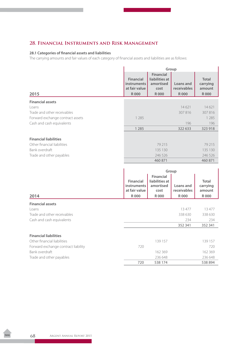### **28. Financial Instruments and Risk Management**

### **28.1 Categories of financial assets and liabilities**

The carrying amounts and fair values of each category of financial assets and liabilities are as follows:

|                                  | Group                                                   |                                                         |                                 |                                    |
|----------------------------------|---------------------------------------------------------|---------------------------------------------------------|---------------------------------|------------------------------------|
|                                  | <b>Financial</b><br><b>instruments</b><br>at fair value | <b>Financial</b><br>liabilities at<br>amortised<br>cost | Loans and<br><b>receivables</b> | <b>Total</b><br>carrying<br>amount |
| 2015                             | <b>R000</b>                                             | R000                                                    | <b>R000</b>                     | <b>R000</b>                        |
| <b>Financial assets</b>          |                                                         |                                                         |                                 |                                    |
| Loans                            |                                                         |                                                         | 14621                           | 14621                              |
| Trade and other receivables      |                                                         |                                                         | 307816                          | 307816                             |
| Forward exchange contract assets | 1 2 8 5                                                 |                                                         |                                 | 1 2 8 5                            |
| Cash and cash equivalents        |                                                         |                                                         | 196                             | 196                                |
|                                  | 1 2 8 5                                                 |                                                         | 322 633                         | 323 918                            |
| <b>Financial liabilities</b>     |                                                         |                                                         |                                 |                                    |
| Other financial liabilities      |                                                         | 79 215                                                  |                                 | 79 215                             |
| Bank overdraft                   |                                                         | 135 130                                                 |                                 | 135 130                            |
| Trade and other payables         |                                                         | 246 526                                                 |                                 | 246 526                            |
|                                  |                                                         | 460 871                                                 |                                 | 460 871                            |

|                                     | Group                                                                  |                                                                  |                                   |                                                   |
|-------------------------------------|------------------------------------------------------------------------|------------------------------------------------------------------|-----------------------------------|---------------------------------------------------|
| 2014                                | <b>Financial</b><br><b>instruments</b><br>at fair value<br><b>R000</b> | <b>Financial</b><br>liabilities at<br>amortised<br>cost<br>R 000 | Loans and<br>receivables<br>R 000 | <b>Total</b><br>carrying<br>amount<br><b>R000</b> |
|                                     |                                                                        |                                                                  |                                   |                                                   |
| <b>Financial assets</b>             |                                                                        |                                                                  |                                   |                                                   |
| Loans                               |                                                                        |                                                                  | 13 477                            | 13 477                                            |
| Trade and other receivables         |                                                                        |                                                                  | 338 630                           | 338 630                                           |
| Cash and cash equivalents           |                                                                        |                                                                  | 234                               | 234                                               |
|                                     |                                                                        |                                                                  | 352 341                           | 352 341                                           |
| <b>Financial liabilities</b>        |                                                                        |                                                                  |                                   |                                                   |
| Other financial liabilities         |                                                                        | 139 157                                                          |                                   | 139 157                                           |
| Forward exchange contract liability | 720                                                                    |                                                                  |                                   | 720                                               |
| Bank overdraft                      |                                                                        | 162 369                                                          |                                   | 162 369                                           |
| Trade and other payables            |                                                                        | 236 648                                                          |                                   | 236 648                                           |
|                                     | 720                                                                    | 538 174                                                          |                                   | 538 894                                           |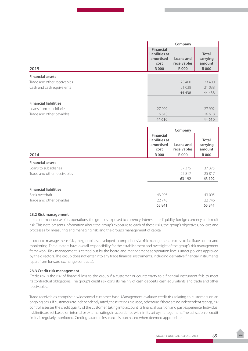|                              | Company                                                                |                                         |                                                   |
|------------------------------|------------------------------------------------------------------------|-----------------------------------------|---------------------------------------------------|
| 2015                         | <b>Financial</b><br>liabilities at<br>amortised<br>cost<br><b>R000</b> | Loans and<br>receivables<br><b>R000</b> | <b>Total</b><br>carrying<br>amount<br><b>R000</b> |
| <b>Financial assets</b>      |                                                                        |                                         |                                                   |
| Trade and other receivables  |                                                                        | 23 400                                  | 23 400                                            |
| Cash and cash equivalents    |                                                                        | 21 0 38                                 | 21 038                                            |
|                              |                                                                        | 44 4 38                                 | 44 4 38                                           |
|                              |                                                                        |                                         |                                                   |
| <b>Financial liabilities</b> |                                                                        |                                         |                                                   |
| Loans from subsidiaries      | 27 992                                                                 |                                         | 27 9 92                                           |
| Trade and other payables     | 16618<br>44 610                                                        |                                         | 16618<br>44 610                                   |
|                              |                                                                        |                                         |                                                   |
|                              | Company                                                                |                                         |                                                   |
|                              |                                                                        |                                         |                                                   |
|                              | Financial<br>liabilities at<br>amortised<br>cost                       | Loans and<br>receivables                | <b>Total</b><br>carrying<br>amount                |
| 2014                         | <b>R000</b>                                                            | <b>R000</b>                             | <b>R000</b>                                       |
| <b>Financial assets</b>      |                                                                        |                                         |                                                   |
| Loans to subsidiaries        |                                                                        | 37 375                                  | 37 37 5                                           |
| Trade and other receivables  |                                                                        | 25817<br>63 192                         | 25 817<br>63 192                                  |
|                              |                                                                        |                                         |                                                   |
| <b>Financial liabilities</b> |                                                                        |                                         |                                                   |
| Bank overdraft               | 43 0 95                                                                |                                         | 43 0 95                                           |
| Trade and other payables     | 22746<br>65 841                                                        |                                         | 22 746<br>65 841                                  |

### **28.2 Risk management**

In the normal course of its operations, the group is exposed to currency, interest rate, liquidity, foreign currency and credit risk. This note presents information about the group's exposure to each of these risks, the group's objectives, policies and processes for measuring and managing risk, and the group's management of capital.

In order to manage these risks, the group has developed a comprehensive risk management process to facilitate control and monitoring. The directors have overall responsibility for the establishment and oversight of the group's risk management framework. Risk management is carried out by the board and management at operation levels under policies approved by the directors. The group does not enter into any trade financial instruments, including derivative financial instruments (apart from forward exchange contracts).

### **28.3 Credit risk management**

Credit risk is the risk of financial loss to the group if a customer or counterparty to a financial instrument fails to meet its contractual obligations. The group's credit risk consists mainly of cash deposits, cash equivalents and trade and other receivables.

Trade receivables comprise a widespread customer base. Management evaluate credit risk relating to customers on an ongoing basis. If customers are independently rated, these ratings are used, otherwise if there are no independent ratings, risk control assesses the credit quality of the customer, taking into account its financial position and past experience. Individual risk limits are set based on internal or external ratings in accordance with limits set by management. The utilisation of credit limits is regularly monitored. Credit guarantee insurance is purchased when deemed appropriate.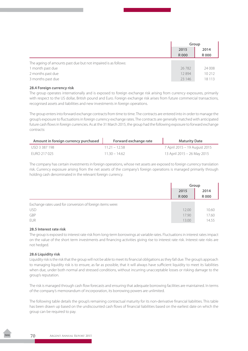|                                                                | Group       |             |
|----------------------------------------------------------------|-------------|-------------|
|                                                                | 2015        | 2014        |
|                                                                | <b>R000</b> | <b>R000</b> |
| The ageing of amounts past due but not impaired is as follows: |             |             |
| 1 month past due                                               | 26782       | 24 008      |
| 2 months past due                                              | 12894       | 10 212      |
| 3 months past due                                              | 23 14 6     | 18 113      |

### **28.4 Foreign currency risk**

The group operates internationally and is exposed to foreign exchange risk arising from currency exposures, primarily with respect to the US dollar, British pound and Euro. Foreign exchange risk arises from future commercial transactions, recognised assets and liabilities and new investments in foreign operations.

The group enters into forward exchange contracts from time to time. The contracts are entered into in order to manage the group's exposure to fluctuations in foreign currency exchange rates. The contracts are generally matched with anticipated future cash flows in foreign currencies. As at the 31 March 2015, the group had the following exposure to forward exchange contracts:

| Amount in foreign currency purchased | Forward exchange rate | <b>Maturity Date</b>          |
|--------------------------------------|-----------------------|-------------------------------|
| USD 3 387 198                        | $1121 - 1258$         | 7 April 2015 – 19 August 2015 |
| FURO 217 025                         | $1130 - 1462$         | 13 April 2015 - 26 May 2015   |

The company has certain investments in foreign operations, whose net assets are exposed to foreign currency translation risk. Currency exposure arising from the net assets of the company's foreign operations is managed primarily through holding cash denominated in the relevant foreign currency.

|                                                           | Group       |             |
|-----------------------------------------------------------|-------------|-------------|
|                                                           | 2015        | 2014        |
|                                                           | <b>R000</b> | <b>R000</b> |
| Exchange rates used for conversion of foreign items were: |             |             |
| <b>USD</b>                                                | 12.00       | 10.60       |
| GBP                                                       | 17.90       | 17.60       |
| EUR                                                       | 13.00       | 14.55       |

### **28.5 Interest rate risk**

The group is exposed to interest rate risk from long-term borrowings at variable rates. Fluctuations in interest rates impact on the value of the short term investments and financing activities giving rise to interest rate risk. Interest rate risks are not hedged.

### **28.6 Liquidity risk**

Liquidity risk is the risk that the group will not be able to meet its financial obligations as they fall due. The group's approach to managing liquidity risk is to ensure, as far as possible, that it will always have sufficient liquidity to meet its liabilities when due, under both normal and stressed conditions, without incurring unacceptable losses or risking damage to the group's reputation.

The risk is managed through cash flow forecasts and ensuring that adequate borrowing facilities are maintained. In terms of the company's memorandum of incorporation, its borrowing powers are unlimited.

The following table details the group's remaining contractual maturity for its non-derivative financial liabilities. This table has been drawn up based on the undiscounted cash flows of financial liabilities based on the earliest date on which the group can be required to pay.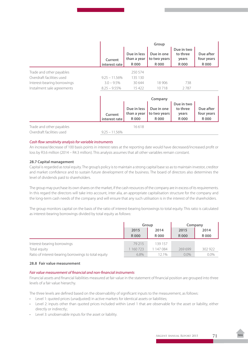|                             | Group                    |                                     |                                           |                                                |                                        |  |  |
|-----------------------------|--------------------------|-------------------------------------|-------------------------------------------|------------------------------------------------|----------------------------------------|--|--|
|                             | Current<br>interest rate | Due in less<br>than a year<br>R 000 | Due in one<br>to two years<br><b>R000</b> | Due in two<br>to three<br>years<br>R 000       | Due after<br>four years<br>R 000       |  |  |
| Trade and other payables    |                          | 250 574                             |                                           |                                                |                                        |  |  |
| Overdraft facilities used   | $9.25 - 11.56\%$         | 135 130                             |                                           |                                                |                                        |  |  |
| Interest-bearing borrowings | $3.0 - 9.5\%$            | 30 644                              | 18 906                                    | 738                                            |                                        |  |  |
| Instalment sale agreements  | $8.25 - 9.55\%$          | 15 422                              | 10718                                     | 2787                                           |                                        |  |  |
|                             |                          |                                     | Company                                   |                                                |                                        |  |  |
|                             | Current<br>interest rate | Due in less<br>than a year<br>R 000 | Due in one<br>to two years<br><b>R000</b> | Due in two<br>to three<br>years<br><b>R000</b> | Due after<br>four years<br><b>R000</b> |  |  |
| Trade and other payables    |                          | 16618                               |                                           |                                                |                                        |  |  |
| Overdraft facilities used   | $9.25 - 11.56\%$         |                                     |                                           |                                                |                                        |  |  |

#### *Cash flow sensitivity analysis for variable instruments*

An increase/decrease of 100 basis points in interest rates at the reporting date would have decreased/increased profit or loss by R3.6 million (2014 – R4.3 million). This analysis assumes that all other variables remain constant.

#### **28.7 Capital management**

Capital is regarded as total equity. The group's policy is to maintain a strong capital base so as to maintain investor, creditor and market confidence and to sustain future development of the business. The board of directors also determines the level of dividends paid to shareholders.

The group may purchase its own shares on the market, if the cash resources of the company are in excess of its requirements. In this regard the directors will take into account, inter alia, an appropriate capitalisation structure for the company and the long-term cash needs of the company and will ensure that any such utilisation is in the interest of the shareholders.

The group monitors capital on the basis of the ratio of interest-bearing borrowings to total equity. This ratio is calculated as interest-bearing borrowings divided by total equity as follows:

|                                                      | Group       |           | Company     |             |  |
|------------------------------------------------------|-------------|-----------|-------------|-------------|--|
|                                                      | 2015        | 2014      | 2015        | 2014        |  |
|                                                      | <b>R000</b> | R 000     | <b>R000</b> | <b>R000</b> |  |
| Interest-bearing borrowings                          | 79 215      | 139 157   |             |             |  |
| Total equity                                         | 160 723     | 1 147 084 | 269699      | 302 922     |  |
| Ratio of interest-bearing borrowings to total equity | 6.8%        | 121%      | $0.0\%$     | $0.0\%$     |  |

#### **28.8 Fair value measurement**

#### *Fair value measurement of financial and non-financial instruments*

Financial assets and financial liabilities measured at fair value in the statement of financial position are grouped into three levels of a fair value hierarchy.

The three levels are defined based on the observability of significant inputs to the measurement, as follows:

- Level 1: quoted prices (unadjusted) in active markets for identical assets or liabilities;
- Level 2: inputs other than quoted prices included within Level 1 that are observable for the asset or liability, either directly or indirectly;
- • Level 3: unobservable inputs for the asset or liability.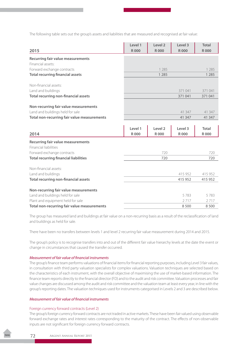The following table sets out the group's assets and liabilities that are measured and recognised at fair value:

| 2015                                                                  | Level 1<br><b>R000</b> | Level <sub>2</sub><br><b>R000</b> | Level 3<br><b>R000</b> | <b>Total</b><br><b>R000</b> |
|-----------------------------------------------------------------------|------------------------|-----------------------------------|------------------------|-----------------------------|
| <b>Recurring fair value measurements</b>                              |                        |                                   |                        |                             |
| Financial assets:                                                     |                        |                                   |                        |                             |
| Forward exchange contracts                                            |                        | 1 2 8 5                           |                        | 1 2 8 5                     |
| <b>Total recurring financial assets</b>                               |                        | 1 2 8 5                           |                        | 1 2 8 5                     |
| Non-financial assets:                                                 |                        |                                   |                        |                             |
| Land and buildings                                                    |                        |                                   | 371041                 | 371 041                     |
| <b>Total recurring non-financial assets</b>                           |                        |                                   | 371041                 | 371041                      |
| Non-recurring fair value measurements                                 |                        |                                   |                        |                             |
| Land and buildings held for sale                                      |                        |                                   | 41 347                 | 41 347                      |
| Total non-recurring fair value measurements                           |                        |                                   | 41 3 4 7               | 41 347                      |
|                                                                       |                        |                                   |                        |                             |
|                                                                       | Level 1                | Level 2                           | Level 3                | <b>Total</b>                |
| 2014                                                                  | <b>R000</b>            | <b>R000</b>                       | <b>R000</b>            | <b>R000</b>                 |
| Recurring fair value measurements<br><b>Financial liabilities</b>     |                        |                                   |                        |                             |
| Forward exchange contracts                                            |                        | 720                               |                        | 720                         |
| <b>Total recurring financial liabilities</b>                          |                        | 720                               |                        | 720                         |
| Non-financial assets:                                                 |                        |                                   |                        |                             |
| Land and buildings                                                    |                        |                                   | 415 952                | 415 952                     |
| <b>Total recurring non-financial assets</b>                           |                        |                                   |                        | 415 952                     |
|                                                                       |                        |                                   | 415 952                |                             |
|                                                                       |                        |                                   |                        |                             |
| Non-recurring fair value measurements                                 |                        |                                   |                        |                             |
| Land and buildings held for sale<br>Plant and equipment held for sale |                        |                                   | 5783<br>2717           | 5783<br>2717                |

The group has measured land and buildings at fair value on a non-recurring basis as a result of the reclassification of land and buildings as held for sale.

There have been no transfers between levels 1 and level 2 recurring fair value measurement during 2014 and 2015.

The group's policy is to recognise transfers into and out of the different fair value hierarchy levels at the date the event or change in circumstances that caused the transfer occurred.

#### *Measurement of fair value of financial instruments*

The group's finance team performs valuations of financial items for financial reporting purposes, including Level 3 fair values, in consultation with third party valuation specialists for complex valuations. Valuation techniques are selected based on the characteristics of each instrument, with the overall objective of maximising the use of market-based information. The finance team reports directly to the financial director (FD) and to the audit and risk committee. Valuation processes and fair value changes are discussed among the audit and risk committee and the valuation team at least every year, in line with the group's reporting dates. The valuation techniques used for instruments categorised in Levels 2 and 3 are described below.

#### *Measurement of fair value of financial instruments*

#### Foreign currency forward contracts (Level 2)

The group's foreign currency forward contracts are not traded in active markets. These have been fair valued using observable forward exchange rates and interest rates corresponding to the maturity of the contract. The effects of non-observable inputs are not significant for foreign currency forward contracts.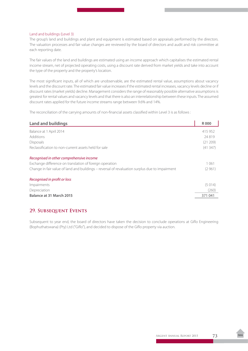#### Land and buildings (Level 3)

The group's land and buildings and plant and equipment is estimated based on appraisals performed by the directors. The valuation processes and fair value changes are reviewed by the board of directors and audit and risk committee at each reporting date.

The fair values of the land and buildings are estimated using an income approach which capitalises the estimated rental income stream, net of projected operating costs, using a discount rate derived from market yields and take into account the type of the property and the property's location.

The most significant inputs, all of which are unobservable, are the estimated rental value, assumptions about vacancy levels and the discount rate. The estimated fair value increases if the estimated rental increases, vacancy levels decline or if discount rates (market yields) decline. Management considers the range of reasonably possible alternative assumptions is greatest for rental values and vacancy levels and that there is also an interrelationship between these inputs. The assumed discount rates applied for the future income streams range between 9.6% and 14%.

The reconciliation of the carrying amounts of non-financial assets classified within Level 3 is as follows :

| <b>Land and buildings</b>                                                                      | <b>R000</b> |
|------------------------------------------------------------------------------------------------|-------------|
| Balance at 1 April 2014                                                                        | 415 952     |
| <b>Additions</b>                                                                               | 24819       |
| <b>Disposals</b>                                                                               | (21 209)    |
| Reclassification to non-current assets held for sale                                           | (41347)     |
| Recognised in other comprehensive income                                                       |             |
| Exchange difference on translation of foreign operation                                        | 1 0 6 1     |
| Change in fair value of land and buildings - reversal of revaluation surplus due to impairment | (2961)      |
| Recognised in profit or loss                                                                   |             |
| Impairments                                                                                    | (5014)      |
| Depreciation                                                                                   | (260)       |
| Balance at 31 March 2015                                                                       | 371041      |

#### **29. Subsequent Events**

Subsequent to year end, the board of directors have taken the decision to conclude operations at Giflo Engineering (Bophuthatswana) (Pty) Ltd ("Giflo"), and decided to dispose of the Giflo property via auction.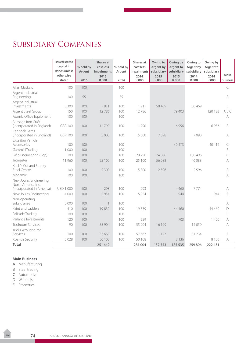# Subsidiary Companies

|                                                        | <b>Issued stated</b><br>capital in | % held by | Shares at<br>cost less | % held by | Shares at<br>cost less | Owing to<br>Argent by | Owing by<br>Argent to | Owing to<br>Argent by | Owing by<br>Argent to |             |
|--------------------------------------------------------|------------------------------------|-----------|------------------------|-----------|------------------------|-----------------------|-----------------------|-----------------------|-----------------------|-------------|
|                                                        | <b>Rands unless</b><br>otherwise   | Argent    | impairments            | Argent    | impairments            | subsidiary            | subsidiary            | subsidiary            | subsidiary<br>2014    | Main        |
|                                                        | stated                             | 2015      | 2015<br><b>R000</b>    | 2014      | 2014<br>R 000          | 2015<br><b>R000</b>   | 2015<br>R 000         | 2014<br>R 000         | R 000                 | business    |
| Allan Maskew                                           | 100                                | 100       |                        | 100       |                        |                       |                       |                       |                       | C           |
| Argent Industrial<br>Engineering                       | 100                                | 55        |                        | 55        |                        |                       |                       |                       |                       | A           |
| Argent Industrial<br>Investments                       | 3 3 0 0                            | 100       | 1911                   | 100       | 1911                   | 50469                 |                       | 50 4 69               |                       | $\mathsf E$ |
| Argent Steel Group                                     | 150                                | 100       | 12786                  | 100       | 12786                  |                       | 79 403                |                       | 120 123               | ABC         |
| Atomic Office Equipment                                | 100                                | 100       |                        | 100       |                        |                       |                       |                       |                       | A           |
| <b>Burbage Iron Craft</b><br>(incorporated in England) | <b>GBP 100</b>                     | 100       | 11790                  | 100       | 11790                  |                       | 6956                  |                       | 6956                  | A           |
| Cannock Gates<br>(incorporated in England)             | <b>GBP 100</b>                     | 100       | 5 0 0 0                | 100       | 5 0 0 0                | 7098                  |                       | 7090                  |                       | A           |
| Excalibur Vehicle<br>Accessories                       | 100                                | 100       |                        | 100       |                        |                       | 40 473                |                       | 40412                 | $\subset$   |
| Gammid Trading                                         | 1 0 0 0                            | 100       |                        | 100       |                        |                       |                       |                       |                       | $\mathsf B$ |
| Giflo Engineering (Bop)                                | 100                                | 100       |                        | 100       | 28796                  | 24 006                |                       | 100 496               |                       | C           |
| Jetmaster                                              | 11 960                             | 100       | 25 100                 | 100       | 25 100                 | 56 088                |                       | 46 088                |                       | A           |
| Koch's Cut and Supply                                  |                                    |           |                        |           |                        |                       |                       |                       |                       |             |
| <b>Steel Centre</b>                                    | 100                                | 100       | 5 3 0 0                | 100       | 5 300                  | 2596                  |                       | 2596                  |                       | A           |
| Megamix                                                | 100                                | 100       |                        | 100       |                        |                       |                       |                       |                       | A           |
| New Joules Engineering<br>North America Inc.           |                                    |           |                        |           |                        |                       |                       |                       |                       |             |
| (incorporated in America)                              | USD 1 000                          | 100       | 293                    | 100       | 293                    |                       | 4 4 6 0               | 7774                  |                       | A           |
| New Joules Engineering                                 | 4 0 0 0                            | 100       | 5954                   | 100       | 5 9 5 4                |                       | 944                   |                       | 944                   | A           |
| Non-operating<br>subsidiaries                          | 5 0 0 0                            | 100       | $\mathbf{1}$           | 100       | 1                      |                       |                       |                       |                       | A           |
| Paint and Ladders                                      | 410                                | 100       | 19839                  | 100       | 19839                  |                       | 44 460                |                       | 44 460                | D           |
| Palisade Trading                                       | 100                                | 100       |                        | 100       |                        |                       |                       |                       |                       | $\mathsf B$ |
| Parlance Investments                                   | 120                                | 100       |                        | 100       | 559                    |                       | 703                   |                       | 1400                  | A           |
| <b>Toolroom Services</b>                               | 90                                 | 100       | 55 904                 | 100       | 55 904                 | 16 109                |                       | 14059                 |                       | A           |
| Tricks Wrought Iron                                    |                                    |           |                        |           |                        |                       |                       |                       |                       |             |
| Services                                               | 100                                | 100       | 57 663                 | 100       | 57 663                 | 1 1 7 7               |                       | 31 2 34               |                       | A           |
| Xpanda Security                                        | 3 0 2 8                            | 100       | 50 108                 | 100       | 50 108                 |                       | 8 1 3 6               |                       | 8 1 3 6               | A           |
| <b>Total</b>                                           |                                    |           | 251 649                |           | 281 004                | 157 543               | 185 535               | 259 806               | 222 431               |             |

#### **Main Business**

A Manufacturing

**B** Steel trading

- C Automotive
- D Watch list
- E Properties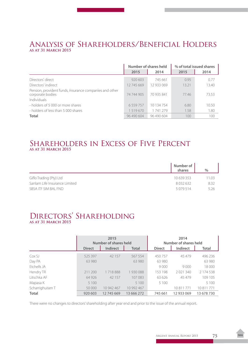## Analysis of Shareholders/Beneficial Holders **as at 31 March 2015**

|                                                                             |               | Number of shares held | % of total issued shares |       |  |
|-----------------------------------------------------------------------------|---------------|-----------------------|--------------------------|-------|--|
|                                                                             | 2015          | 2014                  | 2015                     | 2014  |  |
| Directors' direct                                                           | 920 603       | 745 661               | 0.95                     | 0.77  |  |
| Directors' indirect                                                         | 12745669      | 12 933 069            | 13.21                    | 13.40 |  |
| Pension, provident funds, insurance companies and other<br>corporate bodies | 74 744 905    | 70 935 841            | 7746                     | 73.53 |  |
| Individuals                                                                 |               |                       |                          |       |  |
| - holders of 5 000 or more shares                                           | 6 5 5 9 7 5 7 | 10 134 754            | 6.80                     | 10.50 |  |
| - holders of less than 5,000 shares                                         | 1519670       | 1 741 279             | 1.58                     | 1.80  |  |
| <b>Total</b>                                                                | 96 490 604    | 96 490 604            | 100                      | 100   |  |

## Shareholders in Excess of Five Percent **as at 31 March 2015**

|                               | Number of<br>shares | $\%$  |
|-------------------------------|---------------------|-------|
| Giflo Trading (Pty) Ltd       | 10 639 353          | 11.03 |
| Sanlam Life Insurance Limited | 8 0 3 2 6 3 2       | 8.32  |
| SBSA ITF SIM BAL FND          | 5 0 7 9 5 1 4       | 5.26  |

## Directors' Shareholding **as at 31 March 2015**

|                  |               | 2015<br>Number of shares held |              | 2014<br>Number of shares held |            |            |  |
|------------------|---------------|-------------------------------|--------------|-------------------------------|------------|------------|--|
|                  | <b>Direct</b> | Indirect                      | <b>Total</b> | <b>Direct</b>                 | Indirect   | Total      |  |
| Cox SJ           | 525 397       | 42 157                        | 567 554      | 450 757                       | 45479      | 496236     |  |
| Day PA           | 63 980        |                               | 63 980       | 63 980                        |            | 63 980     |  |
| Etchells JA      |               |                               |              | 9000                          | 9000       | 18 000     |  |
| Hendry TR        | 211 200       | 1718888                       | 1930088      | 153 198                       | 2021340    | 2 174 538  |  |
| Litschka AF      | 64 926        | 42 157                        | 107 083      | 63626                         | 45 479     | 109 105    |  |
| Mapasa K         | 5 1 0 0       |                               | 5 1 0 0      | 5 1 0 0                       |            | 5 100      |  |
| Scharrighuisen T | 50,000        | 10 942 467                    | 10 992 467   |                               | 10 811 771 | 10811771   |  |
| <b>Total</b>     | 920 603       | 12745669                      | 13 666 272   | 745 661                       | 12 933 069 | 13 678 730 |  |

There were no changes to directors' shareholding after year end and prior to the issue of the annual report.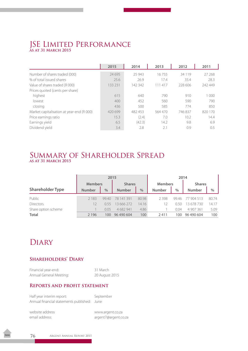## JSE Limited Performance **as at 31 March 2015**

|                                           | 2015    | 2014    | 2013    | 2012     | 2011    |
|-------------------------------------------|---------|---------|---------|----------|---------|
| Number of shares traded (000)             | 24 695  | 25 943  | 16755   | 34 1 1 9 | 27 268  |
| % of total issued shares                  | 25.6    | 26.9    | 17.4    | 35.4     | 28.3    |
| Value of shares traded (R000)             | 133 231 | 142 342 | 111 417 | 228 606  | 242 449 |
| Prices quoted (cents per share)           |         |         |         |          |         |
| highest                                   | 615     | 640     | 790     | 910      | 1 000   |
| lowest                                    | 400     | 452     | 560     | 590      | 790     |
| closing                                   | 436     | 500     | 585     | 774      | 850     |
| Market capitalisation at year-end (R 000) | 420 699 | 482 453 | 564 470 | 746837   | 820 170 |
| Price earnings ratio                      | 15.3    | (2.4)   | 7.0     | 10.2     | 14.4    |
| Earnings yield                            | 6.5     | (42.3)  | 14.2    | 9.8      | 6.9     |
| Dividend yield                            | 3.4     | 2.8     | 2.1     | 0.9      | 0.5     |

## Summary of Shareholder Spread **as at 31 March 2015**

|                         | 2015          |                                 |               |                | 2014          |               |               |       |
|-------------------------|---------------|---------------------------------|---------------|----------------|---------------|---------------|---------------|-------|
|                         |               | <b>Members</b><br><b>Shares</b> |               | <b>Members</b> |               | <b>Shares</b> |               |       |
| <b>Shareholder Type</b> | <b>Number</b> | $\frac{0}{0}$                   | <b>Number</b> | $\frac{0}{0}$  | <b>Number</b> | $\%$          | <b>Number</b> | $\%$  |
| Public                  | 2 1 8 3       | 9940                            | 78 141 391    | 80.98          | 2398          | 99.46         | 77 904 513    | 80.74 |
| <b>Directors</b>        | 12            | 0.55                            | 13 666 272    | 14.16          | 12            | 0.50          | 13 678 730    | 14.17 |
| Share option scheme     |               | 0.05                            | 4 682 941     | 4.86           |               | 0.04          | 4 907 361     | 5.09  |
| <b>Total</b>            | 2 1 9 6       | 100                             | 96 490 604    | 100            | 2411          | 100           | 96 490 604    | 100   |

## **DIARY**

### **Shareholders' Diary**

Financial year-end: 31 March Annual General Meeting: 20 August 2015

### **Reports and profit statement**

| Half year interim report:                   | September |
|---------------------------------------------|-----------|
| Annual financial statements published: June |           |

website address www.argent.co.za email address: argent7@argent.co.za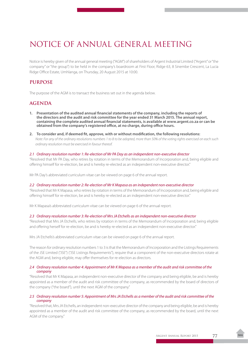# NOTICE OF ANNUAL GENERAL MEETING

Notice is hereby given of the annual general meeting ("AGM") of shareholders of Argent Industrial Limited ("Argent" or "the company" or "the group") to be held in the company's boardroom at First Floor, Ridge 63, 8 Sinembe Crescent, La Lucia Ridge Office Estate, Umhlanga, on Thursday, 20 August 2015 at 10:00.

### **PURPOSE**

The purpose of the AGM is to transact the business set out in the agenda below.

### **AGENDA**

- **1. Presentation of the audited annual financial statements of the company, including the reports of the directors and the audit and risk committee for the year ended 31 March 2015. The annual report, containing the complete audited annual financial statements, is available at www.argent.co.za or can be obtained from the company's registered office, at no charge, during office hours.**
- **2. To consider and, if deemed fit, approve, with or without modification, the following resolutions:** *Note: For any of the ordinary resolutions numbers 1 to 8 to be adopted, more than 50% of the voting rights exercised on each such ordinary resolution must be exercised in favour thereof.*

#### *2.1 Ordinary resolution number 1: Re-election of Mr PA Day as an independent non-executive director*

"Resolved that Mr PA Day, who retires by rotation in terms of the Memorandum of Incorporation and, being eligible and offering himself for re-election, be and is hereby re-elected as an independent non-executive director."

Mr PA Day's abbreviated curriculum vitae can be viewed on page 6 of the annual report.

#### *2.2 Ordinary resolution number 2: Re-election of Mr K Mapasa as an independent non-executive director*

"Resolved that Mr K Mapasa, who retires by rotation in terms of the Memorandum of Incorporation and, being eligible and offering himself for re-election, be and is hereby re-elected as an independent non-executive director."

Mr K Mapasa's abbreviated curriculum vitae can be viewed on page 6 of the annual report.

#### *2.3 Ordinary resolution number 3: Re-election of Mrs JA Etchells as an independent non-executive director*

"Resolved that Mrs JA Etchells, who retires by rotation in terms of the Memorandum of Incorporation and, being eligible and offering herself for re-election, be and is hereby re-elected as an independent non-executive director."

Mrs JA Etchells's abbreviated curriculum vitae can be viewed on page 6 of the annual report.

The reason for ordinary resolution numbers 1 to 3 is that the Memorandum of Incorporation and the Listings Requirements of the JSE Limited ("JSE") ("JSE Listings Requirements"), require that a component of the non-executive directors rotate at the AGM and, being eligible, may offer themselves for re-election as directors.

#### *2.4 Ordinary resolution number 4: Appointment of Mr K Mapasa as a member of the audit and risk committee of the company*

"Resolved that Mr K Mapasa, an independent non-executive director of the company and being eligible, be and is hereby appointed as a member of the audit and risk committee of the company, as recommended by the board of directors of the company ("the board"), until the next AGM of the company."

#### *2.5 Ordinary resolution number 5: Appointment of Mrs JA Etchells as a member of the audit and risk committee of the company*

"Resolved that, Mrs JA Etchells, an independent non-executive director of the company and being eligible, be and is hereby appointed as a member of the audit and risk committee of the company, as recommended by the board, until the next AGM of the company."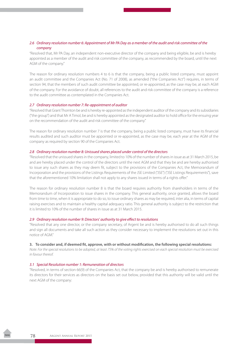#### *2.6 Ordinary resolution number 6: Appointment of Mr PA Day as a member of the audit and risk committee of the company*

"Resolved that, Mr PA Day, an independent non-executive director of the company and being eligible, be and is hereby appointed as a member of the audit and risk committee of the company, as recommended by the board, until the next AGM of the company."

The reason for ordinary resolution numbers 4 to 6 is that the company, being a public listed company, must appoint an audit committee and the Companies Act (No. 71 of 2008), as amended ("the Companies Act") requires, in terms of section 94, that the members of such audit committee be appointed, or re-appointed, as the case may be, at each AGM of the company. For the avoidance of doubt, all references to the audit and risk committee of the company is a reference to the audit committee as contemplated in the Companies Act.

#### *2.7 Ordinary resolution number 7: Re-appointment of auditor*

"Resolved that Grant Thornton be and is hereby re-appointed as the independent auditor of the company and its subsidiaries ("the group") and that Mr A Timol, be and is hereby appointed as the designated auditor to hold office for the ensuing year on the recommendation of the audit and risk committee of the company."

The reason for ordinary resolution number 7 is that the company, being a public listed company, must have its financial results audited and such auditor must be appointed or re-appointed, as the case may be, each year at the AGM of the company as required by section 90 of the Companies Act.

#### *2.8 Ordinary resolution number 8: Unissued shares placed under control of the directors*

"Resolved that the unissued shares in the company, limited to 10% of the number of shares in issue as at 31 March 2015, be and are hereby placed under the control of the directors until the next AGM and that they be and are hereby authorised to issue any such shares as they may deem fit, subject to the provisions of the Companies Act, the Memorandum of Incorporation and the provisions of the Listings Requirements of the JSE Limited ("JSE") ("JSE Listings Requirements"), save that the aforementioned 10% limitation shall not apply to any shares issued in terms of a rights offer."

The reason for ordinary resolution number 8 is that the board requires authority from shareholders in terms of the Memorandum of Incorporation to issue shares in the company. This general authority, once granted, allows the board from time to time, when it is appropriate to do so, to issue ordinary shares as may be required, inter alia, in terms of capital raising exercises and to maintain a healthy capital adequacy ratio. This general authority is subject to the restriction that it is limited to 10% of the number of shares in issue as at 31 March 2015.

#### *2.9 Ordinary resolution number 9: Directors' authority to give effect to resolutions*

"Resolved that any one director, or the company secretary, of Argent be and is hereby authorised to do all such things and sign all documents and take all such action as they consider necessary to implement the resolutions set out in this notice of AGM."

#### **3. To consider and, if deemed fit, approve, with or without modification, the following special resolutions:**

*Note: For the special resolutions to be adopted, at least 75% of the voting rights exercised on each special resolution must be exercised in favour thereof.* 

#### *3.1 Special Resolution number 1: Remuneration of directors*

"Resolved, in terms of section 66(9) of the Companies Act, that the company be and is hereby authorised to remunerate its directors for their services as directors on the basis set out below, provided that this authority will be valid until the next AGM of the company: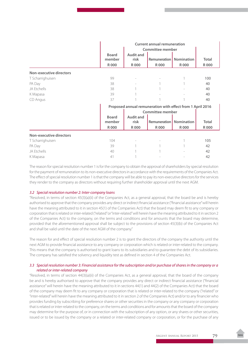|                         | <b>Board</b><br>member<br><b>R000</b> | <b>Audit and</b><br>risk<br>R 000 | <b>Remuneration I</b><br>R 000                             | <b>Nomination</b><br>R 000 | <b>Total</b><br><b>R000</b> |
|-------------------------|---------------------------------------|-----------------------------------|------------------------------------------------------------|----------------------------|-----------------------------|
| Non-executive directors |                                       |                                   |                                                            |                            |                             |
| T Scharrighuisen        | 99                                    |                                   |                                                            |                            | 100                         |
| PA Day                  | 38                                    |                                   |                                                            |                            | 40                          |
| JA Etchells             | 38                                    |                                   |                                                            |                            | 40                          |
| K Mapasa                | 39                                    |                                   |                                                            |                            | 40                          |
| CD Angus                | 37                                    |                                   |                                                            |                            | 40                          |
|                         |                                       |                                   | Proposed annual remuneration with effect from 1 April 2016 |                            |                             |
|                         |                                       |                                   | <b>Committee member</b>                                    |                            |                             |
|                         | <b>Board</b>                          | <b>Audit and</b>                  |                                                            |                            |                             |
|                         | member                                | risk                              | <b>Remuneration</b>                                        | <b>Nomination</b>          | <b>Total</b>                |
|                         | <b>R000</b>                           | R 000                             | R 000                                                      | R 000                      | <b>R000</b>                 |
| Non-executive directors |                                       |                                   |                                                            |                            |                             |
| T Scharrighuisen        | 104                                   |                                   |                                                            |                            | 105                         |
| PA Day                  | 39                                    |                                   |                                                            |                            | 42                          |
| JA Etchells             | 40                                    |                                   |                                                            |                            | 42                          |
| K Mapasa                | 41                                    |                                   |                                                            |                            | 42                          |

The reason for special resolution number 1 is for the company to obtain the approval of shareholders by special resolution for the payment of remuneration to its non-executive directors in accordance with the requirements of the Companies Act. The effect of special resolution number 1 is that the company will be able to pay its non-executive directors for the services they render to the company as directors without requiring further shareholder approval until the next AGM.

#### *3.2 Special resolution number 2: Inter-company loans*

"Resolved, in terms of section 45(3)(a)(ii) of the Companies Act, as a general approval, that the board be and is hereby authorised to approve that the company provides any direct or indirect financial assistance ("financial assistance" will herein have the meaning attributed to it in section 45(1) of the Companies Act) that the board may deem fit to any company or corporation that is related or inter-related ("related" or "inter-related" will herein have the meaning attributed to it in section 2 of the Companies Act) to the company, on the terms and conditions and for amounts that the board may determine, provided that the aforementioned approval shall be subject to the provisions of section 45(3)(b) of the Companies Act and shall be valid until the date of the next AGM of the company."

The reason for and effect of special resolution number 2 is to grant the directors of the company the authority until the next AGM to provide financial assistance to any company or corporation which is related or inter-related to the company. This means that the company is authorised to grant loans to its subsidiaries and to guarantee the debt of its subsidiaries. The company has satisfied the solvency and liquidity test as defined in section 4 of the Companies Act.

#### *3.3 Special resolution number 3: Financial assistance for the subscription and/or purchase of shares in the company or a related or inter-related company*

"Resolved, in terms of section 44(3)(a)(ii) of the Companies Act, as a general approval, that the board of the company be and is hereby authorised to approve that the company provides any direct or indirect financial assistance ("financial assistance" will herein have the meaning attributed to it in sections 44(1) and 44(2) of the Companies Act) that the board of the company may deem fit to any company or corporation that is related or inter-related to the company ("related" or "inter-related" will herein have the meaning attributed to it in section 2 of the Companies Act) and/or to any financier who provides funding by subscribing for preference shares or other securities in the company or any company or corporation that is related or inter-related to the company, on the terms and conditions and for amounts that the board of the company may determine for the purpose of, or in connection with the subscription of any option, or any shares or other securities, issued or to be issued by the company or a related or inter-related company or corporation, or for the purchase of any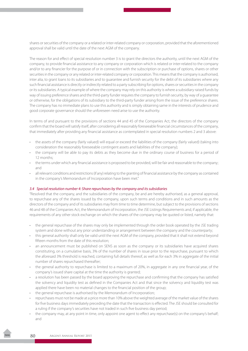shares or securities of the company or a related or inter-related company or corporation, provided that the aforementioned approval shall be valid until the date of the next AGM of the company.

The reason for and effect of special resolution number 3 is to grant the directors the authority, until the next AGM of the company, to provide financial assistance to any company or corporation which is related or inter-related to the company and/or to any financier for the purpose of or in connection with the subscription or purchase of options, shares or other securities in the company or any related or inter-related company or corporation. This means that the company is authorised, inter alia, to grant loans to its subsidiaries and to guarantee and furnish security for the debt of its subsidiaries where any such financial assistance is directly or indirectly related to a party subscribing for options, shares or securities in the company or its subsidiaries. A typical example of where the company may rely on this authority is where a subsidiary raised funds by way of issuing preference shares and the third-party funder requires the company to furnish security, by way of a guarantee or otherwise, for the obligations of its subsidiary to the third-party funder arising from the issue of the preference shares. The company has no immediate plans to use this authority and is simply obtaining same in the interests of prudence and good corporate governance should the unforeseen need arise to use the authority.

In terms of and pursuant to the provisions of sections 44 and 45 of the Companies Act, the directors of the company confirm that the board will satisfy itself, after considering all reasonably foreseeable financial circumstances of the company, that immediately after providing any financial assistance as contemplated in special resolution numbers 2 and 3 above:

- the assets of the company (fairly valued) will equal or exceed the liabilities of the company (fairly valued) (taking into consideration the reasonably foreseeable contingent assets and liabilities of the company);
- the company will be able to pay its debts as they become due in the ordinary course of business for a period of 12 months;
- the terms under which any financial assistance is proposed to be provided, will be fair and reasonable to the company; and
- all relevant conditions and restrictions (if any) relating to the granting of financial assistance by the company as contained in the company's Memorandum of Incorporation have been met."

#### *3.4 Special resolution number 4: Share repurchases by the company and its subsidiaries*

"Resolved that the company, and the subsidiaries of the company, be and are hereby authorised, as a general approval, to repurchase any of the shares issued by the company, upon such terms and conditions and in such amounts as the directors of the company and of its subsidiaries may from time to time determine, but subject to the provisions of sections 46 and 48 of the Companies Act, the Memorandum of Incorporation, the JSE Listings Requirements and, if applicable, the requirements of any other stock exchange on which the shares of the company may be quoted or listed, namely that:

- the general repurchase of the shares may only be implemented through the order book operated by the JSE trading system and done without any prior understanding or arrangement between the company and the counterparty;
- this general authority shall only be valid until the next AGM of the company, provided that it shall not extend beyond fifteen months from the date of this resolution;
- an announcement must be published on SENS as soon as the company or its subsidiaries have acquired shares constituting, on a cumulative basis, 3% of the number of shares in issue prior to the repurchase, pursuant to which the aforesaid 3% threshold is reached, containing full details thereof, as well as for each 3% in aggregate of the initial number of shares repurchased thereafter;
- the general authority to repurchase is limited to a maximum of 20%, in aggregate in any one financial year, of the company's issued share capital at the time the authority is granted;
- a resolution has been passed by the board approving the repurchase and confirming that the company has satisfied the solvency and liquidity test as defined in the Companies Act and that since the solvency and liquidity test was applied there have been no material changes to the financial position of the group;
- the general repurchase is authorised by the Memorandum of Incorporation;
- repurchases must not be made at a price more than 10% above the weighted average of the market value of the shares for five business days immediately preceding the date that the transaction is effected. The JSE should be consulted for a ruling if the company's securities have not traded in such five business day period;
- the company may, at any point in time, only appoint one agent to effect any repurchase(s) on the company's behalf; and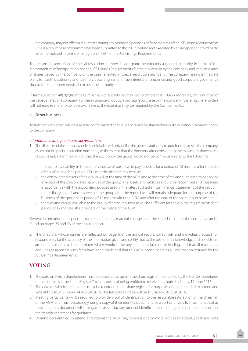• the company may not effect a repurchase during any prohibited period as defined in terms ofthe JSE Listings Requirements unless a repurchase programme has been submitted to the JSE in writing and executed by an independent third party, as contemplated in terms of paragraph 5.72(h) of the JSE Listings Requirements."

The reason for and effect of special resolution number 4 is to grant the directors a general authority in terms of the Memorandum of Incorporation and the JSE Listings Requirements for the repurchase by the company and its subsidiaries of shares issued by the company on the basis reflected in special resolution number 3. The company has no immediate plans to use this authority and is simply obtaining same in the interests of prudence and good corporate governance should the unforeseen need arise to use the authority.

In terms of section 48(2)(b)(i) of the Companies Act, subsidiaries may not hold more than 10%, in aggregate, of the number of the issued shares of a company. For the avoidance of doubt, a pro rata repurchase by the company from all its shareholders will not require shareholder approval, save to the extent as may be required by the Companies Act.

#### **4. Other business**

To transact such other business as may be transacted at an AGM or raised by shareholders with or without advance notice to the company.

#### *Information relating to the special resolutions*

- 1. The directors of the company or its subsidiaries will only utilise the general authority to purchase shares of the company, as set out in special resolution number 4, to the extent that the directors, after considering the maximum shares to be repurchased, are of the opinion that the position of the group would not be compromised as to the following:
	- • the company's ability, in the ordinary course of business, to pay its debts for a period of 12 months after the date of this AGM and for a period of 12 months after the repurchase;
	- the consolidated assets of the group will, at the time of the AGM and at the time of making such determination, be in excess of the consolidated liabilities of the group. The assets and liabilities should be recognised and measured in accordance with the accounting policies used in the latest audited annual financial statements of the group;
	- the ordinary capital and reserves of the group after the repurchase will remain adequate for the purpose of the business of the group for a period of 12 months after the AGM and after the date of the share repurchase; and
	- • the working capital available to the group after the repurchase will be sufficient for the group's requirements for a period of 12 months after the date of the notice of the AGM.

General information in respect of major shareholders, material changes and the stated capital of the company can be found on pages 75 and 76 of the annual report.

2. The directors, whose names are reflected on page 6 of the annual report, collectively and individually accept full responsibility for the accuracy of the information given and certify that to the best of their knowledge and belief there are no facts that have been omitted which would make any statement false or misleading, and that all reasonable enquiries to ascertain such facts have been made and that this AGM notice contains all information required by the JSE Listings Requirements.

## **VOTING**

- 1. The date on which shareholders must be recorded as such in the share register maintained by the transfer secretaries of the company ("the Share Register") for purposes of being entitled to receive this notice is Friday, 19 June 2015.
- 2. The date on which shareholders must be recorded in the share register for purposes of being entitled to attend and vote at this AGM is Friday, 14 August 2015. The last date to trade will be Thursday, 6 August 2015.
- 3. Meeting participants will be required to provide proof of identification to the reasonable satisfaction of the chairman of the AGM and must accordingly bring a copy of their identity document, passport or drivers' license. If in doubt as to whether any document will be regarded as satisfactory proof of identification, meeting participants should contact the transfer secretaries for guidance.
- 4. Shareholders entitled to attend and vote at the AGM may appoint one or more proxies to attend, speak and vote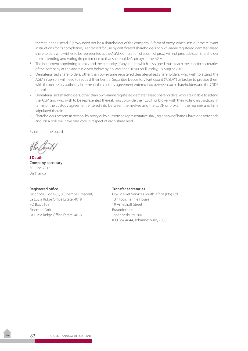thereat in their stead. A proxy need not be a shareholder of the company. A form of proxy, which sets out the relevant instructions for its completion, is enclosed for use by certificated shareholders or own-name registered dematerialised shareholders who wishes to be represented at the AGM. Completion of a form of proxy will not preclude such shareholder from attending and voting (in preference to that shareholder's proxy) at the AGM.

- 5. The instrument appointing a proxy and the authority (if any) under which it is signed must reach the transfer secretaries of the company at the address given below by no later than 10:00 on Tuesday, 18 August 2015.
- 6. Dematerialised shareholders, other than own-name registered dematerialised shareholders, who wish to attend the AGM in person, will need to request their Central Securities Depository Participant ("CSDP") or broker to provide them with the necessary authority in terms of the custody agreement entered into between such shareholders and the CSDP or broker.
- 7. Dematerialised shareholders, other than own-name registered dematerialised shareholders, who are unable to attend the AGM and who wish to be represented thereat, must provide their CSDP or broker with their voting instructions in terms of the custody agreement entered into between themselves and the CSDP or broker in the manner and time stipulated therein.
- 8. Shareholders present in person, by proxy or by authorised representative shall, on a show of hands, have one vote each and, on a poll, will have one vote in respect of each share held.

By order of the board.

**J Dauth Company secretary** 30 June 2015 Umhlanga

La Lucia Ridge Office Estate, 4019 13<sup>th</sup> floor, Rennie House PO Box 5108 19 Ameshoff Street Sinembe Park **Braamfontein** La Lucia Ridge Office Estate, 4019 Johannesburg, 2001

#### **Registered office Transfer secretaries**

First floor, Ridge 63, 8 Sinembe Crescent, Link Market Services South Africa (Pty) Ltd (PO Box 4844, Johannesburg, 2000)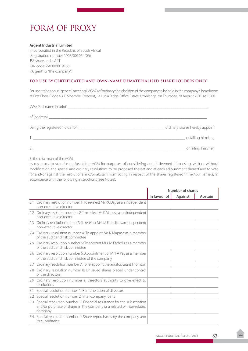## FORM OF PROXY

#### **Argent Industrial Limited**

(Incorporated in the Republic of South Africa) (Registration number 1993/002054/06) JSE share code: ART ISIN code: ZAE000019188 ("Argent" or "the company")

#### **FOR USE BY CERTIFICATED AND OWN-NAME DEMATERIALISED SHAREHOLDERS ONLY**

For use at the annual general meeting ("AGM") of ordinary shareholders of the company to be held in the company's boardroom at First Floor, Ridge 63, 8 Sinembe Crescent, La Lucia Ridge Office Estate, Umhlanga, on Thursday, 20 August 2015 at 10:00.

|    | ordinary shares hereby appoint: |
|----|---------------------------------|
|    | _ or failing him/her,           |
| 2. | _or failing him/her,            |

3. the chairman of the AGM,

as my proxy to vote for me/us at the AGM for purposes of considering and, if deemed fit, passing, with or without modification, the special and ordinary resolutions to be proposed thereat and at each adjournment thereof and to vote for and/or against the resolutions and/or abstain from voting in respect of the shares registered in my/our name(s) in accordance with the following instructions (see Notes):

|     |                                                                                                                                                                 | Number of shares |                |         |
|-----|-----------------------------------------------------------------------------------------------------------------------------------------------------------------|------------------|----------------|---------|
|     |                                                                                                                                                                 | In favour of     | <b>Against</b> | Abstain |
|     | 2.1 Ordinary resolution number 1: To re-elect Mr PA Day as an independent<br>non-executive director                                                             |                  |                |         |
|     | 2.2 Ordinary resolution number 2: To re-elect Mr K Mapasa as an independent<br>non-executive director                                                           |                  |                |         |
|     | 2.3 Ordinary resolution number 3: To re-elect Mrs JA Etchells as an independent<br>non-executive director                                                       |                  |                |         |
|     | 2.4 Ordinary resolution number 4: To appoint Mr K Mapasa as a member<br>of the audit and risk committee                                                         |                  |                |         |
|     | 2.5 Ordinary resolution number 5: To appoint Mrs JA Etchells as a member<br>of the audit and risk committee                                                     |                  |                |         |
|     | 2.6 Ordinary resolution number 6: Appointment of Mr PA Pay as a member<br>of the audit and risk committee of the company                                        |                  |                |         |
|     | 2.7 Ordinary resolution number 7: To re-appoint the auditor, Grant Thornton                                                                                     |                  |                |         |
| 2.8 | Ordinary resolution number 8: Unissued shares placed under control<br>of the directors                                                                          |                  |                |         |
|     | 2.9 Ordinary resolution number 9: Directors' authority to give effect to<br>resolutions                                                                         |                  |                |         |
|     | 3.1 Special resolution number 1: Remuneration of directors                                                                                                      |                  |                |         |
|     | 3.2 Special resolution number 2: Inter-company loans                                                                                                            |                  |                |         |
|     | 3.3 Special resolution number 3: Financial assistance for the subscription<br>and/or purchase of shares in the company or a related or inter-related<br>company |                  |                |         |
|     | 3.4 Special resolution number 4: Share repurchases by the company and<br>its subsidiaries                                                                       |                  |                |         |